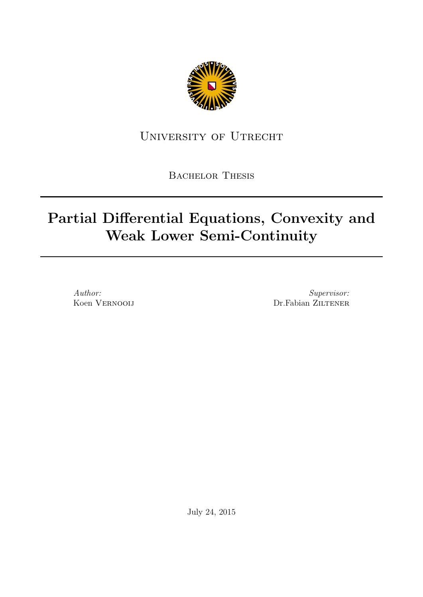

# University of Utrecht

BACHELOR THESIS

# Partial Differential Equations, Convexity and Weak Lower Semi-Continuity

Author: Koen Vernooij

Supervisor: Dr.Fabian ZILTENER

July 24, 2015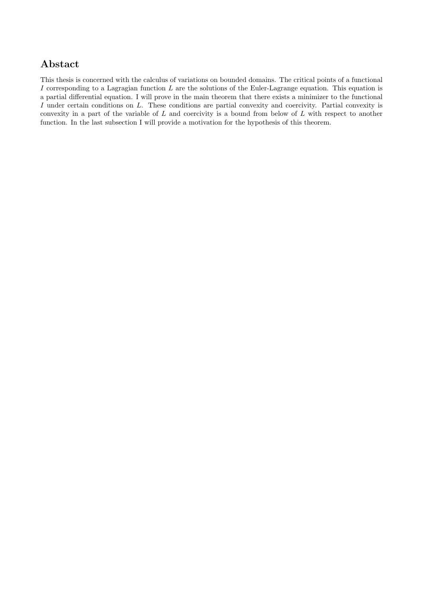# Abstact

This thesis is concerned with the calculus of variations on bounded domains. The critical points of a functional I corresponding to a Lagragian function  $L$  are the solutions of the Euler-Lagrange equation. This equation is a partial differential equation. I will prove in the main theorem that there exists a minimizer to the functional I under certain conditions on L. These conditions are partial convexity and coercivity. Partial convexity is convexity in a part of the variable of  $L$  and coercivity is a bound from below of  $L$  with respect to another function. In the last subsection I will provide a motivation for the hypothesis of this theorem.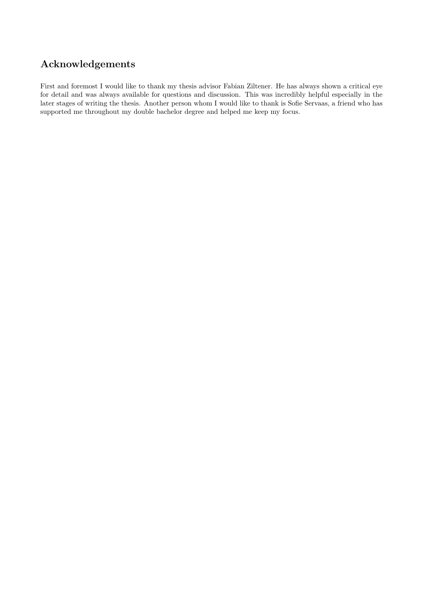# Acknowledgements

First and foremost I would like to thank my thesis advisor Fabian Ziltener. He has always shown a critical eye for detail and was always available for questions and discussion. This was incredibly helpful especially in the later stages of writing the thesis. Another person whom I would like to thank is Sofie Servaas, a friend who has supported me throughout my double bachelor degree and helped me keep my focus.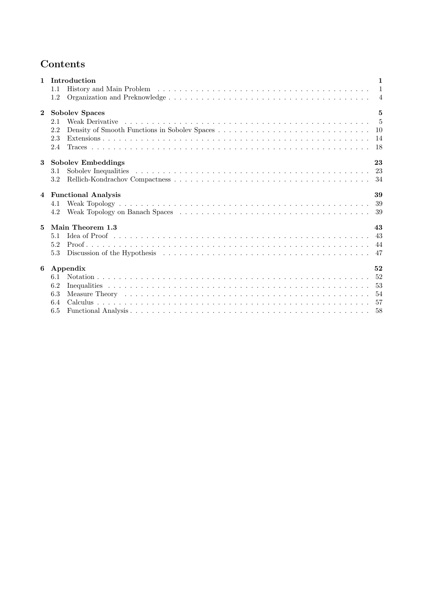# Contents

| $\mathbf{1}$   | Introduction                                                                                                                                                                                                                          | $\mathbf{1}$ |
|----------------|---------------------------------------------------------------------------------------------------------------------------------------------------------------------------------------------------------------------------------------|--------------|
|                | 1.1                                                                                                                                                                                                                                   |              |
|                | 1.2                                                                                                                                                                                                                                   |              |
| $\mathbf{2}$   | <b>Sobolev Spaces</b>                                                                                                                                                                                                                 | $\mathbf{5}$ |
|                | Weak Derivative response to the contract of the contract of the contract of the contract of the contract of the contract of the contract of the contract of the contract of the contract of the contract of the contract of th<br>2.1 |              |
|                | 2.2                                                                                                                                                                                                                                   |              |
|                | 2.3                                                                                                                                                                                                                                   |              |
|                | 2.4                                                                                                                                                                                                                                   |              |
| 3              | <b>Sobolev Embeddings</b>                                                                                                                                                                                                             | 23           |
| $\overline{4}$ | 3.1                                                                                                                                                                                                                                   |              |
|                | $3.2\,$                                                                                                                                                                                                                               |              |
|                | <b>Functional Analysis</b>                                                                                                                                                                                                            | 39           |
|                | 4.1                                                                                                                                                                                                                                   |              |
| $\mathbf{5}$   | Weak Topology on Banach Spaces (and all contracts of the set of the space of the space of the set of the set of the set of the set of the set of the set of the set of the set of the set of the set of the set of the set of<br>4.2  |              |
|                | Main Theorem 1.3                                                                                                                                                                                                                      | 43           |
|                | 5.1                                                                                                                                                                                                                                   | 43           |
|                | 5.2                                                                                                                                                                                                                                   |              |
|                | 5.3                                                                                                                                                                                                                                   |              |
| 6              | Appendix                                                                                                                                                                                                                              | 52           |
|                | 6.1                                                                                                                                                                                                                                   |              |
|                | 6.2                                                                                                                                                                                                                                   |              |
|                | 6.3                                                                                                                                                                                                                                   |              |
|                | 6.4                                                                                                                                                                                                                                   |              |
|                | 6.5                                                                                                                                                                                                                                   |              |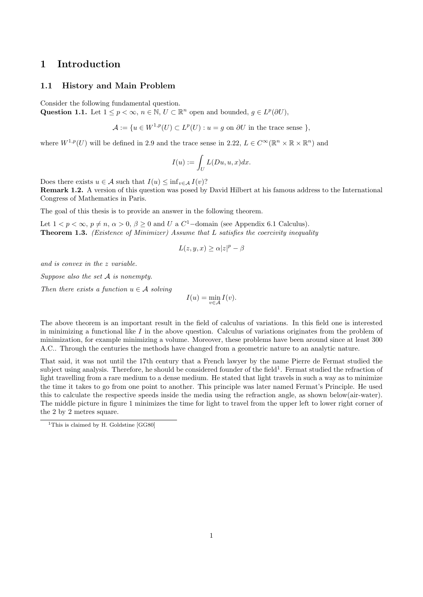# 1 Introduction

#### 1.1 History and Main Problem

Consider the following fundamental question.

Question 1.1. Let  $1 \leq p < \infty$ ,  $n \in \mathbb{N}$ ,  $U \subset \mathbb{R}^n$  open and bounded,  $g \in L^p(\partial U)$ ,

$$
\mathcal{A} := \{ u \in W^{1,p}(U) \subset L^p(U) : u = g \text{ on } \partial U \text{ in the trace sense } \},
$$

where  $W^{1,p}(U)$  will be defined in 2.9 and the trace sense in 2.22,  $L \in C^{\infty}(\mathbb{R}^n \times \mathbb{R} \times \mathbb{R}^n)$  and

$$
I(u) := \int_U L(Du, u, x) dx.
$$

Does there exists  $u \in \mathcal{A}$  such that  $I(u) \leq \inf_{v \in \mathcal{A}} I(v)$ ?

Remark 1.2. A version of this question was posed by David Hilbert at his famous address to the International Congress of Mathematics in Paris.

The goal of this thesis is to provide an answer in the following theorem.

Let  $1 < p < \infty$ ,  $p \neq n$ ,  $\alpha > 0$ ,  $\beta \geq 0$  and U a  $C^1$ -domain (see Appendix 6.1 Calculus). Theorem 1.3. (Existence of Minimizer) Assume that L satisfies the coercivity inequality

$$
L(z, y, x) \ge \alpha |z|^p - \beta
$$

and is convex in the z variable.

Suppose also the set A is nonempty.

Then there exists a function  $u \in \mathcal{A}$  solving

$$
I(u) = \min_{v \in \mathcal{A}} I(v).
$$

The above theorem is an important result in the field of calculus of variations. In this field one is interested in minimizing a functional like  $I$  in the above question. Calculus of variations originates from the problem of minimization, for example minimizing a volume. Moreover, these problems have been around since at least 300 A.C.. Through the centuries the methods have changed from a geometric nature to an analytic nature.

That said, it was not until the 17th century that a French lawyer by the name Pierre de Fermat studied the subject using analysis. Therefore, he should be considered founder of the field<sup>1</sup>. Fermat studied the refraction of light travelling from a rare medium to a dense medium. He stated that light travels in such a way as to minimize the time it takes to go from one point to another. This principle was later named Fermat's Principle. He used this to calculate the respective speeds inside the media using the refraction angle, as shown below(air-water). The middle picture in figure 1 minimizes the time for light to travel from the upper left to lower right corner of the 2 by 2 metres square.

<sup>&</sup>lt;sup>1</sup>This is claimed by H. Goldstine [GG80]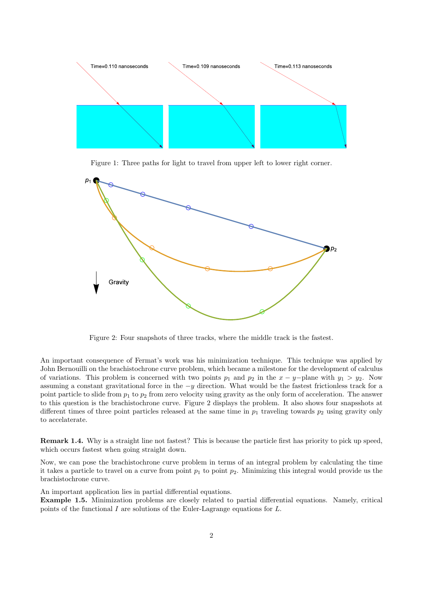

Figure 1: Three paths for light to travel from upper left to lower right corner.



Figure 2: Four snapshots of three tracks, where the middle track is the fastest.

An important consequence of Fermat's work was his minimization technique. This technique was applied by John Bernouilli on the brachistochrone curve problem, which became a milestone for the development of calculus of variations. This problem is concerned with two points  $p_1$  and  $p_2$  in the  $x - y$ -plane with  $y_1 > y_2$ . Now assuming a constant gravitational force in the  $-y$  direction. What would be the fastest frictionless track for a point particle to slide from  $p_1$  to  $p_2$  from zero velocity using gravity as the only form of acceleration. The answer to this question is the brachistochrone curve. Figure 2 displays the problem. It also shows four snapsshots at different times of three point particles released at the same time in  $p_1$  traveling towards  $p_2$  using gravity only to accelaterate.

Remark 1.4. Why is a straight line not fastest? This is because the particle first has priority to pick up speed, which occurs fastest when going straight down.

Now, we can pose the brachistochrone curve problem in terms of an integral problem by calculating the time it takes a particle to travel on a curve from point  $p_1$  to point  $p_2$ . Minimizing this integral would provide us the brachistochrone curve.

An important application lies in partial differential equations.

Example 1.5. Minimization problems are closely related to partial differential equations. Namely, critical points of the functional I are solutions of the Euler-Lagrange equations for  $L$ .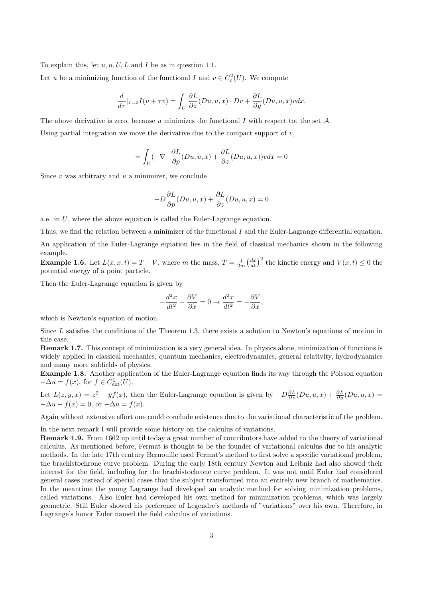To explain this, let  $u, n, U, L$  and I be as in question 1.1.

Let u be a minimizing function of the functional I and  $v \in C_c^2(U)$ . We compute

$$
\frac{d}{d\tau}|_{\tau=0}I(u+\tau v)=\int_U \frac{\partial L}{\partial z}(Du,u,x)\cdot Dv+\frac{\partial L}{\partial y}(Du,u,x)v dx.
$$

The above derivative is zero, because u minimizes the functional I with respect tot the set  $\mathcal{A}$ . Using partial integration we move the derivative due to the compact support of  $v$ ,

$$
= \int_{U} (-\nabla \cdot \frac{\partial L}{\partial p}(Du, u, x) + \frac{\partial L}{\partial z}(Du, u, x))v dx = 0
$$

Since  $v$  was arbitrary and  $u$  a minimizer, we conclude

$$
-D\frac{\partial L}{\partial p}(Du,u,x)+\frac{\partial L}{\partial z}(Du,u,x)=0
$$

a.e. in U, where the above equation is called the Euler-Lagrange equation.

Thus, we find the relation between a minimizer of the functional  $I$  and the Euler-Lagrange differential equation.

An application of the Euler-Lagrange equation lies in the field of classical mechanics shown in the following example.

**Example 1.6.** Let  $L(\dot{x}, x, t) = T - V$ , where m the mass,  $T = \frac{1}{2m} \left(\frac{dx}{dt}\right)^2$  the kinetic energy and  $V(x, t) \le 0$  the potential energy of a point particle.

Then the Euler-Lagrange equation is given by

$$
-\frac{d^2x}{dt^2} - \frac{\partial V}{\partial x} = 0 \to \frac{d^2x}{dt^2} = -\frac{\partial V}{\partial x},
$$

which is Newton's equation of motion.

Since L satisfies the conditions of the Theorem 1.3, there exists a solution to Newton's equations of motion in this case.

Remark 1.7. This concept of minimization is a very general idea. In physics alone, minimization of functions is widely applied in classical mechanics, quantum mechanics, electrodynamics, general relativity, hydrodynamics and many more subfields of physics.

Example 1.8. Another application of the Euler-Lagrange equation finds its way through the Poisson equation  $-\Delta u = f(x)$ , for  $f \in C<sup>1</sup><sub>ext</sub>(U)$ .

Let  $L(z, y, x) = z^2 - yf(x)$ , then the Euler-Lagrange equation is given by  $-D\frac{\partial L}{\partial z}(Du, u, x) + \frac{\partial L}{\partial y}(Du, u, x) =$  $-\Delta u - f(x) = 0$ , or  $-\Delta u = f(x)$ .

Again without extensive effort one could conclude existence due to the variational characteristic of the problem.

In the next remark I will provide some history on the calculus of variations.

Remark 1.9. From 1662 up until today a great number of contributors have added to the theory of variational calculus. As mentioned before, Fermat is thought to be the founder of variational calculus due to his analytic methods. In the late 17th century Bernouille used Fermat's method to first solve a specific variational problem, the brachistochrone curve problem. During the early 18th century Newton and Leibniz had also showed their interest for the field, including for the brachistochrone curve problem. It was not until Euler had considered general cases instead of special cases that the subject transformed into an entirely new branch of mathematics. In the meantime the young Lagrange had developed an analytic method for solving minimization problems, called variations. Also Euler had developed his own method for minimization problems, which was largely geometric. Still Euler showed his preference of Legendre's methods of "variations" over his own. Therefore, in Lagrange's honor Euler named the field calculus of variations.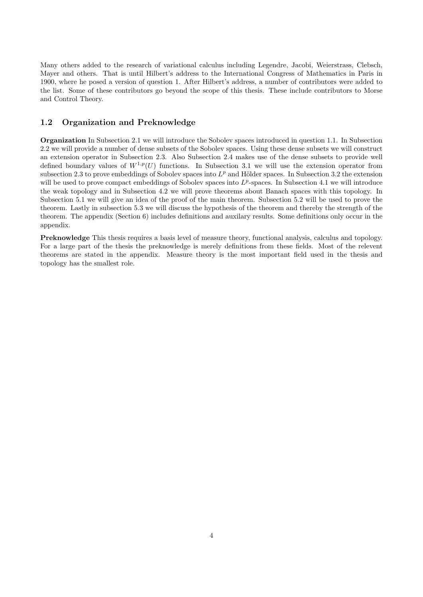Many others added to the research of variational calculus including Legendre, Jacobi, Weierstrass, Clebsch, Mayer and others. That is until Hilbert's address to the International Congress of Mathematics in Paris in 1900, where he posed a version of question 1. After Hilbert's address, a number of contributors were added to the list. Some of these contributors go beyond the scope of this thesis. These include contributors to Morse and Control Theory.

#### 1.2 Organization and Preknowledge

Organization In Subsection 2.1 we will introduce the Sobolev spaces introduced in question 1.1. In Subsection 2.2 we will provide a number of dense subsets of the Sobolev spaces. Using these dense subsets we will construct an extension operator in Subsection 2.3. Also Subsection 2.4 makes use of the dense subsets to provide well defined boundary values of  $W^{1,p}(U)$  functions. In Subsection 3.1 we will use the extension operator from subsection 2.3 to prove embeddings of Sobolev spaces into  $L^p$  and Hölder spaces. In Subsection 3.2 the extension will be used to prove compact embeddings of Sobolev spaces into  $L^p$ -spaces. In Subsection 4.1 we will introduce the weak topology and in Subsection 4.2 we will prove theorems about Banach spaces with this topology. In Subsection 5.1 we will give an idea of the proof of the main theorem. Subsection 5.2 will be used to prove the theorem. Lastly in subsection 5.3 we will discuss the hypothesis of the theorem and thereby the strength of the theorem. The appendix (Section 6) includes definitions and auxilary results. Some definitions only occur in the appendix.

Preknowledge This thesis requires a basis level of measure theory, functional analysis, calculus and topology. For a large part of the thesis the preknowledge is merely definitions from these fields. Most of the relevent theorems are stated in the appendix. Measure theory is the most important field used in the thesis and topology has the smallest role.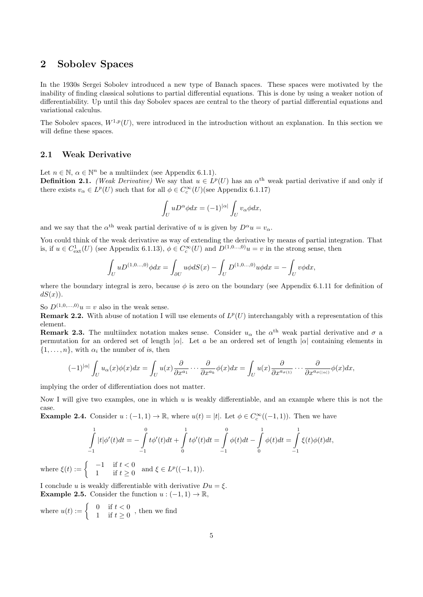## 2 Sobolev Spaces

In the 1930s Sergei Sobolev introduced a new type of Banach spaces. These spaces were motivated by the inability of finding classical solutions to partial differential equations. This is done by using a weaker notion of differentiability. Up until this day Sobolev spaces are central to the theory of partial differential equations and variational calculus.

The Sobolev spaces,  $W^{1,p}(U)$ , were introduced in the introduction without an explanation. In this section we will define these spaces.

#### 2.1 Weak Derivative

Let  $n \in \mathbb{N}$ ,  $\alpha \in \mathbb{N}^n$  be a multiindex (see Appendix 6.1.1). **Definition 2.1.** (Weak Derivative) We say that  $u \in L^p(U)$  has an  $\alpha^{\text{th}}$  weak partial derivative if and only if there exists  $v_{\alpha} \in L^p(U)$  such that for all  $\phi \in C_c^{\infty}(U)$  (see Appendix 6.1.17)

$$
\int_U uD^{\alpha}\phi dx = (-1)^{|\alpha|} \int_U v_{\alpha}\phi dx,
$$

and we say that the  $\alpha^{\text{th}}$  weak partial derivative of u is given by  $D^{\alpha}u = v_{\alpha}$ .

You could think of the weak derivative as way of extending the derivative by means of partial integration. That is, if  $u \in C^1_{ext}(U)$  (see Appendix 6.1.13),  $\phi \in C_c^{\infty}(U)$  and  $D^{(1,0...,0)}u = v$  in the strong sense, then

$$
\int_U uD^{(1,0...,0)}\phi dx = \int_{\partial U} u\phi dS(x) - \int_U D^{(1,0...,0)}u\phi dx = -\int_U v\phi dx,
$$

where the boundary integral is zero, because  $\phi$  is zero on the boundary (see Appendix 6.1.11 for definition of  $dS(x)$ ).

So  $D^{(1,0,...,0)}u = v$  also in the weak sense.

**Remark 2.2.** With abuse of notation I will use elements of  $L^p(U)$  interchangably with a representation of this element.

**Remark 2.3.** The multiindex notation makes sense. Consider  $u_{\alpha}$  the  $\alpha^{th}$  weak partial derivative and  $\sigma$  a permutation for an ordered set of length  $|\alpha|$ . Let a be an ordered set of length  $|\alpha|$  containing elements in  $\{1, \ldots, n\}$ , with  $\alpha_i$  the number of is, then

$$
(-1)^{|\alpha|} \int_{U} u_{\alpha}(x) \phi(x) dx = \int_{U} u(x) \frac{\partial}{\partial x^{a_1}} \cdots \frac{\partial}{\partial x^{a_k}} \phi(x) dx = \int_{U} u(x) \frac{\partial}{\partial x^{a_{\sigma(1)}}} \cdots \frac{\partial}{\partial x^{a_{\sigma(|\alpha|)}}} \phi(x) dx,
$$

implying the order of differentiation does not matter.

Now I will give two examples, one in which  $u$  is weakly differentiable, and an example where this is not the case.

**Example 2.4.** Consider  $u:(-1,1) \to \mathbb{R}$ , where  $u(t) = |t|$ . Let  $\phi \in C_c^{\infty}((-1,1))$ . Then we have

$$
\int_{-1}^{1} |t| \phi'(t) dt = -\int_{-1}^{0} t \phi'(t) dt + \int_{0}^{1} t \phi'(t) dt = \int_{-1}^{0} \phi(t) dt - \int_{0}^{1} \phi(t) dt = \int_{-1}^{1} \xi(t) \phi(t) dt,
$$
\n
$$
\int_{-1}^{1} |t| \phi'(t) dt = -\int_{-1}^{1} t \phi'(t) dt + \int_{0}^{1} t \phi'(t) dt = -\int_{-1}^{1} \phi(t) dt + \int_{0}^{1} t \phi'(t) dt = -\int_{0}^{1} t \phi'(t) dt + \int_{0}^{1} t \phi'(t) dt = -\int_{0}^{1} t \phi'(t) dt + \int_{0}^{1} t \phi'(t) dt = -\int_{0}^{1} t \phi'(t) dt + \int_{0}^{1} t \phi'(t) dt = -\int_{0}^{1} t \phi'(t) dt + \int_{0}^{1} t \phi'(t) dt = -\int_{0}^{1} t \phi'(t) dt + \int_{0}^{1} t \phi'(t) dt = -\int_{0}^{1} t \phi'(t) dt + \int_{0}^{1} t \phi'(t) dt = -\int_{0}^{1} t \phi'(t) dt + \int_{0}^{1} t \phi'(t) dt = -\int_{0}^{1} t \phi'(t) dt + \int_{0}^{1} t \phi'(t) dt = -\int_{0}^{1} t \phi'(t) dt + \int_{0}^{1} t \phi'(t) dt = -\int_{0}^{1} t \phi'(t) dt = -\int_{0}^{1} t \phi'(t) dt
$$

where  $\xi(t) := \begin{cases} -1 & \text{if } t < 0 \\ 1 & \text{if } t > 0 \end{cases}$  $\begin{cases}\n-1 & \text{if } t < 0 \\
1 & \text{if } t \geq 0\n\end{cases}$  and  $\xi \in L^p((-1,1)).$ 

I conclude u is weakly differentiable with derivative  $Du = \xi$ . **Example 2.5.** Consider the function  $u: (-1,1) \to \mathbb{R}$ ,

where  $u(t) := \begin{cases} 0 & \text{if } t < 0 \\ 1 & \text{if } t > 0 \end{cases}$  $\begin{cases} 0 & \text{if } t < 0 \\ 1 & \text{if } t \geq 0 \end{cases}$ , then we find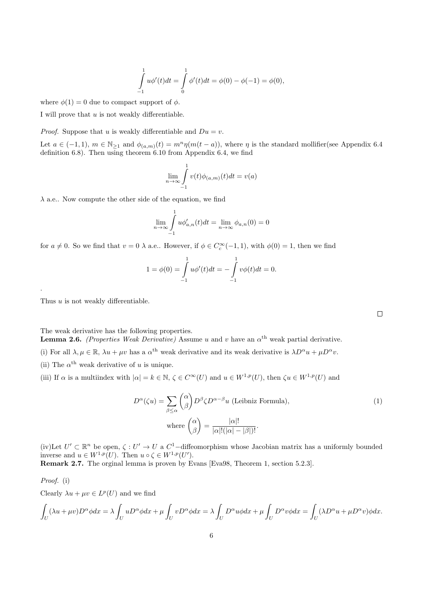$$
\int_{-1}^{1} u\phi'(t)dt = \int_{0}^{1} \phi'(t)dt = \phi(0) - \phi(-1) = \phi(0),
$$

where  $\phi(1) = 0$  due to compact support of  $\phi$ .

I will prove that  $u$  is not weakly differentiable.

*Proof.* Suppose that u is weakly differentiable and  $Du = v$ .

Let  $a \in (-1,1)$ ,  $m \in \mathbb{N}_{\geq 1}$  and  $\phi_{(a,m)}(t) = m^n \eta(m(t-a))$ , where  $\eta$  is the standard mollifier(see Appendix 6.4 definition 6.8). Then using theorem 6.10 from Appendix 6.4, we find

$$
\lim_{n \to \infty} \int_{-1}^{1} v(t)\phi_{(a,m)}(t)dt = v(a)
$$

 $\lambda$  a.e.. Now compute the other side of the equation, we find

$$
\lim_{n \to \infty} \int_{-1}^{1} u \phi'_{a,n}(t) dt = \lim_{n \to \infty} \phi_{a,n}(0) = 0
$$

for  $a \neq 0$ . So we find that  $v = 0$   $\lambda$  a.e.. However, if  $\phi \in C_c^{\infty}(-1,1)$ , with  $\phi(0) = 1$ , then we find

$$
1 = \phi(0) = \int_{-1}^{1} u \phi'(t) dt = -\int_{-1}^{1} v \phi(t) dt = 0.
$$

Thus  $u$  is not weakly differentiable.

The weak derivative has the following properties.

**Lemma 2.6.** (Properties Weak Derivative) Assume u and v have an  $\alpha^{\text{th}}$  weak partial derivative.

- (i) For all  $\lambda, \mu \in \mathbb{R}$ ,  $\lambda u + \mu v$  has a  $\alpha^{th}$  weak derivative and its weak derivative is  $\lambda D^{\alpha}u + \mu D^{\alpha}v$ .
- (ii) The  $\alpha^{\text{th}}$  weak derivative of u is unique.
- (iii) If  $\alpha$  is a multiindex with  $|\alpha| = k \in \mathbb{N}$ ,  $\zeta \in C^{\infty}(U)$  and  $u \in W^{1,p}(U)$ , then  $\zeta u \in W^{1,p}(U)$  and

$$
D^{\alpha}(\zeta u) = \sum_{\beta \le \alpha} {\alpha \choose \beta} D^{\beta} \zeta D^{\alpha-\beta} u \text{ (Leibniz Formula)},
$$
  
where 
$$
{\alpha \choose \beta} = \frac{|\alpha|!}{|\alpha|!(|\alpha|-|\beta|)!}.
$$
 (1)

(iv)Let  $U' \subset \mathbb{R}^n$  be open,  $\zeta: U' \to U$  a  $C^1$ -diffeomorphism whose Jacobian matrix has a uniformly bounded inverse and  $u \in W^{1,p}(U)$ . Then  $u \circ \zeta \in W^{1,p}(U')$ .

Remark 2.7. The orginal lemma is proven by Evans [Eva98, Theorem 1, section 5.2.3].

Proof. (i)

.

Clearly  $\lambda u + \mu v \in L^p(U)$  and we find

$$
\int_{U} (\lambda u + \mu v) D^{\alpha} \phi dx = \lambda \int_{U} u D^{\alpha} \phi dx + \mu \int_{U} v D^{\alpha} \phi dx = \lambda \int_{U} D^{\alpha} u \phi dx + \mu \int_{U} D^{\alpha} v \phi dx = \int_{U} (\lambda D^{\alpha} u + \mu D^{\alpha} v) \phi dx.
$$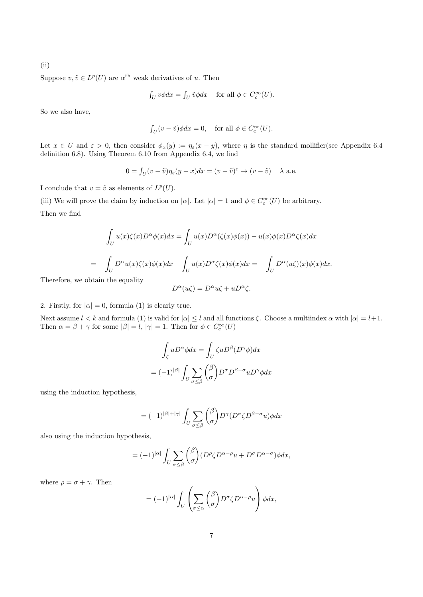(ii)

Suppose  $v, \tilde{v} \in L^p(U)$  are  $\alpha^{\text{th}}$  weak derivatives of u. Then

$$
\int_U v\phi dx = \int_U \tilde{v}\phi dx \quad \text{ for all } \phi \in C_c^{\infty}(U).
$$

So we also have,

$$
\int_U (v - \tilde{v}) \phi dx = 0, \quad \text{for all } \phi \in C_c^{\infty}(U).
$$

Let  $x \in U$  and  $\varepsilon > 0$ , then consider  $\phi_x(y) := \eta_{\varepsilon}(x - y)$ , where  $\eta$  is the standard mollifier(see Appendix 6.4 definition 6.8). Using Theorem 6.10 from Appendix 6.4, we find

$$
0 = \int_U (v - \tilde{v}) \eta_{\varepsilon}(y - x) dx = (v - \tilde{v})^{\varepsilon} \to (v - \tilde{v}) \quad \lambda \text{ a.e.}
$$

I conclude that  $v = \tilde{v}$  as elements of  $L^p(U)$ .

(iii) We will prove the claim by induction on  $|\alpha|$ . Let  $|\alpha|=1$  and  $\phi \in C_c^{\infty}(U)$  be arbitrary.

Then we find

$$
\int_{U} u(x)\zeta(x)D^{\alpha}\phi(x)dx = \int_{U} u(x)D^{\alpha}(\zeta(x)\phi(x)) - u(x)\phi(x)D^{\alpha}\zeta(x)dx
$$

$$
= -\int_{U} D^{\alpha}u(x)\zeta(x)\phi(x)dx - \int_{U} u(x)D^{\alpha}\zeta(x)\phi(x)dx = -\int_{U} D^{\alpha}(u\zeta)(x)\phi(x)dx.
$$

Therefore, we obt

$$
D^{\alpha}(u\zeta)=D^{\alpha}u\zeta+uD^{\alpha}\zeta.
$$

2. Firstly, for  $|\alpha| = 0$ , formula (1) is clearly true.

Next assume  $l < k$  and formula (1) is valid for  $|\alpha| \leq l$  and all functions  $\zeta$ . Choose a multiindex  $\alpha$  with  $|\alpha| = l+1$ . Then  $\alpha = \beta + \gamma$  for some  $|\beta| = l$ ,  $|\gamma| = 1$ . Then for  $\phi \in C_c^{\infty}(U)$ 

$$
\int_{\zeta} u D^{\alpha} \phi dx = \int_{U} \zeta u D^{\beta} (D^{\gamma} \phi) dx
$$

$$
= (-1)^{|\beta|} \int_{U} \sum_{\sigma \le \beta} {\beta \choose \sigma} D^{\sigma} D^{\beta - \sigma} u D^{\gamma} \phi dx
$$

using the induction hypothesis,

$$
= (-1)^{|\beta|+|\gamma|} \int_U \sum_{\sigma \le \beta} {\beta \choose \sigma} D^{\gamma} (D^{\sigma} \zeta D^{\beta-\sigma} u) \phi dx
$$

also using the induction hypothesis,

$$
= (-1)^{|\alpha|} \int_{U} \sum_{\sigma \leq \beta} {\beta \choose \sigma} (D^{\rho} \zeta D^{\alpha - \rho} u + D^{\sigma} D^{\alpha - \sigma}) \phi dx,
$$

where  $\rho = \sigma + \gamma$ . Then

$$
= (-1)^{|\alpha|} \int_{U} \left( \sum_{\sigma \leq \alpha} {\beta \choose \sigma} D^{\sigma} \zeta D^{\alpha - \rho} u \right) \phi dx,
$$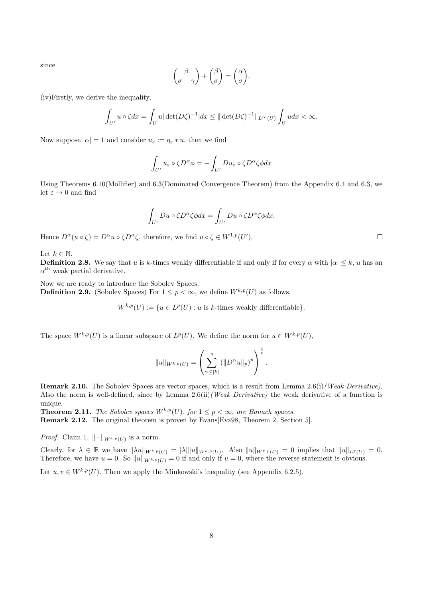since

$$
\begin{pmatrix} \beta \\ \sigma - \gamma \end{pmatrix} + \begin{pmatrix} \beta \\ \sigma \end{pmatrix} = \begin{pmatrix} \alpha \\ \sigma \end{pmatrix}.
$$

(iv)Firstly, we derive the inequality,

$$
\int_{U'} u \circ \zeta dx = \int_{U} u |\det(D\zeta)^{-1}| dx \le ||\det(D\zeta)^{-1}||_{L^{\infty}(U)} \int_{U} u dx < \infty.
$$

Now suppose  $|\alpha|=1$  and consider  $u_{\varepsilon}:=\eta_{\varepsilon}*u$ , then we find

$$
\int_{U'} u_{\varepsilon} \circ \zeta D^{\alpha} \phi = -\int_{U'} Du_{\varepsilon} \circ \zeta D^{\alpha} \zeta \phi dx
$$

Using Theorems 6.10(Mollifier) and 6.3(Dominated Convergence Theorem) from the Appendix 6.4 and 6.3, we let  $\varepsilon \to 0$  and find

$$
\int_{U'} Du \circ \zeta D^{\alpha} \zeta \phi dx = \int_{U'} Du \circ \zeta D^{\alpha} \zeta \phi dx.
$$

Hence  $D^{\alpha}(u \circ \zeta) = D^{\alpha}u \circ \zeta D^{\alpha}\zeta$ , therefore, we find  $u \circ \zeta \in W^{1,p}(U')$ .

Let  $k \in \mathbb{N}$ .

**Definition 2.8.** We say that u is k-times weakly differentiable if and only if for every  $\alpha$  with  $|\alpha| \leq k$ , u has an  $\alpha^{\text{th}}$  weak partial derivative.

Now we are ready to introduce the Sobolev Spaces.

**Definition 2.9.** (Sobolev Spaces) For  $1 \leq p < \infty$ , we define  $W^{k,p}(U)$  as follows,

 $W^{k,p}(U) := \{u \in L^p(U) : u \text{ is } k\text{-times weakly differentiable}\}.$ 

The space  $W^{k,p}(U)$  is a linear subspace of  $L^p(U)$ . We define the norm for  $u \in W^{k,p}(U)$ ,

$$
||u||_{W^{k,p}(U)} = \left(\sum_{\alpha \leq |k|}^n (||D^{\alpha}u||_p)^p\right)^{\frac{1}{p}}.
$$

Remark 2.10. The Sobolev Spaces are vector spaces, which is a result from Lemma 2.6(i) (Weak Derivative). Also the norm is well-defined, since by Lemma  $2.6\text{(ii)}$  (Weak Derivative) the weak derivative of a function is unique.

**Theorem 2.11.** The Sobolev spaces  $W^{k,p}(U)$ , for  $1 \leq p < \infty$ , are Banach spaces.

Remark 2.12. The original theorem is proven by Evans[Eva98, Theorem 2, Section 5].

*Proof.* Claim 1.  $\|\cdot\|_{W^{k,p}(U)}$  is a norm.

Clearly, for  $\lambda \in \mathbb{R}$  we have  $\|\lambda u\|_{W^{k,p}(U)} = |\lambda| \|u\|_{W^{k,p}(U)}$ . Also  $\|u\|_{W^{k,p}(U)} = 0$  implies that  $\|u\|_{L^p(U)} = 0$ . Therefore, we have  $u = 0$ . So  $||u||_{W^{k,p}(U)} = 0$  if and only if  $u = 0$ , where the reverse statement is obvious.

Let  $u, v \in W^{k,p}(U)$ . Then we apply the Minkowski's inequality (see Appendix 6.2.5).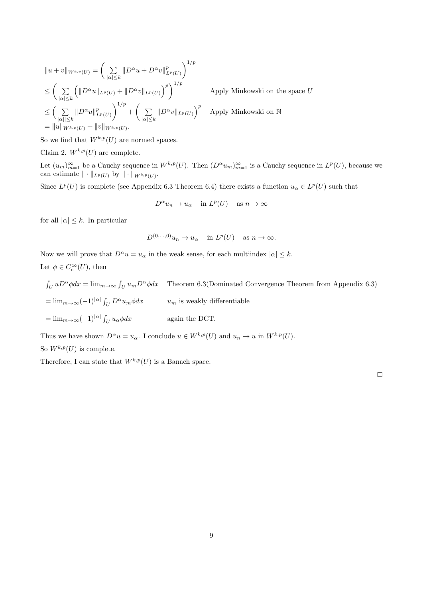$$
||u + v||_{W^{k,p}(U)} = \left(\sum_{|\alpha| \leq k} ||D^{\alpha}u + D^{\alpha}v||_{L^p(U)}^p\right)^{1/p}
$$
  
\n
$$
\leq \left(\sum_{|\alpha| \leq k} \left(||D^{\alpha}u||_{L^p(U)} + ||D^{\alpha}v||_{L^p(U)}\right)^p\right)^{1/p} \qquad \text{Apply Minkowski on the space } U
$$
  
\n
$$
\leq \left(\sum_{|\alpha| \leq k} ||D^{\alpha}u||_{L^p(U)}^p\right)^{1/p} + \left(\sum_{|\alpha| \leq k} ||D^{\alpha}v||_{L^p(U)}\right)^p \qquad \text{Apply Minkowski on } \mathbb{N}
$$
  
\n
$$
= ||u||_{W^{k,p}(U)} + ||v||_{W^{k,p}(U)}.
$$

So we find that  $W^{k,p}(U)$  are normed spaces.

Claim 2.  $W^{k,p}(U)$  are complete.

Let  $(u_m)_{m=1}^{\infty}$  be a Cauchy sequence in  $W^{k,p}(U)$ . Then  $(D^{\alpha}u_m)_{m=1}^{\infty}$  is a Cauchy sequence in  $L^p(U)$ , because we can estimate  $\|\cdot\|_{L^p(U)}$  by  $\|\cdot\|_{W^{k,p}(U)}$ .

Since  $L^p(U)$  is complete (see Appendix 6.3 Theorem 6.4) there exists a function  $u_\alpha \in L^p(U)$  such that

 $D^{\alpha}u_n \to u_{\alpha}$  in  $L^p(U)$  as  $n \to \infty$ 

for all  $|\alpha| \leq k$ . In particular

 $D^{(0,...,0)}u_n \to u_\alpha$  in  $L^p(U)$  as  $n \to \infty$ .

Now we will prove that  $D^{\alpha}u = u_{\alpha}$  in the weak sense, for each multiindex  $|\alpha| \leq k$ . Let  $\phi \in C_c^{\infty}(U)$ , then

 $\int_U u D^{\alpha} \phi dx = \lim_{m \to \infty} \int_U u_m D^{\alpha} \phi dx$  Theorem 6.3(Dominated Convergence Theorem from Appendix 6.3)  $=\lim_{m\to\infty}(-1)^{|\alpha|}\int_U D^{\alpha}u_m\phi dx$  u<sub>m</sub> is weakly differentiable  $=\lim_{m\to\infty}(-1)^{|\alpha|}\int_U$ again the DCT.

Thus we have shown  $D^{\alpha}u = u_{\alpha}$ . I conclude  $u \in W^{k,p}(U)$  and  $u_n \to u$  in  $W^{k,p}(U)$ .

So  $W^{k,p}(U)$  is complete.

Therefore, I can state that  $W^{k,p}(U)$  is a Banach space.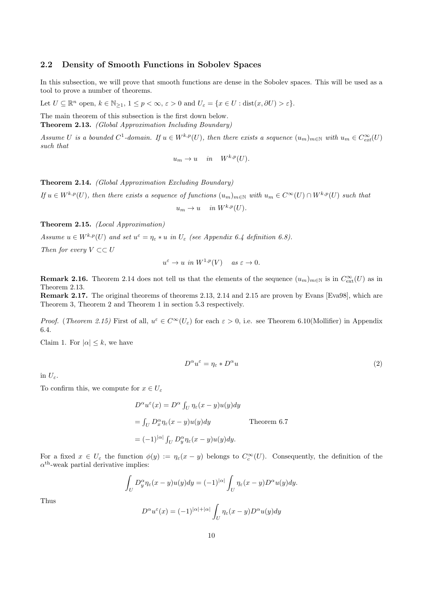#### 2.2 Density of Smooth Functions in Sobolev Spaces

In this subsection, we will prove that smooth functions are dense in the Sobolev spaces. This will be used as a tool to prove a number of theorems.

Let  $U \subseteq \mathbb{R}^n$  open,  $k \in \mathbb{N}_{\geq 1}$ ,  $1 \leq p < \infty$ ,  $\varepsilon > 0$  and  $U_{\varepsilon} = \{x \in U : \text{dist}(x, \partial U) > \varepsilon\}.$ 

The main theorem of this subsection is the first down below. Theorem 2.13. (Global Approximation Including Boundary)

Assume U is a bounded  $C^1$ -domain. If  $u \in W^{k,p}(U)$ , then there exists a sequence  $(u_m)_{m \in \mathbb{N}}$  with  $u_m \in C_{ext}^{\infty}(U)$ such that

$$
u_m \to u \quad in \quad W^{k,p}(U).
$$

Theorem 2.14. (Global Approximation Excluding Boundary)

If  $u \in W^{k,p}(U)$ , then there exists a sequence of functions  $(u_m)_{m \in \mathbb{N}}$  with  $u_m \in C^{\infty}(U) \cap W^{k,p}(U)$  such that  $u_m \to u$  in  $W^{k,p}(U)$ .

Theorem 2.15. (Local Approximation)

Assume  $u \in W^{k,p}(U)$  and set  $u^{\varepsilon} = \eta_{\varepsilon} * u$  in  $U_{\varepsilon}$  (see Appendix 6.4 definition 6.8).

Then for every  $V \subset\subset U$ 

$$
u^{\varepsilon} \to u \ \text{in} \ W^{1,p}(V) \quad \text{as} \ \varepsilon \to 0.
$$

**Remark 2.16.** Theorem 2.14 does not tell us that the elements of the sequence  $(u_m)_{m\in\mathbb{N}}$  is in  $C_{\text{ext}}^{\infty}(U)$  as in Theorem 2.13.

Remark 2.17. The original theorems of theorems 2.13, 2.14 and 2.15 are proven by Evans [Eva98], which are Theorem 3, Theorem 2 and Theorem 1 in section 5.3 respectively.

Proof. (Theorem 2.15) First of all,  $u^{\varepsilon} \in C^{\infty}(U_{\varepsilon})$  for each  $\varepsilon > 0$ , i.e. see Theorem 6.10(Mollifier) in Appendix 6.4.

Claim 1. For  $|\alpha| \leq k$ , we have

$$
D^{\alpha}u^{\varepsilon} = \eta_{\varepsilon} * D^{\alpha}u \tag{2}
$$

in  $U_{\varepsilon}$ .

To confirm this, we compute for  $x \in U_{\varepsilon}$ 

$$
D^{\alpha}u^{\varepsilon}(x) = D^{\alpha}\int_{U}\eta_{\varepsilon}(x-y)u(y)dy
$$
  
=  $\int_{U}D^{\alpha}_{x}\eta_{\varepsilon}(x-y)u(y)dy$  Theorem 6.7  
=  $(-1)^{|\alpha|}\int_{U}D^{\alpha}_{y}\eta_{\varepsilon}(x-y)u(y)dy$ .

For a fixed  $x \in U_{\varepsilon}$  the function  $\phi(y) := \eta_{\varepsilon}(x - y)$  belongs to  $C_c^{\infty}(U)$ . Consequently, the definition of the  $\alpha^{\text{th}}$ -weak partial derivative implies:

$$
\int_U D_y^{\alpha} \eta_{\varepsilon}(x-y) u(y) dy = (-1)^{|\alpha|} \int_U \eta_{\varepsilon}(x-y) D^{\alpha} u(y) dy.
$$

Thus

$$
D^{\alpha}u^{\varepsilon}(x) = (-1)^{|\alpha|+|\alpha|} \int_{U} \eta_{\varepsilon}(x-y)D^{\alpha}u(y)dy
$$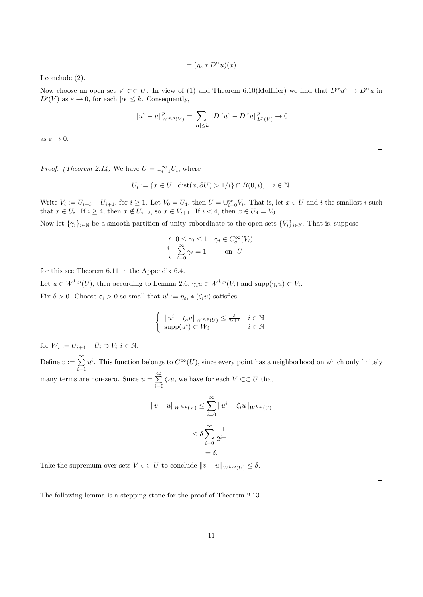$$
= (\eta_{\varepsilon} * D^{\alpha} u)(x)
$$

I conclude (2).

Now choose an open set  $V \subset\subset U$ . In view of (1) and Theorem 6.10(Mollifier) we find that  $D^{\alpha}u^{\varepsilon} \to D^{\alpha}u$  in  $L^p(V)$  as  $\varepsilon \to 0$ , for each  $|\alpha| \leq k$ . Consequently,

$$
||u^{\varepsilon}-u||^p_{W^{k,p}(V)}=\sum_{|\alpha|\leq k}||D^{\alpha}u^{\varepsilon}-D^{\alpha}u||^p_{L^p(V)}\rightarrow 0
$$

as  $\varepsilon \to 0$ .

 $\Box$ 

*Proof.* (Theorem 2.14) We have  $U = \bigcup_{i=1}^{\infty} U_i$ , where

$$
U_i := \{ x \in U : \text{dist}(x, \partial U) > 1/i \} \cap B(0, i), \quad i \in \mathbb{N}.
$$

Write  $V_i := U_{i+3} - \overline{U}_{i+1}$ , for  $i \geq 1$ . Let  $V_0 = U_4$ , then  $U = \bigcup_{i=0}^{\infty} V_i$ . That is, let  $x \in U$  and i the smallest i such that  $x \in U_i$ . If  $i \geq 4$ , then  $x \notin U_{i-2}$ , so  $x \in V_{i+1}$ . If  $i < 4$ , then  $x \in U_4 = V_0$ .

Now let  $\{\gamma_i\}_{i\in\mathbb{N}}$  be a smooth partition of unity subordinate to the open sets  $\{V_i\}_{i\in\mathbb{N}}$ . That is, suppose

$$
\begin{cases} 0 \le \gamma_i \le 1 & \gamma_i \in C_c^{\infty}(V_i) \\ \sum_{i=0}^{\infty} \gamma_i = 1 & \text{on } U \end{cases}
$$

for this see Theorem 6.11 in the Appendix 6.4.

Let  $u \in W^{k,p}(U)$ , then according to Lemma 2.6,  $\gamma_i u \in W^{k,p}(V_i)$  and  $\text{supp}(\gamma_i u) \subset V_i$ . Fix  $\delta > 0$ . Choose  $\varepsilon_i > 0$  so small that  $u^i := \eta_{\varepsilon_i} * (\zeta_i u)$  satisfies

$$
\int ||u^i - \zeta_i u||_{W^{k,p}(U)} \le \frac{\delta}{2^{i+1}} \quad i \in \mathbb{N}
$$

for  $W_i := U_{i+4} - \overline{U}_i \supset V_i$   $i \in \mathbb{N}$ .

Define  $v := \sum_{n=0}^{\infty}$  $i=1$  $u^i$ . This function belongs to  $C^{\infty}(U)$ , since every point has a neighborhood on which only finitely many terms are non-zero. Since  $u = \sum_{n=1}^{\infty}$  $\sum_{i=0} \zeta_i u$ , we have for each  $V \subset\subset U$  that

 $\text{supp}(u^i) \subset W_i$   $i \in \mathbb{N}$ 

$$
||v - u||_{W^{k,p}(V)} \le \sum_{i=0}^{\infty} ||u^i - \zeta_i u||_{W^{k,p}(U)}
$$
  

$$
\le \delta \sum_{i=0}^{\infty} \frac{1}{2^{i+1}}
$$
  

$$
= \delta.
$$

Take the supremum over sets  $V \subset\subset U$  to conclude  $||v - u||_{W^{k,p}(U)} \leq \delta$ .

 $\Box$ 

The following lemma is a stepping stone for the proof of Theorem 2.13.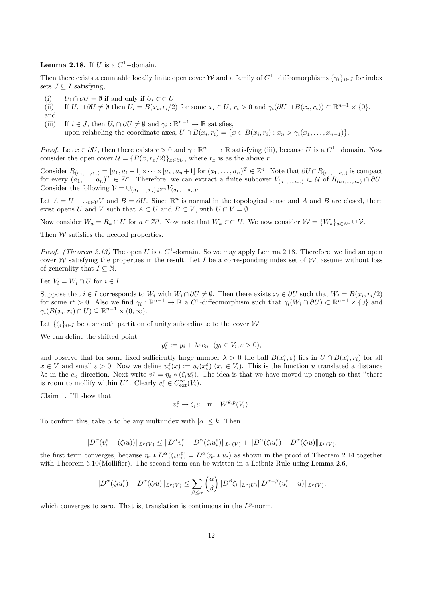**Lemma 2.18.** If U is a  $C^1$ -domain.

Then there exists a countable locally finite open cover W and a family of  $C^1$ -diffeomorphisms  $\{\gamma_i\}_{i\in J}$  for index sets  $J \subseteq I$  satisfying.

- (i)  $U_i \cap \partial U = \emptyset$  if and only if  $U_i \subset\subset U$
- (ii) If  $U_i \cap \partial U \neq \emptyset$  then  $U_i = B(x_i, r_i/2)$  for some  $x_i \in U, r_i > 0$  and  $\gamma_i(\partial U \cap B(x_i, r_i)) \subset \mathbb{R}^{n-1} \times \{0\}.$
- and
- (iii) If  $i \in J$ , then  $U_i \cap \partial U \neq \emptyset$  and  $\gamma_i : \mathbb{R}^{n-1} \to \mathbb{R}$  satisfies,

upon relabeling the coordinate axes,  $U \cap B(x_i, r_i) = \{x \in B(x_i, r_i) : x_n > \gamma_i(x_1, \ldots, x_{n-1})\}.$ 

*Proof.* Let  $x \in \partial U$ , then there exists  $r > 0$  and  $\gamma : \mathbb{R}^{n-1} \to \mathbb{R}$  satisfying (iii), because U is a  $C^1$ -domain. Now consider the open cover  $\mathcal{U} = \{B(x, r_x/2)\}_{x \in \partial U}$ , where  $r_x$  is as the above r.

Consider  $R_{(a_1,...,a_n)} = [a_1, a_1+1] \times \cdots \times [a_n, a_n+1]$  for  $(a_1,...,a_n)^T \in \mathbb{Z}^n$ . Note that  $\partial U \cap R_{(a_1,...,a_n)}$  is compact for every  $(a_1, \ldots, a_n)^T \in \mathbb{Z}^n$ . Therefore, we can extract a finite subcover  $V_{(a_1, \ldots, a_n)} \subset U$  of  $R_{(a_1, \ldots, a_n)} \cap \partial U$ . Consider the following  $\mathcal{V} = \bigcup_{(a_1,...,a_n)\in \mathbb{Z}^n} V_{(a_1,...,a_n)}$ .

Let  $A = U - \cup_{v \in V} V$  and  $B = \partial U$ . Since  $\mathbb{R}^n$  is normal in the topological sense and A and B are closed, there exist opens U and V such that  $A \subset U$  and  $B \subset V$ , with  $U \cap V = \emptyset$ .

Now consider  $W_a = R_a \cap U$  for  $a \in \mathbb{Z}^n$ . Now note that  $W_a \subset\subset U$ . We now consider  $\mathcal{W} = \{W_a\}_{a \in \mathbb{Z}^n} \cup \mathcal{V}$ .

Then  $W$  satisfies the needed properties.

*Proof.* (Theorem 2.13) The open U is a  $C^1$ -domain. So we may apply Lemma 2.18. Therefore, we find an open cover W satisfying the properties in the result. Let I be a corresponding index set of W, assume without loss of generality that  $I \subseteq \mathbb{N}$ .

Let  $V_i = W_i \cap U$  for  $i \in I$ .

Suppose that  $i \in I$  corresponds to  $W_i$  with  $W_i \cap \partial U \neq \emptyset$ . Then there exists  $x_i \in \partial U$  such that  $W_i = B(x_i, r_i/2)$ for some  $r^i > 0$ . Also we find  $\gamma_i : \mathbb{R}^{n-1} \to \mathbb{R}$  a  $C^1$ -diffeomorphism such that  $\gamma_i(W_i \cap \partial U) \subset \mathbb{R}^{n-1} \times \{0\}$  and  $\gamma_i(B(x_i, r_i) \cap U) \subseteq \mathbb{R}^{n-1} \times (0, \infty).$ 

Let  $\{\zeta_i\}_{i\in I}$  be a smooth partition of unity subordinate to the cover W.

We can define the shifted point

$$
y_i^{\varepsilon} := y_i + \lambda \varepsilon e_n \quad (y_i \in V_i, \varepsilon > 0),
$$

and observe that for some fixed sufficiently large number  $\lambda > 0$  the ball  $B(x_i^{\varepsilon}, \varepsilon)$  lies in  $U \cap B(x_i^{\varepsilon}, r_i)$  for all  $x \in V$  and small  $\varepsilon > 0$ . Now we define  $u_i^{\varepsilon}(x) := u_i(x_i^{\varepsilon})$   $(x_i \in V_i)$ . This is the function u translated a distance  $\lambda \varepsilon$  in the  $e_n$  direction. Next write  $v_i^{\varepsilon} = \eta_{\varepsilon} * (\zeta_i u_i^{\varepsilon})$ . The idea is that we have moved up enough so that "there is room to mollify within U". Clearly  $v_i^{\varepsilon} \in C_{\text{ext}}^{\infty}(V_i)$ .

Claim 1. I'll show that

$$
v_i^{\varepsilon} \to \zeta_i u \quad \text{in} \quad W^{k,p}(V_i).
$$

To confirm this, take  $\alpha$  to be any multiindex with  $|\alpha| \leq k$ . Then

$$
\|D^{\alpha}(v_i^{\varepsilon}-(\zeta_i u))\|_{L^p(V)}\leq \|D^{\alpha}v_i^{\varepsilon}-D^{\alpha}(\zeta_i u_i^{\varepsilon})\|_{L^p(V)}+\|D^{\alpha}(\zeta_i u_i^{\varepsilon})-D^{\alpha}(\zeta_i u)\|_{L^p(V)},
$$

the first term converges, because  $\eta_{\varepsilon} * D^{\alpha}(\zeta_i u_i^{\varepsilon}) = D^{\alpha}(\eta_{\varepsilon} * u_i)$  as shown in the proof of Theorem 2.14 together with Theorem 6.10(Mollifier). The second term can be written in a Leibniz Rule using Lemma 2.6,

$$
||D^{\alpha}(\zeta_i u_i^{\varepsilon}) - D^{\alpha}(\zeta_i u)||_{L^p(V)} \leq \sum_{\beta \leq \alpha} {\alpha \choose \beta} ||D^{\beta} \zeta_i||_{L^p(U)} ||D^{\alpha-\beta}(u_i^{\varepsilon} - u)||_{L^p(V)},
$$

which converges to zero. That is, translation is continuous in the  $L^p$ -norm.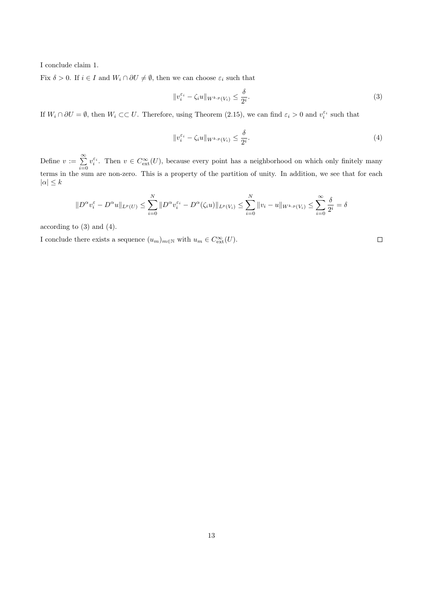I conclude claim 1.

Fix  $\delta > 0$ . If  $i \in I$  and  $W_i \cap \partial U \neq \emptyset$ , then we can choose  $\varepsilon_i$  such that

$$
||v_i^{\varepsilon_i} - \zeta_i u||_{W^{k,p}(V_i)} \le \frac{\delta}{2^i}.
$$
\n
$$
(3)
$$

If  $W_i \cap \partial U = \emptyset$ , then  $W_i \subset\subset U$ . Therefore, using Theorem (2.15), we can find  $\varepsilon_i > 0$  and  $v_i^{\varepsilon_i}$  such that

$$
||v_i^{\varepsilon_i} - \zeta_i u||_{W^{k,p}(V_i)} \le \frac{\delta}{2^i}.
$$
\n
$$
(4)
$$

Define  $v := \sum_{n=1}^{\infty}$  $i=0$  $v_i^{\varepsilon_i}$ . Then  $v \in C_{\text{ext}}^{\infty}(U)$ , because every point has a neighborhood on which only finitely many terms in the sum are non-zero. This is a property of the partition of unity. In addition, we see that for each  $|\alpha| \leq k$ 

$$
||D^{\alpha}v_i^{\varepsilon} - D^{\alpha}u||_{L^p(U)} \le \sum_{i=0}^N ||D^{\alpha}v_i^{\varepsilon_i} - D^{\alpha}(\zeta_i u)||_{L^p(V_i)} \le \sum_{i=0}^N ||v_i - u||_{W^{k,p}(V_i)} \le \sum_{i=0}^\infty \frac{\delta}{2^i} = \delta
$$

according to (3) and (4).

I conclude there exists a sequence  $(u_m)_{m \in \mathbb{N}}$  with  $u_m \in C_{\text{ext}}^{\infty}(U)$ .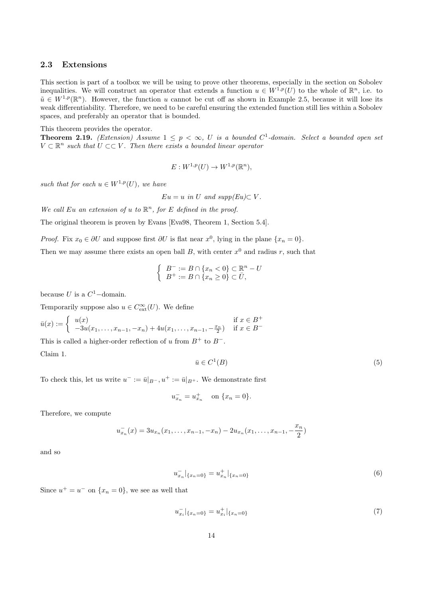#### 2.3 Extensions

This section is part of a toolbox we will be using to prove other theorems, especially in the section on Sobolev inequalities. We will construct an operator that extends a function  $u \in W^{1,p}(U)$  to the whole of  $\mathbb{R}^n$ , i.e. to  $\tilde{u} \in W^{1,p}(\mathbb{R}^n)$ . However, the function u cannot be cut off as shown in Example 2.5, because it will lose its weak differentiability. Therefore, we need to be careful ensuring the extended function still lies within a Sobolev spaces, and preferably an operator that is bounded.

#### This theorem provides the operator.

**Theorem 2.19.** (Extension) Assume  $1 \leq p < \infty$ , U is a bounded C<sup>1</sup>-domain. Select a bounded open set  $V \subset \mathbb{R}^n$  such that  $U \subset\subset V$ . Then there exists a bounded linear operator

$$
E: W^{1,p}(U) \to W^{1,p}(\mathbb{R}^n),
$$

such that for each  $u \in W^{1,p}(U)$ , we have

 $Eu = u$  in U and  $supp(Eu) \subset V$ .

We call Eu an extension of u to  $\mathbb{R}^n$ , for E defined in the proof.

The original theorem is proven by Evans [Eva98, Theorem 1, Section 5.4].

*Proof.* Fix  $x_0 \in \partial U$  and suppose first  $\partial U$  is flat near  $x^0$ , lying in the plane  $\{x_n = 0\}$ .

Then we may assume there exists an open ball  $B$ , with center  $x^0$  and radius r, such that

$$
\begin{cases}\nB^- := B \cap \{x_n < 0\} \subset \mathbb{R}^n - U \\
B^+ := B \cap \{x_n \ge 0\} \subset \bar{U},\n\end{cases}
$$

because U is a  $C^1$ -domain.

Temporarily suppose also  $u \in C_{\text{ext}}^{\infty}(U)$ . We define

$$
\bar{u}(x) := \begin{cases}\n u(x) & \text{if } x \in B^+ \\
 -3u(x_1, \dots, x_{n-1}, -x_n) + 4u(x_1, \dots, x_{n-1}, -\frac{x_n}{2}) & \text{if } x \in B^- \n\end{cases}
$$

This is called a higher-order reflection of u from  $B^+$  to  $B^-$ .

Claim 1.

$$
\bar{u} \in C^1(B) \tag{5}
$$

To check this, let us write  $u^- := \bar{u}|_{B^-}$ ,  $u^+ := \bar{u}|_{B^+}$ . We demonstrate first

$$
u_{x_n}^- = u_{x_n}^+ \quad \text{ on } \{x_n = 0\}.
$$

Therefore, we compute

$$
u_{x_n}^-(x) = 3u_{x_n}(x_1,\ldots,x_{n-1},-x_n) - 2u_{x_n}(x_1,\ldots,x_{n-1},-\frac{x_n}{2})
$$

and so

$$
u_{x_n}^-|_{\{x_n=0\}} = u_{x_n}^+|_{\{x_n=0\}}\tag{6}
$$

Since  $u^+ = u^-$  on  $\{x_n = 0\}$ , we see as well that

$$
u_{x_i}^-|_{\{x_n=0\}} = u_{x_i}^+|_{\{x_n=0\}} \tag{7}
$$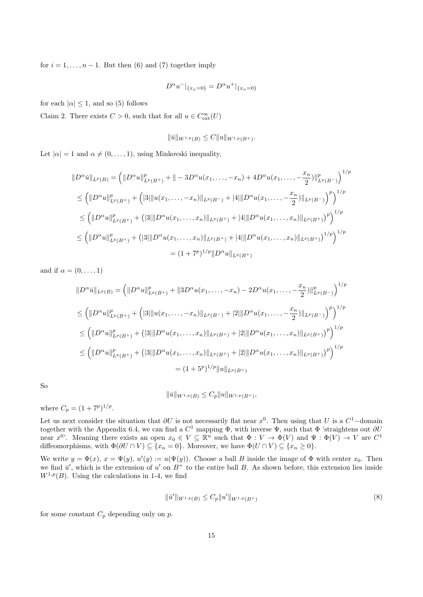for  $i = 1, \ldots, n - 1$ . But then (6) and (7) together imply

$$
D^{\alpha}u^{-}|_{\{x_{n}=0\}} = D^{\alpha}u^{+}|_{\{x_{n}=0\}}
$$

for each  $|\alpha| \leq 1$ , and so (5) follows

Claim 2. There exists  $C > 0$ , such that for all  $u \in C_{\text{ext}}^{\infty}(U)$ 

$$
\|\bar{u}\|_{W^{1,p}(B)} \leq C \|u\|_{W^{1,p}(B^+)}.
$$

Let  $|\alpha| = 1$  and  $\alpha \neq (0, \ldots, 1)$ , using Minkovski inequality,

$$
||D^{\alpha}\bar{u}||_{L^{p}(B)} = (||D^{\alpha}u||_{L^{p}(B^{+})}^{p} + ||-3D^{\alpha}u(x_{1},..., -x_{n}) + 4D^{\alpha}u(x_{1},..., -\frac{x_{n}}{2})||_{L^{p}(B^{-})}^{p})^{1/p}
$$
  
\n
$$
\leq (||D^{\alpha}u||_{L^{p}(B^{+})}^{p} + (|3|||u(x_{1},..., -x_{n})||_{L^{p}(B^{-})} + |4|||D^{\alpha}u(x_{1},..., -\frac{x_{n}}{2})||_{L^{p}(B^{-})})^{p})^{1/p}
$$
  
\n
$$
\leq (||D^{\alpha}u||_{L^{p}(B^{+})}^{p} + (|3|||D^{\alpha}u(x_{1},...,x_{n})||_{L^{p}(B^{+})} + |4|||D^{\alpha}u(x_{1},...,x_{n})||_{L^{p}(B^{+})})^{p})^{1/p}
$$
  
\n
$$
\leq (||D^{\alpha}u||_{L^{p}(B^{+})}^{p} + (|3|||D^{\alpha}u(x_{1},...,x_{n})||_{L^{p}(B^{+})} + |4|||D^{\alpha}u(x_{1},...,x_{n})||_{L^{p}(B^{+})})^{1/p})^{1/p}
$$
  
\n
$$
= (1+7^{p})^{1/p}||D^{\alpha}u||_{L^{p}(B^{+})}
$$

and if  $\alpha = (0, \ldots, 1)$ 

$$
||D^{\alpha}\bar{u}||_{L^{p}(B)} = (||D^{\alpha}u||_{L^{p}(B^{+})}^{p} + ||3D^{\alpha}u(x_{1},..., -x_{n}) - 2D^{\alpha}u(x_{1},..., -\frac{x_{n}}{2})||_{L^{p}(B^{-})}^{p})^{1/p}
$$
  
\n
$$
\leq (||D^{\alpha}u||_{L^{p}(B^{+})}^{p} + (|3||u(x_{1},..., -x_{n})||_{L^{p}(B^{-})} + |2||D^{\alpha}u(x_{1},..., -\frac{x_{n}}{2})||_{L^{p}(B^{-})})^{p})^{1/p}
$$
  
\n
$$
\leq (||D^{\alpha}u||_{L^{p}(B^{+})}^{p} + (|3||D^{\alpha}u(x_{1},...,x_{n})||_{L^{p}(B^{+})} + |2||D^{\alpha}u(x_{1},...,x_{n})||_{L^{p}(B^{+})})^{p})^{1/p}
$$
  
\n
$$
\leq (||D^{\alpha}u||_{L^{p}(B^{+})}^{p} + (|3||D^{\alpha}u(x_{1},...,x_{n})||_{L^{p}(B^{+})} + |2||D^{\alpha}u(x_{1},...,x_{n})||_{L^{p}(B^{+})})^{p})^{1/p}
$$
  
\n
$$
= (1 + 5^{p})^{1/p} ||u||_{L^{p}(B^{+})}
$$

So

$$
\|\bar{u}\|_{W^{1,p}(B)} \le C_p \|u\|_{W^{1,p}(B^+)},
$$

where  $C_p = (1 + 7^p)^{1/p}$ .

Let us next consider the situation that  $\partial U$  is not necessarily flat near  $x^0$ . Then using that U is a  $C^1$ -domain together with the Appendix 6.4, we can find a  $C^1$  mapping  $\Phi$ , with inverse  $\Psi$ , such that  $\Phi$  'straightens out  $\partial U$ near  $x^{0}$ . Meaning there exists an open  $x_{0} \in V \subseteq \mathbb{R}^{n}$  such that  $\Phi: V \to \Phi(V)$  and  $\Psi: \Phi(V) \to V$  are  $C^{1}$ diffeomorphisms, with  $\Phi(\partial U \cap V) \subseteq \{x_n = 0\}$ . Moreover, we have  $\Phi(U \cap V) \subseteq \{x_n \geq 0\}$ .

We write  $y = \Phi(x)$ ,  $x = \Psi(y)$ ,  $u'(y) := u(\Psi(y))$ . Choose a ball B inside the image of  $\Phi$  with center  $x_0$ . Then we find  $\bar{u}'$ , which is the extension of u' on  $B^+$  to the entire ball B. As shown before, this extension lies inside  $W^{1,p}(B)$ . Using the calculations in 1-4, we find

$$
\|\bar{u}'\|_{W^{1,p}(B)} \le C_p \|u'\|_{W^{1,p}(B^+)}
$$
\n(8)

for some constant  $C_p$  depending only on  $p$ .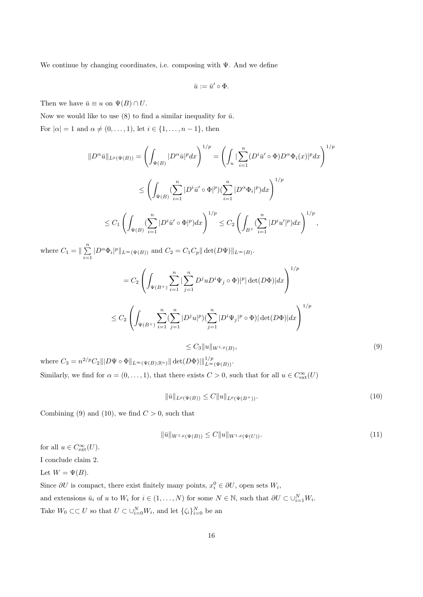We continue by changing coordinates, i.e. composing with  $\Psi$ . And we define

$$
\bar u:=\bar u'\circ\Phi.
$$

Then we have  $\bar{u} \equiv u$  on  $\Psi(B) \cap U$ .

Now we would like to use (8) to find a similar inequality for  $\bar{u}$ . For  $|\alpha|=1$  and  $\alpha\neq (0,\ldots,1)$ , let  $i\in\{1,\ldots,n-1\}$ , then

$$
\|D^{\alpha}\bar{u}\|_{L^{p}(\Psi(B))} = \left(\int_{\Psi(B)} |D^{\alpha}\bar{u}|^{p} dx\right)^{1/p} = \left(\int_{u} \left| \sum_{i=1}^{n} (D^{i}\bar{u}' \circ \Phi) D^{\alpha} \Phi_{i}(x) |^{p} dx \right)^{1/p}
$$
  

$$
\leq \left(\int_{\Psi(B)} (\sum_{i=1}^{n} |D^{i}\bar{u}' \circ \Phi|^{p}) (\sum_{i=1}^{n} |D^{\alpha} \Phi_{i}|^{p}) dx \right)^{1/p}
$$
  

$$
\leq C_{1} \left(\int_{\Psi(B)} (\sum_{i=1}^{n} |D^{i}\bar{u}' \circ \Phi|^{p}) dx \right)^{1/p} \leq C_{2} \left(\int_{B^{+}} (\sum_{i=1}^{n} |D^{i}u'|^{p}) dx \right)^{1/p},
$$

where  $C_1 = \|\sum_{i=1}^{n}$  $\sum_{i=1} |D^{\alpha} \Phi_i|^p ||_{L^{\infty}(\Psi(B))}$  and  $C_2 = C_1 C_p || \det(D\Psi) ||_{L^{\infty}(B)}$ .

$$
= C_2 \left( \int_{\Psi(B^+)} \sum_{i=1}^n |\sum_{j=1}^n D^j u D^i \Psi_j \circ \Phi| |^p |\det(D\Phi)| dx \right)^{1/p}
$$
  

$$
\leq C_2 \left( \int_{\Psi(B^+)} \sum_{i=1}^n (\sum_{j=1}^n |D^j u|^p) (\sum_{j=1}^n |D^i \Psi_j|^p \circ \Phi) |\det(D\Phi)| dx \right)^{1/p}
$$

$$
\leq C_3 \|u\|_{W^{1,p}(B)},\tag{9}
$$

where  $C_3 = n^{2/p} C_2 ||| D \Psi \circ \Phi||_{L^{\infty}(\Psi(B); \mathbb{R}^n)} || \det(D\Phi) |||_{L^{\infty}(\Psi(B))}^{1/p}.$ Similarly, we find for  $\alpha = (0, \ldots, 1)$ , that there exists  $C > 0$ , such that for all  $u \in C_{ext}^{\infty}(U)$ 

$$
\|\bar{u}\|_{L^p(\Psi(B))} \le C \|u\|_{L^p(\Psi(B^+))}.
$$
\n(10)

Combining (9) and (10), we find  $C > 0$ , such that

$$
\|\bar{u}\|_{W^{1,p}(\Psi(B))} \le C \|u\|_{W^{1,p}(\Psi(U))}.
$$
\n(11)

for all  $u \in C_{\text{ext}}^{\infty}(U)$ .

I conclude claim 2.

Let  $W = \Psi(B)$ .

Since  $\partial U$  is compact, there exist finitely many points,  $x_i^0 \in \partial U$ , open sets  $W_i$ ,

and extensions  $\bar{u}_i$  of u to  $W_i$  for  $i \in (1, \ldots, N)$  for some  $N \in \mathbb{N}$ , such that  $\partial U \subset \cup_{i=1}^N W_i$ .

Take  $W_0 \subset\subset U$  so that  $U \subset \cup_{i=0}^N W_i$ , and let  $\{\zeta_i\}_{i=0}^N$  be an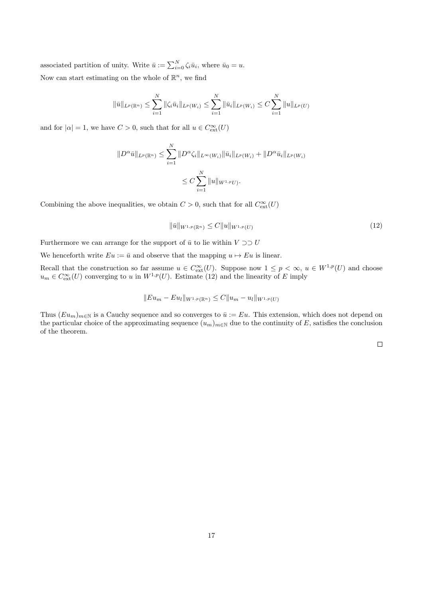associated partition of unity. Write  $\bar{u} := \sum_{i=0}^{N} \zeta_i \bar{u}_i$ , where  $\bar{u}_0 = u$ . Now can start estimating on the whole of  $\mathbb{R}^n$ , we find

$$
\|\bar{u}\|_{L^p(\mathbb{R}^n)} \leq \sum_{i=1}^N \|\zeta_i \bar{u}_i\|_{L^p(W_i)} \leq \sum_{i=1}^N \|\bar{u}_i\|_{L^p(W_i)} \leq C \sum_{i=1}^N \|u\|_{L^p(U)}
$$

and for  $|\alpha| = 1$ , we have  $C > 0$ , such that for all  $u \in C_{\text{ext}}^{\infty}(U)$ 

$$
||D^{\alpha}\bar{u}||_{L^{p}(\mathbb{R}^{n})} \leq \sum_{i=1}^{N} ||D^{\alpha}\zeta_{i}||_{L^{\infty}(W_{i})} ||\bar{u}_{i}||_{L^{p}(W_{i})} + ||D^{\alpha}\bar{u}_{i}||_{L^{p}(W_{i})}
$$
  

$$
\leq C \sum_{i=1}^{N} ||u||_{W^{1,p}U}.
$$

Combining the above inequalities, we obtain  $C > 0$ , such that for all  $C^{\infty}_{ext}(U)$ 

$$
\|\bar{u}\|_{W^{1,p}(\mathbb{R}^n)} \le C \|u\|_{W^{1,p}(U)}\tag{12}
$$

Furthermore we can arrange for the support of  $\bar{u}$  to lie within  $V \supset U$ 

We henceforth write  $Eu := \bar{u}$  and observe that the mapping  $u \mapsto Eu$  is linear.

Recall that the construction so far assume  $u \in C_{ext}^{\infty}(U)$ . Suppose now  $1 \leq p < \infty$ ,  $u \in W^{1,p}(U)$  and choose  $u_m \in C_{\text{ext}}^{\infty}(U)$  converging to u in  $W^{1,p}(U)$ . Estimate (12) and the linearity of E imply

$$
||Eu_m - Eu_l||_{W^{1,p}(\mathbb{R}^n)} \leq C||u_m - u_l||_{W^{1,p}(U)}
$$

Thus  $(Eu_m)_{m\in\mathbb{N}}$  is a Cauchy sequence and so converges to  $\bar{u} := Eu$ . This extension, which does not depend on the particular choice of the approximating sequence  $(u_m)_{m\in\mathbb{N}}$  due to the continuity of E, satisfies the conclusion of the theorem.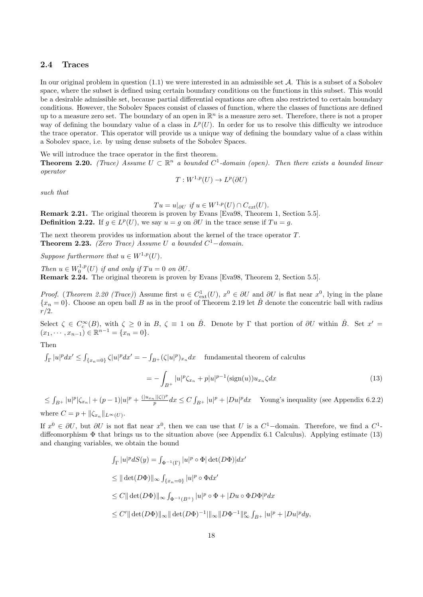#### 2.4 Traces

In our original problem in question  $(1.1)$  we were interested in an admissible set  $A$ . This is a subset of a Sobolev space, where the subset is defined using certain boundary conditions on the functions in this subset. This would be a desirable admissible set, because partial differential equations are often also restricted to certain boundary conditions. However, the Sobolev Spaces consist of classes of function, where the classes of functions are defined up to a measure zero set. The boundary of an open in  $\mathbb{R}^n$  is a measure zero set. Therefore, there is not a proper way of defining the boundary value of a class in  $L^p(U)$ . In order for us to resolve this difficulty we introduce the trace operator. This operator will provide us a unique way of defining the boundary value of a class within a Sobolev space, i.e. by using dense subsets of the Sobolev Spaces.

We will introduce the trace operator in the first theorem.

**Theorem 2.20.** (Trace) Assume  $U \subset \mathbb{R}^n$  a bounded  $C^1$ -domain (open). Then there exists a bounded linear operator

$$
T: W^{1,p}(U) \to L^p(\partial U)
$$

such that

 $Tu = u|_{\partial U}$  if  $u \in W^{1,p}(U) \cap C_{ext}(U)$ .

Remark 2.21. The original theorem is proven by Evans [Eva98, Theorem 1, Section 5.5]. **Definition 2.22.** If  $g \in L^p(U)$ , we say  $u = g$  on  $\partial U$  in the trace sense if  $Tu = g$ .

The next theorem provides us information about the kernel of the trace operator T. **Theorem 2.23.** (Zero Trace) Assume U a bounded  $C^1$ -domain.

Suppose furthermore that  $u \in W^{1,p}(U)$ .

Then  $u \in W_0^{1,p}(U)$  if and only if  $Tu = 0$  on  $\partial U$ .

and changing variables, we obtain the bound

Remark 2.24. The original theorem is proven by Evans [Eva98, Theorem 2, Section 5.5].

*Proof.* (*Theorem 2.20 (Trace)*) Assume first  $u \in C<sup>1</sup><sub>ext</sub>(U)$ ,  $x<sup>0</sup> \in \partial U$  and  $\partial U$  is flat near  $x<sup>0</sup>$ , lying in the plane  ${x_n = 0}$ . Choose an open ball B as in the proof of Theorem 2.19 let  $\hat{B}$  denote the concentric ball with radius  $r/2$ .

Select  $\zeta \in C_c^{\infty}(B)$ , with  $\zeta \ge 0$  in  $B$ ,  $\zeta \equiv 1$  on  $\hat{B}$ . Denote by  $\Gamma$  that portion of  $\partial U$  within  $\hat{B}$ . Set  $x' =$  $(x_1, \dots, x_{n-1}) \in \mathbb{R}^{n-1} = \{x_n = 0\}.$ 

#### Then

 $\int_{\Gamma} |u|^p dx' \leq \int_{\{x_n=0\}} \zeta |u|^p dx' = - \int_{B^+} (\zeta |u|^p)_{x_n} dx$  fundamental theorem of calculus

$$
= -\int_{B^{+}} |u|^{p} \zeta_{x_{n}} + p|u|^{p-1} (\text{sign}(u)) u_{x_{n}} \zeta dx \tag{13}
$$

 $\leq \int_{B^+} |u|^p |\zeta_{x_n}| + (p-1)|u|^p + \frac{(|u_{x_n}||\zeta|)^p}{p}$  $\frac{d_p ||S|^p}{p} dx \le C \int_{B^+} |u|^p + |Du|^p dx$  Young's inequality (see Appendix 6.2.2) where  $C = p + ||\zeta_{x_n}||_{L^{\infty}(U)}$ .

If  $x^0 \in \partial U$ , but  $\partial U$  is not flat near  $x^0$ , then we can use that U is a  $C^1$ -domain. Therefore, we find a  $C^1$ diffeomorphism  $\Phi$  that brings us to the situation above (see Appendix 6.1 Calculus). Applying estimate (13)

$$
\int_{\Gamma} |u|^p dS(y) = \int_{\Phi^{-1}(\Gamma)} |u|^p \circ \Phi| \det(D\Phi)| dx'
$$
  
\n
$$
\leq || \det(D\Phi) ||_{\infty} \int_{\{x_n = 0\}} |u|^p \circ \Phi dx'
$$
  
\n
$$
\leq C || \det(D\Phi) ||_{\infty} \int_{\Phi^{-1}(B^+)} |u|^p \circ \Phi + |Du \circ \Phi D\Phi|^p dx
$$
  
\n
$$
\leq C' || \det(D\Phi) ||_{\infty} || \det(D\Phi)^{-1} ||_{\infty} ||D\Phi^{-1} ||_{\infty}^p \int_{B^+} |u|^p + |Du|^p dy,
$$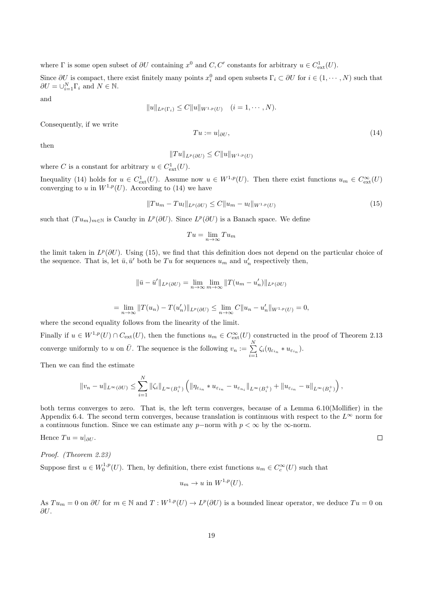where  $\Gamma$  is some open subset of  $\partial U$  containing  $x^0$  and  $C, C'$  constants for arbitrary  $u \in C^1_{ext}(U)$ .

Since  $\partial U$  is compact, there exist finitely many points  $x_i^0$  and open subsets  $\Gamma_i \subset \partial U$  for  $i \in (1, \dots, N)$  such that  $\partial U = \bigcup_{i=1}^{N} \Gamma_i$  and  $N \in \mathbb{N}$ .

and

$$
||u||_{L^p(\Gamma_i)} \leq C||u||_{W^{1,p}(U)} \quad (i=1,\cdots,N).
$$

Consequently, if we write

then

$$
||Tu||_{L^p(\partial U)} \leq C||u||_{W^{1,p}(U)}
$$

where C is a constant for arbitrary  $u \in C<sup>1</sup><sub>ext</sub>(U)$ .

Inequality (14) holds for  $u \in C^1_{ext}(U)$ . Assume now  $u \in W^{1,p}(U)$ . Then there exist functions  $u_m \in C^{\infty}_{ext}(U)$ converging to u in  $W^{1,p}(U)$ . According to (14) we have

$$
||Tu_m - Tu_l||_{L^p(\partial U)} \le C||u_m - u_l||_{W^{1,p}(U)}
$$
\n(15)

 $Tu := u|_{\partial U},$  (14)

 $\Box$ 

such that  $(T u_m)_{m \in \mathbb{N}}$  is Cauchy in  $L^p(\partial U)$ . Since  $L^p(\partial U)$  is a Banach space. We define

$$
Tu = \lim_{n \to \infty} Tu_m
$$

the limit taken in  $L^p(\partial U)$ . Using (15), we find that this definition does not depend on the particular choice of the sequence. That is, let  $\bar{u}, \bar{u}'$  both be Tu for sequences  $u_m$  and  $u'_n$  respectively then,

$$
\|\bar{u} - \bar{u}'\|_{L^p(\partial U)} = \lim_{n \to \infty} \lim_{m \to \infty} \|T(u_m - u'_n)\|_{L^p(\partial U)}
$$
  
= 
$$
\lim_{n \to \infty} \|T(u_n) - T(u'_n)\|_{L^p(\partial U)} \le \lim_{n \to \infty} C \|u_n - u'_n\|_{W^{1,p}(U)} = 0,
$$

where the second equality follows from the linearity of the limit.

Finally if  $u \in W^{1,p}(U) \cap C_{ext}(U)$ , then the functions  $u_m \in C_{ext}^{\infty}(U)$  constructed in the proof of Theorem 2.13 converge uniformly to u on  $\bar{U}$ . The sequence is the following  $v_n := \sum_{i=1}^{N}$  $\sum_{i=1} \zeta_i (\eta_{\varepsilon_{i_n}} * u_{\varepsilon_{i_n}}).$ 

Then we can find the estimate

$$
||v_n - u||_{L^{\infty}(\partial U)} \leq \sum_{i=1}^N ||\zeta_i||_{L^{\infty}(B_i^+)} \left(||\eta_{\varepsilon_{i_n}} * u_{\varepsilon_{i_n}} - u_{\varepsilon_{n_i}}||_{L^{\infty}(B_i^+)} + ||u_{\varepsilon_{i_n}} - u||_{L^{\infty}(B_i^+)}\right),
$$

both terms converges to zero. That is, the left term converges, because of a Lemma 6.10(Mollifier) in the Appendix 6.4. The second term converges, because translation is continuous with respect to the  $L^{\infty}$  norm for a continuous function. Since we can estimate any p−norm with  $p < \infty$  by the  $\infty$ -norm.

Hence 
$$
Tu = u|_{\partial U}
$$
.

Proof. (Theorem 2.23)

Suppose first  $u \in W_0^{1,p}(U)$ . Then, by definition, there exist functions  $u_m \in C_c^{\infty}(U)$  such that

$$
u_m \to u \text{ in } W^{1,p}(U).
$$

As  $Tu_m = 0$  on  $\partial U$  for  $m \in \mathbb{N}$  and  $T: W^{1,p}(U) \to L^p(\partial U)$  is a bounded linear operator, we deduce  $Tu = 0$  on  $\partial U$ .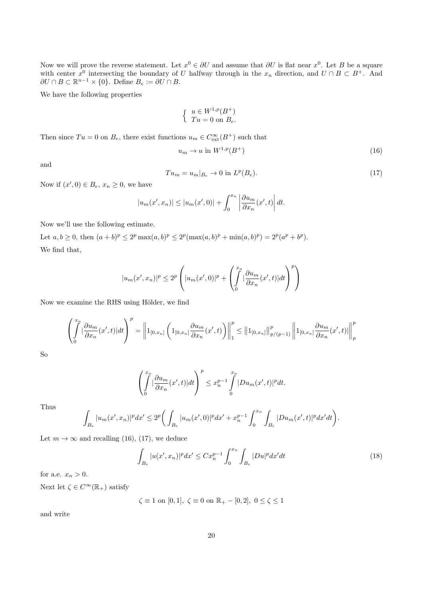Now we will prove the reverse statement. Let  $x^0 \in \partial U$  and assume that  $\partial U$  is flat near  $x^0$ . Let B be a square with center  $x^0$  intersecting the boundary of U halfway through in the  $x_n$  direction, and  $U \cap B \subset B^+$ . And  $\partial U \cap B \subset \mathbb{R}^{n-1} \times \{0\}$ . Define  $B_e := \partial U \cap B$ .

We have the following properties

$$
\begin{cases} u \in W^{1,p}(B^+) \\ Tu = 0 \text{ on } B_e. \end{cases}
$$

Then since  $Tu = 0$  on  $B_e$ , there exist functions  $u_m \in C_{ext}^{\infty}(B^+)$  such that

$$
u_m \to u \text{ in } W^{1,p}(B^+) \tag{16}
$$

and

$$
Tu_m = u_m|_{B_e} \to 0 \text{ in } L^p(B_e). \tag{17}
$$

Now if  $(x',0) \in B_e$ ,  $x_n \geq 0$ , we have

$$
|u_m(x',x_n)| \le |u_m(x',0)| + \int_0^{x_n} \left| \frac{\partial u_m}{\partial x_n}(x',t) \right| dt.
$$

Now we'll use the following estimate.

Let  $a, b \ge 0$ , then  $(a + b)^p \le 2^p \max(a, b)^p \le 2^p (\max(a, b)^p + \min(a, b)^p) = 2^p (a^p + b^p)$ . We find that,

$$
|u_m(x',x_n)|^p \le 2^p \left( |u_m(x',0)|^p + \left( \int_0^{x_n} |\frac{\partial u_m}{\partial x_n}(x',t)| dt \right)^p \right)
$$

Now we examine the RHS using Hölder, we find

$$
\left(\int_{0}^{x_n} \left|\frac{\partial u_m}{\partial x_n}(x',t)\right|dt\right)^p = \left\|1_{[0,x_n]}\left(1_{[0,x_n]}\frac{\partial u_m}{\partial x_n}(x',t)\right)\right\|_1^p \leq \left\|1_{[0,x_n]}\right\|_{p/(p-1)}^p \left\|1_{[0,x_n]}\frac{\partial u_m}{\partial x_n}(x',t)\right\|_p^p
$$

So

$$
\left(\int_{0}^{x_n} |\frac{\partial u_m}{\partial x_n}(x',t)| dt\right)^p \leq x_n^{p-1} \int_{0}^{x_n} |Du_m(x',t)|^p dt.
$$

Thus

$$
\int_{B_e} |u_m(x',x_n)|^p dx' \le 2^p \bigg( \int_{B_e} |u_m(x',0)|^p dx' + x_n^{p-1} \int_0^{x_n} \int_{B_e} |Du_m(x',t)|^p dx' dt \bigg).
$$

Let  $m \to \infty$  and recalling (16), (17), we deduce

$$
\int_{B_e} |u(x',x_n)|^p dx' \leq C x_n^{p-1} \int_0^{x_n} \int_{B_e} |Du|^p dx' dt \tag{18}
$$

for a.e.  $x_n > 0$ .

Next let  $\zeta \in C^{\infty}(\mathbb{R}_{+})$  satisfy

 $\zeta \equiv 1$  on [0, 1],  $\zeta \equiv 0$  on  $\mathbb{R}_{+} - [0, 2]$ ,  $0 \le \zeta \le 1$ 

and write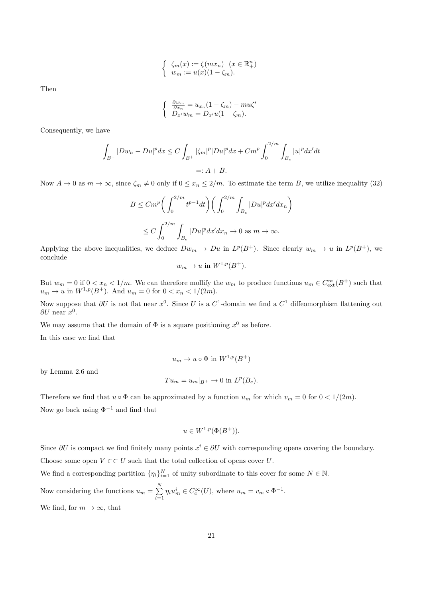$$
\begin{cases} \zeta_m(x) := \zeta(mx_n) & (x \in \mathbb{R}^n_+) \\ w_m := u(x)(1 - \zeta_m). \end{cases}
$$

Then

$$
\begin{cases} \frac{\partial w_m}{\partial x_n} = u_{x_n}(1 - \zeta_m) - m u \zeta'\\ D_{x'} w_m = D_{x'} u (1 - \zeta_m). \end{cases}
$$

Consequently, we have

$$
\int_{B^+} |Dw_n - Du|^p dx \le C \int_{B^+} |\zeta_m|^p |Du|^p dx + Cm^p \int_0^{2/m} \int_{B_e} |u|^p dx' dt
$$
  
=: A + B.

Now  $A \to 0$  as  $m \to \infty$ , since  $\zeta_m \neq 0$  only if  $0 \leq x_n \leq 2/m$ . To estimate the term B, we utilize inequality (32)

$$
B \leq C m^p \bigg( \int_0^{2/m} t^{p-1} dt \bigg) \bigg( \int_0^{2/m} \int_{B_e} |Du|^p dx' dx_n \bigg)
$$
  

$$
\leq C \int_0^{2/m} \int_{B_e} |Du|^p dx' dx_n \to 0 \text{ as } m \to \infty.
$$

Applying the above inequalities, we deduce  $Dw_m \to Du$  in  $L^p(B^+)$ . Since clearly  $w_m \to u$  in  $L^p(B^+)$ , we conclude

$$
w_m \to u \text{ in } W^{1,p}(B^+).
$$

But  $w_m = 0$  if  $0 < x_n < 1/m$ . We can therefore mollify the  $w_m$  to produce functions  $u_m \in C_{ext}^{\infty}(B^+)$  such that  $u_m \to u$  in  $W^{1,p}(B^+)$ . And  $u_m = 0$  for  $0 < x_n < 1/(2m)$ .

Now suppose that  $\partial U$  is not flat near  $x^0$ . Since U is a  $C^1$ -domain we find a  $C^1$  diffeomorphism flattening out  $\partial U$  near  $x^0$ .

We may assume that the domain of  $\Phi$  is a square positioning  $x^0$  as before.

In this case we find that

$$
u_m \to u \circ \Phi \text{ in } W^{1,p}(B^+)
$$

by Lemma 2.6 and

$$
Tu_m = u_m|_{B^+} \to 0 \text{ in } L^p(B_e).
$$

Therefore we find that  $u \circ \Phi$  can be approximated by a function  $u_m$  for which  $v_m = 0$  for  $0 < 1/(2m)$ . Now go back using  $\Phi^{-1}$  and find that

$$
u \in W^{1,p}(\Phi(B^+)).
$$

Since  $\partial U$  is compact we find finitely many points  $x^i \in \partial U$  with corresponding opens covering the boundary. Choose some open  $V \subset\subset U$  such that the total collection of opens cover U.

We find a corresponding partition  $\{\eta_i\}_{i=1}^N$  of unity subordinate to this cover for some  $N \in \mathbb{N}$ . Now considering the functions  $u_m = \sum_{n=1}^{N}$  $\sum_{i=1} \eta_i u_m^i \in C_c^{\infty}(U)$ , where  $u_m = v_m \circ \Phi^{-1}$ .

We find, for  $m \to \infty$ , that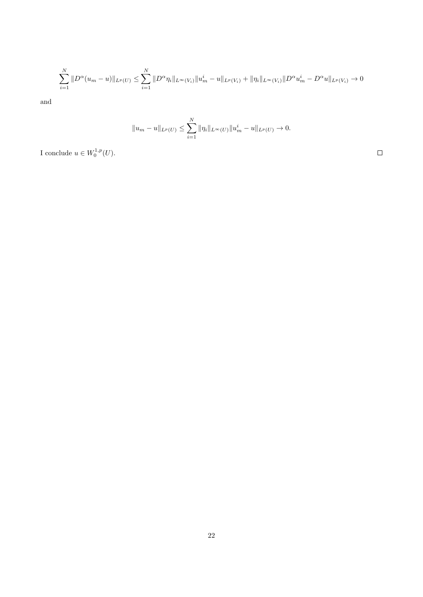$$
\sum_{i=1}^N \|D^{\alpha}(u_m - u)\|_{L^p(U)} \le \sum_{i=1}^N \|D^{\alpha}\eta_i\|_{L^{\infty}(V_i)} \|u_m^i - u\|_{L^p(V_i)} + \|\eta_i\|_{L^{\infty}(V_i)} \|D^{\alpha}u_m^i - D^{\alpha}u\|_{L^p(V_i)} \to 0
$$

and

$$
||u_m - u||_{L^p(U)} \le \sum_{i=1}^N ||\eta_i||_{L^\infty(U)} ||u_m^i - u||_{L^p(U)} \to 0.
$$

I conclude  $u \in W_0^{1,p}(U)$ .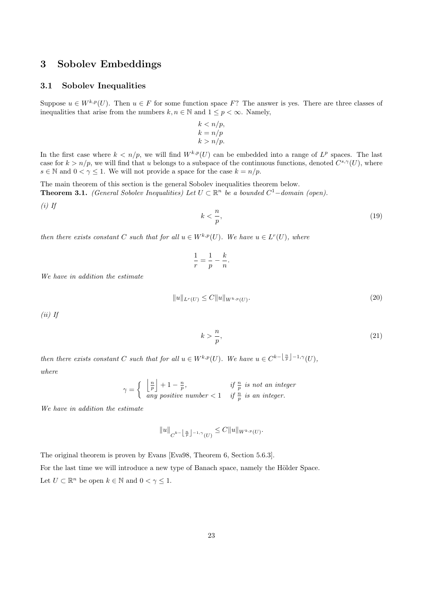# 3 Sobolev Embeddings

#### 3.1 Sobolev Inequalities

Suppose  $u \in W^{k,p}(U)$ . Then  $u \in F$  for some function space F? The answer is yes. There are three classes of inequalities that arise from the numbers  $k, n \in \mathbb{N}$  and  $1 \leq p < \infty$ . Namely,

$$
k < n/p, \\
 k = n/p, \\
 k > n/p.
$$

In the first case where  $k < n/p$ , we will find  $W^{k,p}(U)$  can be embedded into a range of  $L^p$  spaces. The last case for  $k > n/p$ , we will find that u belongs to a subspace of the continuous functions, denoted  $C^{s,\gamma}(U)$ , where  $s \in \mathbb{N}$  and  $0 < \gamma \leq 1$ . We will not provide a space for the case  $k = n/p$ .

The main theorem of this section is the general Sobolev inequalities theorem below. **Theorem 3.1.** (General Sobolev Inequalities) Let  $U \subset \mathbb{R}^n$  be a bounded  $C^1$ -domain (open).

 $(i)$  If

$$
k < \frac{n}{p},\tag{19}
$$

then there exists constant C such that for all  $u \in W^{k,p}(U)$ . We have  $u \in L^r(U)$ , where

$$
\frac{1}{r} = \frac{1}{p} - \frac{k}{n}.
$$

We have in addition the estimate

$$
||u||_{L^r(U)} \le C||u||_{W^{k,p}(U)}.
$$
\n(20)

 $(ii)$  If

$$
k > \frac{n}{p},\tag{21}
$$

then there exists constant C such that for all  $u \in W^{k,p}(U)$ . We have  $u \in C^{k-\lfloor \frac{n}{p} \rfloor - 1, \gamma}(U)$ , where

$$
\gamma = \begin{cases} \begin{array}{c} \left\lfloor \frac{n}{p} \right\rfloor + 1 - \frac{n}{p}, & \text{if } \frac{n}{p} \text{ is not an integer} \\ \text{any positive number} < 1 \end{array} \end{cases}
$$

We have in addition the estimate

$$
||u||_{C^{k-\left\lfloor\frac{n}{p}\right\rfloor-1,\gamma}(U)} \leq C||u||_{W^{k,p}(U)}.
$$

The original theorem is proven by Evans [Eva98, Theorem 6, Section 5.6.3].

For the last time we will introduce a new type of Banach space, namely the Hölder Space. Let  $U \subset \mathbb{R}^n$  be open  $k \in \mathbb{N}$  and  $0 < \gamma \leq 1$ .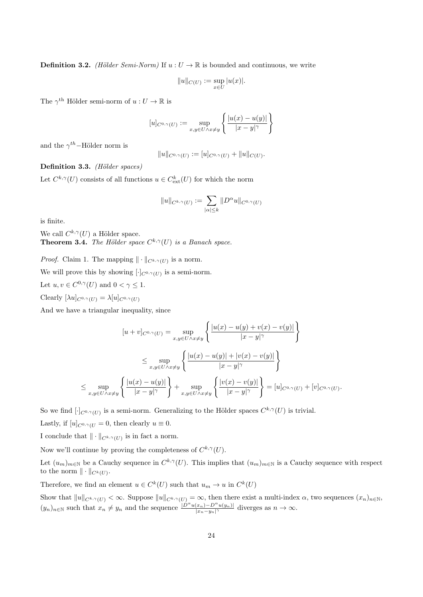**Definition 3.2.** (Hölder Semi-Norm) If  $u: U \to \mathbb{R}$  is bounded and continuous, we write

$$
||u||_{C(U)} := \sup_{x \in U} |u(x)|.
$$

The  $\gamma^{\text{th}}$  Hölder semi-norm of  $u: U \to \mathbb{R}$  is

$$
[u]_{C^{0,\gamma}(U)} := \sup_{x,y \in U \wedge x \neq y} \left\{ \frac{|u(x) - u(y)|}{|x - y|^{\gamma}} \right\}
$$

and the  $\gamma^{th}$ -Hölder norm is

$$
||u||_{C^{0,\gamma}(U)} := [u]_{C^{0,\gamma}(U)} + ||u||_{C(U)}.
$$

Definition 3.3. (Hölder spaces)

Let  $C^{k,\gamma}(U)$  consists of all functions  $u \in C^k_{\text{ext}}(U)$  for which the norm

$$
||u||_{C^{k,\gamma}(U)} := \sum_{|\alpha| \leq k} ||D^{\alpha}u||_{C^{0,\gamma}(U)}
$$

is finite.

We call  $C^{k,\gamma}(U)$  a Hölder space. **Theorem 3.4.** The Hölder space  $C^{k,\gamma}(U)$  is a Banach space.

*Proof.* Claim 1. The mapping  $\|\cdot\|_{C^{k,\gamma}(U)}$  is a norm.

We will prove this by showing  $[\cdot]_{C^{0,\gamma}(U)}$  is a semi-norm.

Let  $u, v \in C^{0,\gamma}(U)$  and  $0 < \gamma \leq 1$ .

Clearly  $[\lambda u]_{C^{0,\gamma}(U)} = \lambda [u]_{C^{0,\gamma}(U)}$ 

And we have a triangular inequality, since

$$
[u+v]_{C^{0,\gamma}(U)} = \sup_{x,y \in U \wedge x \neq y} \left\{ \frac{|u(x) - u(y) + v(x) - v(y)|}{|x-y|^{\gamma}} \right\}
$$

$$
\leq \sup_{x,y \in U \wedge x \neq y} \left\{ \frac{|u(x) - u(y)| + |v(x) - v(y)|}{|x-y|^{\gamma}} \right\}
$$

$$
\leq \sup_{x,y \in U \wedge x \neq y} \left\{ \frac{|u(x) - u(y)|}{|x-y|^{\gamma}} \right\} + \sup_{x,y \in U \wedge x \neq y} \left\{ \frac{|v(x) - v(y)|}{|x-y|^{\gamma}} \right\} = [u]_{C^{0,\gamma}(U)} + [v]_{C^{0,\gamma}(U)}.
$$

So we find  $[\cdot]_{C^{0,\gamma}(U)}$  is a semi-norm. Generalizing to the Hölder spaces  $C^{k,\gamma}(U)$  is trivial.

Lastly, if  $[u]_{C^0, \gamma(U)} = 0$ , then clearly  $u \equiv 0$ .

I conclude that  $\|\cdot\|_{C^{k,\gamma}(U)}$  is in fact a norm.

Now we'll continue by proving the completeness of  $C^{k,\gamma}(U)$ .

Let  $(u_m)_{m\in\mathbb{N}}$  be a Cauchy sequence in  $C^{k,\gamma}(U)$ . This implies that  $(u_m)_{m\in\mathbb{N}}$  is a Cauchy sequence with respect to the norm  $\|\cdot\|_{C^k(U)}$ .

Therefore, we find an element  $u \in C^k(U)$  such that  $u_m \to u$  in  $C^k(U)$ 

Show that  $||u||_{C^{k,\gamma}(U)} < \infty$ . Suppose  $||u||_{C^{k,\gamma}(U)} = \infty$ , then there exist a multi-index  $\alpha$ , two sequences  $(x_n)_{n\in\mathbb{N}}$ ,  $(y_n)_{n\in\mathbb{N}}$  such that  $x_n \neq y_n$  and the sequence  $\frac{|D^{\alpha}u(x_n)-D^{\alpha}u(y_n)|}{|x_n-y_n|^{\gamma}}$  diverges as  $n\to\infty$ .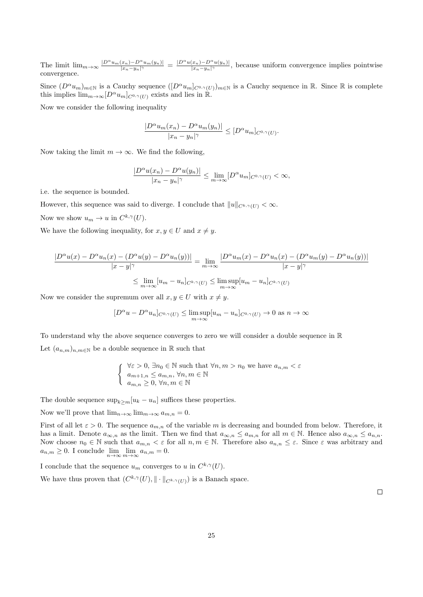The limit  $\lim_{m\to\infty} \frac{|D^{\alpha}u_m(x_n)-D^{\alpha}u_m(y_n)|}{|x_n-u_n|^{\gamma}}$  $\frac{|(x_n)-D^{\alpha}u_m(y_n)|}{|x_n-y_n|^{\gamma}} = \frac{|D^{\alpha}u(x_n)-D^{\alpha}u(y_n)|}{|x_n-y_n|^{\gamma}}$  $\frac{|x_n|-D^-u(y_n)|}{|x_n-y_n|^\gamma}$ , because uniform convergence implies pointwise convergence.

Since  $(D^{\alpha}u_m)_{m\in\mathbb{N}}$  is a Cauchy sequence  $([D^{\alpha}u_m]_{C^{0,\gamma}(U)})_{m\in\mathbb{N}}$  is a Cauchy sequence in R. Since R is complete this implies  $\lim_{m\to\infty} [D^{\alpha}u_m]_{C^{0,\gamma}(U)}$  exists and lies in R.

Now we consider the following inequality

$$
\frac{|D^{\alpha}u_m(x_n)-D^{\alpha}u_m(y_n)|}{|x_n-y_n|^{\gamma}}\leq [D^{\alpha}u_m]_{C^{0,\gamma}(U)}.
$$

Now taking the limit  $m \to \infty$ . We find the following,

$$
\frac{|D^{\alpha}u(x_n)-D^{\alpha}u(y_n)|}{|x_n-y_n|^{\gamma}}\leq \lim_{m\to\infty}[D^{\alpha}u_m]_{C^{0,\gamma}(U)}<\infty,
$$

i.e. the sequence is bounded.

However, this sequence was said to diverge. I conclude that  $||u||_{C^{k,\gamma}(U)} < \infty$ .

Now we show  $u_m \to u$  in  $C^{k,\gamma}(U)$ .

We have the following inequality, for  $x, y \in U$  and  $x \neq y$ .

$$
\frac{|D^{\alpha}u(x) - D^{\alpha}u_n(x) - (D^{\alpha}u(y) - D^{\alpha}u_n(y))|}{|x - y|^{\gamma}} = \lim_{m \to \infty} \frac{|D^{\alpha}u_m(x) - D^{\alpha}u_n(x) - (D^{\alpha}u_m(y) - D^{\alpha}u_n(y))|}{|x - y|^{\gamma}}
$$

$$
\leq \lim_{m \to \infty} [u_m - u_n]_{C^{k,\gamma}(U)} \leq \limsup_{m \to \infty} [u_m - u_n]_{C^{k,\gamma}(U)}
$$

Now we consider the supremum over all  $x, y \in U$  with  $x \neq y$ .

$$
[D^{\alpha}u - D^{\alpha}u_n]_{C^{0,\gamma}(U)} \le \limsup_{m \to \infty} [u_m - u_n]_{C^{0,\gamma}(U)} \to 0 \text{ as } n \to \infty
$$

To understand why the above sequence converges to zero we will consider a double sequence in R Let  $(a_{n,m})_{n,m\in\mathbb{N}}$  be a double sequence in  $\mathbb R$  such that

$$
\begin{cases} \forall \varepsilon > 0, \exists n_0 \in \mathbb{N} \text{ such that } \forall n, m > n_0 \text{ we have } a_{n,m} < \varepsilon \\ a_{m+1,n} \le a_{m,n}, \forall n, m \in \mathbb{N} \\ a_{m,n} \ge 0, \forall n, m \in \mathbb{N} \end{cases}
$$

The double sequence  $\sup_{k>m}[u_k-u_n]$  suffices these properties.

Now we'll prove that  $\lim_{n\to\infty} \lim_{m\to\infty} a_{m,n} = 0$ .

First of all let  $\varepsilon > 0$ . The sequence  $a_{m,n}$  of the variable m is decreasing and bounded from below. Therefore, it has a limit. Denote  $a_{\infty,n}$  as the limit. Then we find that  $a_{\infty,n} \le a_{m,n}$  for all  $m \in \mathbb{N}$ . Hence also  $a_{\infty,n} \le a_{n,n}$ . Now choose  $n_0 \in \mathbb{N}$  such that  $a_{m,n} < \varepsilon$  for all  $n, m \in \mathbb{N}$ . Therefore also  $a_{n,n} \leq \varepsilon$ . Since  $\varepsilon$  was arbitrary and  $a_{n,m} \geq 0$ . I conclude  $\lim_{n \to \infty} \lim_{m \to \infty} a_{n,m} = 0$ .

I conclude that the sequence  $u_m$  converges to u in  $C^{k,\gamma}(U)$ .

We have thus proven that  $(C^{k,\gamma}(U), \|\cdot\|_{C^{k,\gamma}(U)})$  is a Banach space.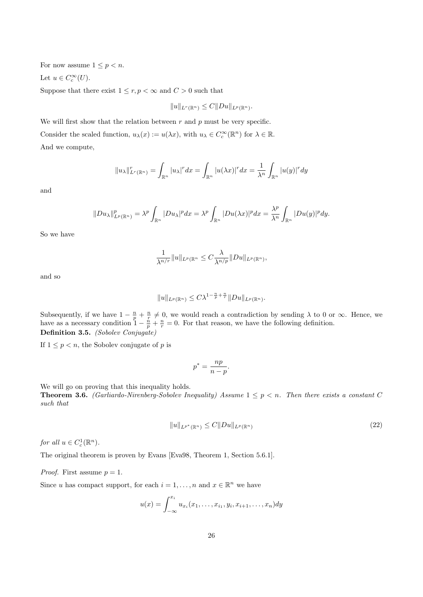For now assume  $1 \leq p < n$ .

Let  $u \in C_c^{\infty}(U)$ .

Suppose that there exist  $1 \le r, p < \infty$  and  $C > 0$  such that

$$
||u||_{L^r(\mathbb{R}^n)} \leq C||Du||_{L^p(\mathbb{R}^n)}.
$$

We will first show that the relation between  $r$  and  $p$  must be very specific. Consider the scaled function,  $u_{\lambda}(x) := u(\lambda x)$ , with  $u_{\lambda} \in C_c^{\infty}(\mathbb{R}^n)$  for  $\lambda \in \mathbb{R}$ . And we compute,

$$
||u_\lambda||_{L^r(\mathbb{R}^n)}^r = \int_{\mathbb{R}^n} |u_\lambda|^r dx = \int_{\mathbb{R}^n} |u(\lambda x)|^r dx = \frac{1}{\lambda^n} \int_{\mathbb{R}^n} |u(y)|^r dy
$$

and

$$
||Du_\lambda||_{L^p(\mathbb{R}^n)}^p = \lambda^p \int_{\mathbb{R}^n} |Du_\lambda|^p dx = \lambda^p \int_{\mathbb{R}^n} |Du(\lambda x)|^p dx = \frac{\lambda^p}{\lambda^n} \int_{\mathbb{R}^n} |Du(y)|^p dy.
$$

So we have

$$
\frac{1}{\lambda^{n/r}}\|u\|_{L^p(\mathbb{R}^n}\leq C\frac{\lambda}{\lambda^{n/p}}\|Du\|_{L^p(\mathbb{R}^n)},
$$

and so

$$
||u||_{L^p(\mathbb{R}^n)} \leq C\lambda^{1-\frac{n}{p}+\frac{n}{r}} ||Du||_{L^p(\mathbb{R}^n)}.
$$

Subsequently, if we have  $1 - \frac{n}{p} + \frac{n}{r} \neq 0$ , we would reach a contradiction by sending  $\lambda$  to 0 or  $\infty$ . Hence, we have as a necessary condition  $\frac{n}{1} - \frac{n}{p} + \frac{n}{r} = 0$ . For that reason, we have the following definition. Definition 3.5. (Sobolev Conjugate)

If  $1 \leq p < n$ , the Sobolev conjugate of p is

$$
p^* = \frac{np}{n-p}.
$$

We will go on proving that this inequality holds.

**Theorem 3.6.** (Garliardo-Nirenberg-Sobolev Inequality) Assume  $1 \leq p \leq n$ . Then there exists a constant C such that

$$
||u||_{L^{p^*}(\mathbb{R}^n)} \le C||Du||_{L^p(\mathbb{R}^n)}\tag{22}
$$

for all  $u \in C_c^1(\mathbb{R}^n)$ .

The original theorem is proven by Evans [Eva98, Theorem 1, Section 5.6.1].

*Proof.* First assume  $p = 1$ .

Since u has compact support, for each  $i = 1, ..., n$  and  $x \in \mathbb{R}^n$  we have

$$
u(x) = \int_{-\infty}^{x_i} u_{x_i}(x_1, \dots, x_{i_1}, y_i, x_{i+1}, \dots, x_n) dy
$$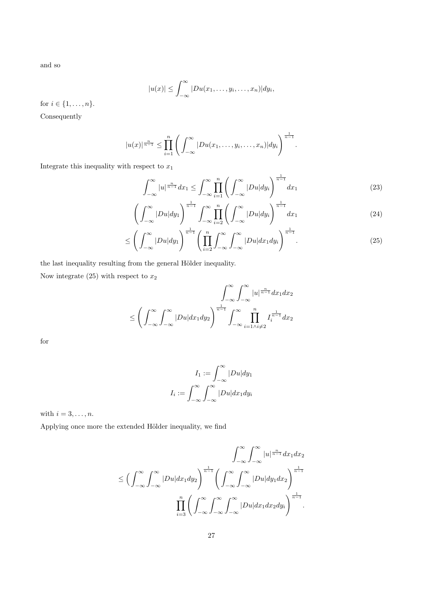and so

$$
|u(x)| \leq \int_{-\infty}^{\infty} |Du(x_1,\ldots,y_i,\ldots,x_n)| dy_i,
$$

for  $i \in \{1, ..., n\}$ .

Consequently

$$
|u(x)|^{\frac{n}{n-1}} \leq \prod_{i=1}^{n} \left( \int_{-\infty}^{\infty} |Du(x_1,\ldots,y_i,\ldots,x_n)| dy_i \right)^{\frac{1}{n-1}}.
$$

Integrate this inequality with respect to  $x_1$ 

$$
\int_{-\infty}^{\infty} |u|^{\frac{n}{n-1}} dx_1 \le \int_{-\infty}^{\infty} \prod_{i=1}^{n} \left( \int_{-\infty}^{\infty} |Du| dy_i \right)^{\frac{1}{n-1}} dx_1 \tag{23}
$$

$$
\left(\int_{-\infty}^{\infty} |Du| dy_1\right)^{\frac{1}{n-1}} \int_{-\infty}^{\infty} \prod_{i=2}^{n} \left(\int_{-\infty}^{\infty} |Du| dy_i\right)^{\frac{1}{n-1}} dx_1\tag{24}
$$

$$
\leq \left(\int_{-\infty}^{\infty} |Du| dy_1\right)^{\frac{1}{n-1}} \left(\prod_{i=2}^{n} \int_{-\infty}^{\infty} \int_{-\infty}^{\infty} |Du| dx_1 dy_i\right)^{\frac{1}{n-1}}.\tag{25}
$$

the last inequality resulting from the general Hölder inequality.

Now integrate (25) with respect to  $x_2$ 

$$
\int_{-\infty}^{\infty} \int_{-\infty}^{\infty} |u|^{\frac{n}{n-1}} dx_1 dx_2
$$
  

$$
\leq \left(\int_{-\infty}^{\infty} \int_{-\infty}^{\infty} |Du| dx_1 dy_2\right)^{\frac{1}{n-1}} \int_{-\infty}^{\infty} \prod_{i=1 \wedge i \neq 2}^{n} I_i^{\frac{1}{n-1}} dx_2
$$

for

$$
I_1 := \int_{-\infty}^{\infty} |Du| dy_1
$$

$$
I_i := \int_{-\infty}^{\infty} \int_{-\infty}^{\infty} |Du| dx_1 dy_i
$$

with  $i = 3, \ldots, n$ .

Applying once more the extended Hölder inequality, we find

$$
\int_{-\infty}^{\infty} \int_{-\infty}^{\infty} |u|^{\frac{n}{n-1}} dx_1 dx_2
$$
  

$$
\leq \left(\int_{-\infty}^{\infty} \int_{-\infty}^{\infty} |Du| dx_1 dy_2\right)^{\frac{1}{n-1}} \left(\int_{-\infty}^{\infty} \int_{-\infty}^{\infty} |Du| dy_1 dx_2\right)^{\frac{1}{n-1}}
$$
  

$$
\prod_{i=3}^{n} \left(\int_{-\infty}^{\infty} \int_{-\infty}^{\infty} \int_{-\infty}^{\infty} |Du| dx_1 dx_2 dy_i\right)^{\frac{1}{n-1}}.
$$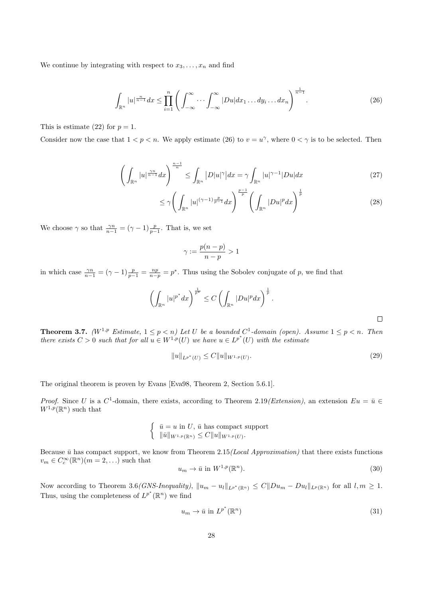We continue by integrating with respect to  $x_3, \ldots, x_n$  and find

$$
\int_{\mathbb{R}^n} |u|^{\frac{n}{n-1}} dx \le \prod_{i=1}^n \left( \int_{-\infty}^\infty \cdots \int_{-\infty}^\infty |Du| dx_1 \dots dy_i \dots dx_n \right)^{\frac{1}{n-1}}.
$$
\n(26)

This is estimate (22) for  $p = 1$ .

Consider now the case that  $1 < p < n$ . We apply estimate (26) to  $v = u^{\gamma}$ , where  $0 < \gamma$  is to be selected. Then

$$
\left(\int_{\mathbb{R}^n} |u|^{\frac{\gamma n}{n-1}} dx\right)^{\frac{n-1}{n}} \le \int_{\mathbb{R}^n} |D|u|^\gamma |dx = \gamma \int_{\mathbb{R}^n} |u|^{\gamma - 1} |Du| dx \tag{27}
$$

$$
\leq \gamma \Bigg( \int_{\mathbb{R}^n} |u|^{(\gamma - 1) \frac{p}{p-1}} dx \Bigg)^{\frac{p-1}{p}} \Bigg( \int_{\mathbb{R}^n} |Du|^p dx \Bigg)^{\frac{1}{p}} \tag{28}
$$

We choose  $\gamma$  so that  $\frac{\gamma n}{n-1} = (\gamma - 1) \frac{p}{p-1}$ . That is, we set

$$
\gamma := \frac{p(n-p)}{n-p} > 1
$$

in which case  $\frac{\gamma n}{n-1} = (\gamma - 1) \frac{p}{p-1} = \frac{np}{n-p} = p^*$ . Thus using the Sobolev conjugate of p, we find that

$$
\left(\int_{\mathbb{R}^n}|u|^{p^*}dx\right)^{\frac{1}{p^*}} \leq C\left(\int_{\mathbb{R}^n}|Du|^pdx\right)^{\frac{1}{p}}.
$$

**Theorem 3.7.** ( $W^{1,p}$  Estimate,  $1 \leq p < n$ ) Let U be a bounded  $C^1$ -domain (open). Assume  $1 \leq p < n$ . Then there exists  $C > 0$  such that for all  $u \in W^{1,p}(U)$  we have  $u \in L^{p^*}(U)$  with the estimate

$$
||u||_{L^{p^*}(U)} \leq C||u||_{W^{1,p}(U)}.
$$
\n(29)

The original theorem is proven by Evans [Eva98, Theorem 2, Section 5.6.1].

*Proof.* Since U is a  $C^1$ -domain, there exists, according to Theorem 2.19 (Extension), an extension  $Eu = \bar{u} \in$  $W^{1,p}(\mathbb{R}^n)$  such that

$$
\begin{cases} \n\bar{u} = u \text{ in } U, \, \bar{u} \text{ has compact support} \\ \n\|\bar{u}\|_{W^{1,p}(\mathbb{R}^n)} \leq C \|u\|_{W^{1,p}(U)}. \n\end{cases}
$$

Because  $\bar{u}$  has compact support, we know from Theorem 2.15(Local Approximation) that there exists functions  $v_m \in C_c^{\infty}(\mathbb{R}^n)$   $(m = 2, ...)$  such that

$$
u_m \to \bar{u} \text{ in } W^{1,p}(\mathbb{R}^n). \tag{30}
$$

Now according to Theorem 3.6*(GNS-Inequality)*,  $||u_m - u_l||_{L^{p^*}(\mathbb{R}^n)} \leq C||Du_m - Du_l||_{L^p(\mathbb{R}^n)}$  for all  $l, m \geq 1$ . Thus, using the completeness of  $L^{p^*}(\mathbb{R}^n)$  we find

$$
u_m \to \bar{u} \text{ in } L^{p^*}(\mathbb{R}^n) \tag{31}
$$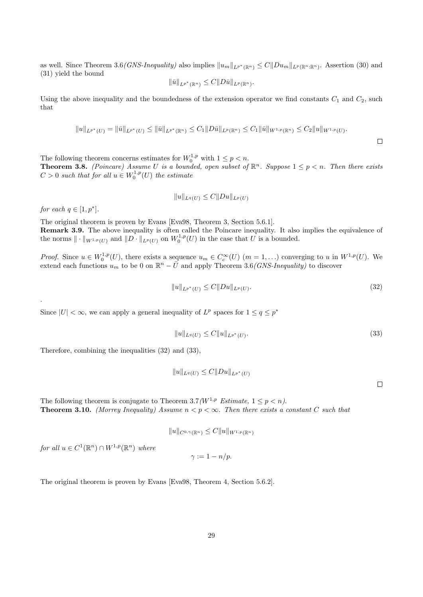as well. Since Theorem 3.6*(GNS-Inequality)* also implies  $||u_m||_{L^{p^*}(\mathbb{R}^n)} \leq C||Du_m||_{L^p(\mathbb{R}^n:\mathbb{R}^n)}$ . Assertion (30) and (31) yield the bound

$$
\|\bar{u}\|_{L^{p^*}(\mathbb{R}^n)} \leq C \|D\bar{u}\|_{L^p(\mathbb{R}^n)}.
$$

Using the above inequality and the boundedness of the extension operator we find constants  $C_1$  and  $C_2$ , such that

$$
||u||_{L^{p^*}(U)} = ||\bar{u}||_{L^{p^*}(U)} \le ||\bar{u}||_{L^{p^*}(\mathbb{R}^n)} \le C_1 ||D\bar{u}||_{L^p(\mathbb{R}^n)} \le C_1 ||\bar{u}||_{W^{1,p}(\mathbb{R}^n)} \le C_2 ||u||_{W^{1,p}(U)}.
$$

The following theorem concerns estimates for  $W_0^{1,p}$  with  $1 \le p < n$ .

**Theorem 3.8.** (Poincare) Assume U is a bounded, open subset of  $\mathbb{R}^n$ . Suppose  $1 \leq p < n$ . Then there exists  $C > 0$  such that for all  $u \in W_0^{1,p}(U)$  the estimate

$$
||u||_{L^{q}(U)} \leq C||Du||_{L^{p}(U)}
$$

for each  $q \in [1, p^*]$ .

.

The original theorem is proven by Evans [Eva98, Theorem 3, Section 5.6.1]. Remark 3.9. The above inequality is often called the Poincare inequality. It also implies the equivalence of the norms  $\|\cdot\|_{W^{1,p}(U)}$  and  $||D \cdot||_{L^p(U)}$  on  $W_0^{1,p}(U)$  in the case that U is a bounded.

*Proof.* Since  $u \in W_0^{1,p}(U)$ , there exists a sequence  $u_m \in C_c^{\infty}(U)$   $(m = 1,...)$  converging to u in  $W^{1,p}(U)$ . We extend each functions  $u_m$  to be 0 on  $\mathbb{R}^n - \overline{U}$  and apply Theorem 3.6(*GNS-Inequality*) to discover

$$
||u||_{L^{p^*}(U)} \le C||Du||_{L^p(U)}.\tag{32}
$$

Since  $|U| < \infty$ , we can apply a general inequality of  $L^p$  spaces for  $1 \le q \le p^*$ 

$$
||u||_{L^{q}(U)} \leq C||u||_{L^{p^{*}}(U)}.
$$
\n(33)

Therefore, combining the inequalities (32) and (33),

$$
||u||_{L^q(U)} \leq C||Du||_{L^{p^*}(U)}
$$

 $\Box$ 

The following theorem is conjugate to Theorem 3.7( $W^{1,p}$  Estimate,  $1 \leq p \leq n$ ). **Theorem 3.10.** (Morrey Inequality) Assume  $n < p < \infty$ . Then there exists a constant C such that

$$
||u||_{C^{0,\gamma}(\mathbb{R}^n)} \leq C||u||_{W^{1,p}(\mathbb{R}^n)}
$$

for all  $u \in C^1(\mathbb{R}^n) \cap W^{1,p}(\mathbb{R}^n)$  where

$$
\gamma := 1 - n/p.
$$

The original theorem is proven by Evans [Eva98, Theorem 4, Section 5.6.2].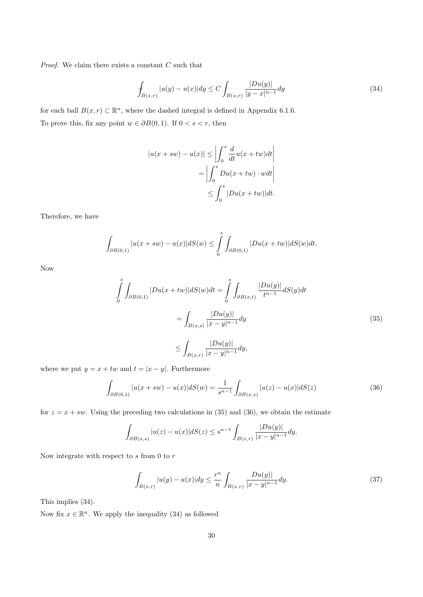*Proof.* We claim there exists a constant  $C$  such that

$$
\int_{B(x,r)} |u(y) - u(x)| dy \le C \int_{B(x,r)} \frac{|Du(y)|}{|y - x|^{n-1}} dy \tag{34}
$$

for each ball  $B(x, r) \subset \mathbb{R}^n$ , where the dashed integral is defined in Appendix 6.1.6. To prove this, fix any point  $w \in \partial B(0,1)$ . If  $0 < s < r$ , then

$$
|u(x+sw) - u(x)| \le \left| \int_0^s \frac{d}{dt} u(x+tw) dt \right|
$$
  
= 
$$
\left| \int_0^s Du(x+tw) \cdot w dt \right|
$$
  

$$
\le \int_0^s |Du(x+tw)| dt.
$$

Therefore, we have

$$
\int_{\partial B(0,1)} |u(x+sw) - u(x)| dS(w) \leq \int_{0}^{s} \int_{\partial B(0,1)} |Du(x+tw)| dS(w) dt.
$$

Now

$$
\int_{0}^{s} \int_{\partial B(0,1)} |Du(x+tw)| dS(w) dt = \int_{0}^{s} \int_{\partial B(x,t)} \frac{|Du(y)|}{t^{n-1}} dS(y) dt
$$

$$
= \int_{B(x,s)} \frac{|Du(y)|}{|x-y|^{n-1}} dy
$$
(35)
$$
\leq \int_{B(x,r)} \frac{|Du(y)|}{|x-y|^{n-1}} dy,
$$

where we put  $y = x + tw$  and  $t = |x - y|$ . Furthermore

$$
\int_{\partial B(0,1)} |u(x+sw) - u(x)| dS(w) = \frac{1}{s^{n-1}} \int_{\partial B(x,s)} |u(z) - u(x)| dS(z)
$$
\n(36)

for  $z = x + sw$ . Using the preceding two calculations in (35) and (36), we obtain the estimate

$$
\int_{\partial B(x,s)} |u(z) - u(x)| dS(z) \le s^{n-1} \int_{B(x,r)} \frac{|Du(y)|}{|x - y|^{n-1}} dy.
$$

Now integrate with respect to  $s$  from 0 to  $r$ 

$$
\int_{B(x,r)} |u(y) - u(x)| dy \le \frac{r^n}{n} \int_{B(x,r)} \frac{Du(y)|}{|x - y|^{n-1}} dy.
$$
\n(37)

This implies (34).

Now fix  $x \in \mathbb{R}^n$ . We apply the inequality (34) as followed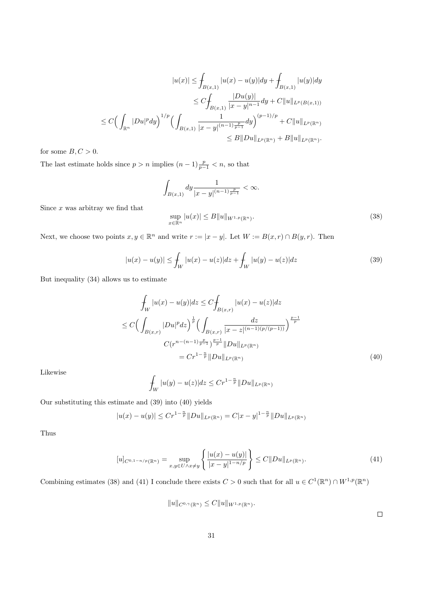$$
|u(x)| \leq \int_{B(x,1)} |u(x) - u(y)| dy + \int_{B(x,1)} |u(y)| dy
$$
  
\n
$$
\leq C \int_{B(x,1)} \frac{|Du(y)|}{|x - y|^{n-1}} dy + C \|u\|_{L^p(B(x,1))}
$$
  
\n
$$
\leq C \Big( \int_{\mathbb{R}^n} |Du|^p dy \Big)^{1/p} \Big( \int_{B(x,1)} \frac{1}{|x - y|^{(n-1)\frac{p}{p-1}}} dy \Big)^{(p-1)/p} + C \|u\|_{L^p(\mathbb{R}^n)}
$$
  
\n
$$
\leq B \|Du\|_{L^p(\mathbb{R}^n)} + B \|u\|_{L^p(\mathbb{R}^n)}.
$$

for some  $B, C > 0$ .

The last estimate holds since  $p > n$  implies  $(n-1)\frac{p}{p-1} < n$ , so that

$$
\int_{B(x,1)} dy \frac{1}{|x-y|^{(n-1)\frac{p}{p-1}}} < \infty.
$$
  

$$
\sup_{x \in \mathbb{R}^n} |u(x)| \le B \|u\|_{W^{1,p}(\mathbb{R}^n)}.
$$
 (38)

Since  $x$  was arbitray we find that

Next, we choose two points  $x, y \in \mathbb{R}^n$  and write  $r := |x - y|$ . Let  $W := B(x, r) \cap B(y, r)$ . Then

$$
|u(x) - u(y)| \le \int_W |u(x) - u(z)| dz + \int_W |u(y) - u(z)| dz \tag{39}
$$

But inequality (34) allows us to estimate

$$
\int_{W} |u(x) - u(y)| dz \le C \int_{B(x,r)} |u(x) - u(z)| dz
$$
\n
$$
\le C \Big( \int_{B(x,r)} |Du|^p dz \Big)^{\frac{1}{p}} \Big( \int_{B(x,r)} \frac{dz}{|x - z|^{(n-1)(p/(p-1))}} \Big)^{\frac{p-1}{p}}
$$
\n
$$
C(r^{n-(n-1)\frac{p}{p-1}})^{\frac{p-1}{p}} ||Du||_{L^p(\mathbb{R}^n)}
$$
\n
$$
= Cr^{1-\frac{n}{p}} ||Du||_{L^p(\mathbb{R}^n)}
$$
\n(40)

Likewise

$$
\int_W |u(y) - u(z)| dz \leq C r^{1 - \frac{n}{p}} ||Du||_{L^p(\mathbb{R}^n)}
$$

Our substituting this estimate and (39) into (40) yields

$$
|u(x) - u(y)| \le Cr^{1 - \frac{n}{p}} \|Du\|_{L^p(\mathbb{R}^n)} = C|x - y|^{1 - \frac{n}{p}} \|Du\|_{L^p(\mathbb{R}^n)}
$$

Thus

$$
[u]_{C^{0,1-n/p}(\mathbb{R}^n)} = \sup_{x,y \in U \wedge x \neq y} \left\{ \frac{|u(x) - u(y)|}{|x - y|^{1 - n/p}} \right\} \leq C \|Du\|_{L^p(\mathbb{R}^n)}.
$$
\n(41)

Combining estimates (38) and (41) I conclude there exists  $C > 0$  such that for all  $u \in C^1(\mathbb{R}^n) \cap W^{1,p}(\mathbb{R}^n)$ 

 $||u||_{C^{0,\gamma}(\mathbb{R}^n)} \leq C||u||_{W^{1,p}(\mathbb{R}^n)}.$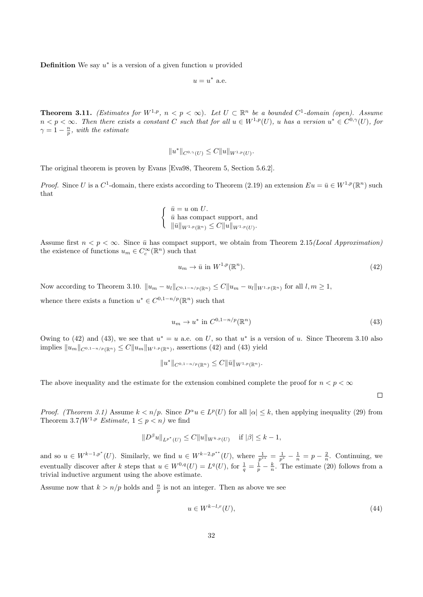**Definition** We say  $u^*$  is a version of a given function  $u$  provided

$$
u = u^* \text{ a.e.}
$$

**Theorem 3.11.** (Estimates for  $W^{1,p}$ ,  $n < p < \infty$ ). Let  $U \subset \mathbb{R}^n$  be a bounded  $C^1$ -domain (open). Assume  $n < p < \infty$ . Then there exists a constant C such that for all  $u \in W^{1,p}(U)$ , u has a version  $u^* \in C^{0,\gamma}(U)$ , for  $\gamma = 1 - \frac{n}{p}$ , with the estimate

$$
||u^*||_{C^{0,\gamma}(U)} \leq C||u||_{W^{1,p}(U)}.
$$

The original theorem is proven by Evans [Eva98, Theorem 5, Section 5.6.2].

*Proof.* Since U is a  $C^1$ -domain, there exists according to Theorem (2.19) an extension  $Eu = \bar{u} \in W^{1,p}(\mathbb{R}^n)$  such that

$$
\begin{cases} \n\bar{u} = u \text{ on } U. \\
\bar{u} \text{ has compact support, and} \\
\|\bar{u}\|_{W^{1,p}(\mathbb{R}^n)} \leq C \|u\|_{W^{1,p}(U)}.\n\end{cases}
$$

Assume first  $n < p < \infty$ . Since  $\bar{u}$  has compact support, we obtain from Theorem 2.15(*Local Approximation*) the existence of functions  $u_m \in C_c^{\infty}(\mathbb{R}^n)$  such that

$$
u_m \to \bar{u} \text{ in } W^{1,p}(\mathbb{R}^n). \tag{42}
$$

Now according to Theorem 3.10.  $||u_m - u_l||_{C^{0,1-n/p}(\mathbb{R}^n)} \leq C||u_m - u_l||_{W^{1,p}(\mathbb{R}^n)}$  for all  $l, m \geq 1$ ,

whence there exists a function  $u^* \in C^{0,1-n/p}(\mathbb{R}^n)$  such that

$$
u_m \to u^* \text{ in } C^{0,1-n/p}(\mathbb{R}^n)
$$
\n
$$
(43)
$$

.

Owing to (42) and (43), we see that  $u^* = u$  a.e. on U, so that  $u^*$  is a version of u. Since Theorem 3.10 also implies  $||u_m||_{C^{0,1-n/p}(\mathbb{R}^n)} \leq C||u_m||_{W^{1,p}(\mathbb{R}^n)}$ , assertions (42) and (43) yield

$$
||u^*||_{C^{0,1-n/p}(\mathbb{R}^n)} \leq C||\bar{u}||_{W^{1,p}(\mathbb{R}^n)}
$$

The above inequality and the estimate for the extension combined complete the proof for  $n < p < \infty$ 

 $\Box$ 

*Proof.* (Theorem 3.1) Assume  $k < n/p$ . Since  $D^{\alpha}u \in L^p(U)$  for all  $|\alpha| \leq k$ , then applying inequality (29) from Theorem 3.7( $W^{1,p}$  Estimate,  $1 \leq p \leq n$ ) we find

$$
||D^{\beta}u||_{L^{p^*}(U)} \leq C||u||_{W^{k,p}(U)} \quad \text{if } |\beta| \leq k-1,
$$

and so  $u \in W^{k-1,p^*}(U)$ . Similarly, we find  $u \in W^{k-2,p^{**}}(U)$ , where  $\frac{1}{p^{**}} = \frac{1}{p^*} - \frac{1}{n} = p - \frac{2}{n}$ . Continuing, we eventually discover after k steps that  $u \in W^{0,q}(U) = L^q(U)$ , for  $\frac{1}{q} = \frac{1}{p} - \frac{k}{n}$ . The estimate (20) follows from a trivial inductive argument using the above estimate.

Assume now that  $k > n/p$  holds and  $\frac{n}{p}$  is not an integer. Then as above we see

$$
u \in W^{k-l,r}(U),\tag{44}
$$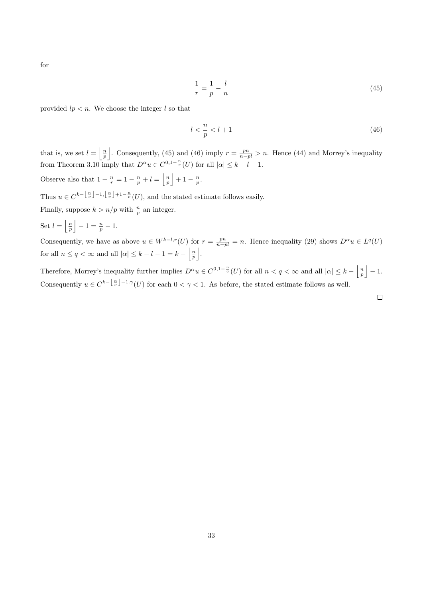for

$$
\frac{1}{r} = \frac{1}{p} - \frac{l}{n} \tag{45}
$$

provided  $lp < n$ . We choose the integer l so that

$$
l < \frac{n}{p} < l+1 \tag{46}
$$

that is, we set  $l = \left\lfloor \frac{n}{p} \right\rfloor$ . Consequently, (45) and (46) imply  $r = \frac{pn}{n-pl} > n$ . Hence (44) and Morrey's inequality from Theorem 3.10 imply that  $D^{\alpha}u \in C^{0,1-\frac{n}{r}}(U)$  for all  $|\alpha| \leq k - l - 1$ .

Observe also that  $1 - \frac{n}{r} = 1 - \frac{n}{p} + l = \left\lfloor \frac{n}{p} \right\rfloor + 1 - \frac{n}{p}.$ 

Thus  $u \in C^{k-\lfloor \frac{n}{p} \rfloor - 1, \lfloor \frac{n}{p} \rfloor + 1 - \frac{n}{p}}(U)$ , and the stated estimate follows easily.

Finally, suppose  $k > n/p$  with  $\frac{n}{p}$  an integer.

Set  $l = \left\lfloor \frac{n}{p} \right\rfloor - 1 = \frac{n}{p} - 1.$ 

Consequently, we have as above  $u \in W^{k-l,r}(U)$  for  $r = \frac{pn}{n-pl} = n$ . Hence inequality (29) shows  $D^{\alpha}u \in L^q(U)$ for all  $n \le q < \infty$  and all  $|\alpha| \le k - l - 1 = k - \left\lfloor \frac{n}{p} \right\rfloor$ .

Therefore, Morrey's inequality further implies  $D^{\alpha}u \in C^{0,1-\frac{n}{q}}(U)$  for all  $n < q < \infty$  and all  $|\alpha| \leq k - \left|\frac{n}{p}\right| - 1$ . Consequently  $u \in C^{k-\lfloor \frac{n}{p} \rfloor - 1, \gamma}(U)$  for each  $0 < \gamma < 1$ . As before, the stated estimate follows as well.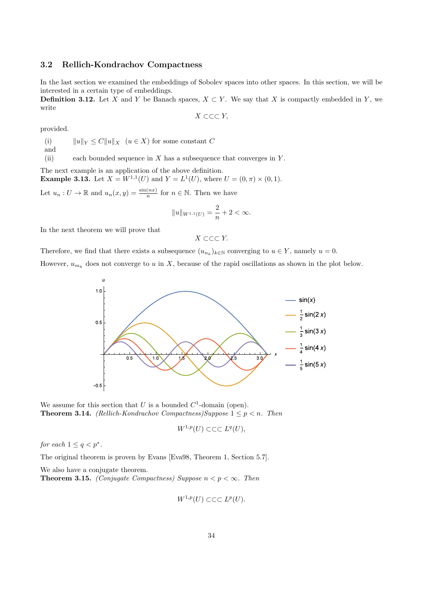#### 3.2 Rellich-Kondrachov Compactness

In the last section we examined the embeddings of Sobolev spaces into other spaces. In this section, we will be interested in a certain type of embeddings.

**Definition 3.12.** Let X and Y be Banach spaces,  $X \subset Y$ . We say that X is compactly embedded in Y, we write

 $X \subset \subset \subset Y$ ,

provided.

(i)  $||u||_Y \leq C||u||_X$  ( $u \in X$ ) for some constant C

and

(ii) each bounded sequence in  $X$  has a subsequence that converges in  $Y$ .

The next example is an application of the above definition. **Example 3.13.** Let  $X = W^{1,1}(U)$  and  $Y = L^1(U)$ , where  $U = (0, \pi) \times (0, 1)$ .

Let  $u_n: U \to \mathbb{R}$  and  $u_n(x, y) = \frac{\sin(nx)}{n}$  for  $n \in \mathbb{N}$ . Then we have

$$
||u||_{W^{1,1}(U)} = \frac{2}{n} + 2 < \infty.
$$

In the next theorem we will prove that

 $X \subset \subset \subset Y$ .

Therefore, we find that there exists a subsequence  $(u_{n_k})_{k\in\mathbb{N}}$  converging to  $u \in Y$ , namely  $u = 0$ .

However,  $u_{m_k}$  does not converge to u in X, because of the rapid oscillations as shown in the plot below.



We assume for this section that U is a bounded  $C^1$ -domain (open). **Theorem 3.14.** (Rellich-Kondrachov Compactness)Suppose  $1 \leq p < n$ . Then

$$
W^{1,p}(U) \subset \subset \subset L^q(U),
$$

for each  $1 \leq q < p^*$ .

The original theorem is proven by Evans [Eva98, Theorem 1, Section 5.7].

We also have a conjugate theorem.

**Theorem 3.15.** (Conjugate Compactness) Suppose  $n < p < \infty$ . Then

$$
W^{1,p}(U) \subset \subset \subset L^p(U).
$$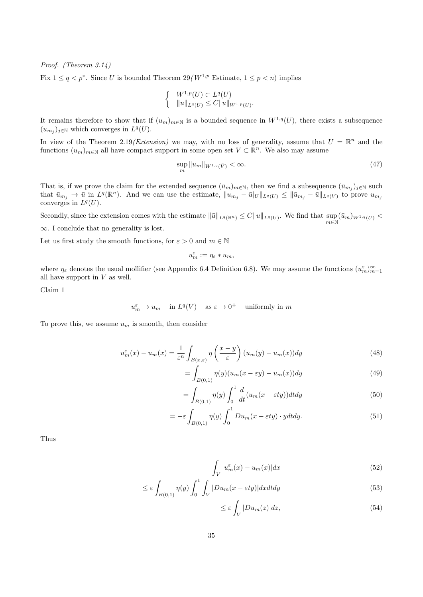Proof. (Theorem 3.14)

Fix  $1 \leq q \leq p^*$ . Since U is bounded Theorem  $29(W^{1,p})$  Estimate,  $1 \leq p \leq n$  implies

$$
\begin{cases} W^{1,p}(U) \subset L^q(U) \\ \|u\|_{L^q(U)} \le C \|u\|_{W^{1,p}(U)} \end{cases}
$$

It remains therefore to show that if  $(u_m)_{m\in\mathbb{N}}$  is a bounded sequence in  $W^{1,q}(U)$ , there exists a subsequence  $(u_{m_j})_{j\in\mathbb{N}}$  which converges in  $L^q(U)$ .

In view of the Theorem 2.19(Extension) we may, with no loss of generality, assume that  $U = \mathbb{R}^n$  and the functions  $(u_m)_{m\in\mathbb{N}}$  all have compact support in some open set  $V \subset \mathbb{R}^n$ . We also may assume

$$
\sup_{m} \|u_m\|_{W^{1,q}(\bar{V})} < \infty. \tag{47}
$$

.

That is, if we prove the claim for the extended sequence  $(\bar{u}_m)_{m\in\mathbb{N}}$ , then we find a subsequence  $(\bar{u}_{m_j})_{j\in\mathbb{N}}$  such that  $\bar{u}_{m_j} \to \bar{u}$  in  $L^q(\mathbb{R}^n)$ . And we can use the estimate,  $||u_{m_j} - \bar{u}||_{L^q(U)} \le ||\bar{u}_{m_j} - \bar{u}||_{L^q(V)}$  to prove  $u_{m_j}$ converges in  $L^q(U)$ .

Secondly, since the extension comes with the estimate  $\|\bar{u}\|_{L^q(\mathbb{R}^n)} \leq C \|u\|_{L^q(U)}$ . We find that  $\sup_{m\in\mathbb{N}} (\bar{u}_m)_{W^{1,q}(U)} <$ 

∞. I conclude that no generality is lost.

Let us first study the smooth functions, for  $\varepsilon > 0$  and  $m \in \mathbb{N}$ 

$$
u_m^\varepsilon:=\eta_\varepsilon*u_m,
$$

where  $\eta_{\varepsilon}$  denotes the usual mollifier (see Appendix 6.4 Definition 6.8). We may assume the functions  $(u_m^{\varepsilon})_{m=1}^{\infty}$ all have support in  $V$  as well.

Claim 1

 $u_m^{\varepsilon} \to u_m$  in  $L^q(V)$  as  $\varepsilon \to 0^+$  uniformly in m

To prove this, we assume  $u_m$  is smooth, then consider

$$
u_m^{\varepsilon}(x) - u_m(x) = \frac{1}{\varepsilon^n} \int_{B(x,\varepsilon)} \eta\left(\frac{x-y}{\varepsilon}\right) (u_m(y) - u_m(x)) dy \tag{48}
$$

$$
=\int_{B(0,1)}\eta(y)(u_m(x-\varepsilon y)-u_m(x))dy\tag{49}
$$

$$
=\int_{B(0,1)}\eta(y)\int_0^1\frac{d}{dt}(u_m(x-\varepsilon ty))dtdy\tag{50}
$$

$$
= -\varepsilon \int_{B(0,1)} \eta(y) \int_0^1 Du_m(x - \varepsilon ty) \cdot y dt dy.
$$
 (51)

Thus

$$
\int_{V} |u_m^{\varepsilon}(x) - u_m(x)| dx \tag{52}
$$

$$
\leq \varepsilon \int_{B(0,1)} \eta(y) \int_0^1 \int_V |Du_m(x - \varepsilon ty)| dx dt dy \tag{53}
$$

$$
\leq \varepsilon \int_{V} |Du_m(z)| dz, \tag{54}
$$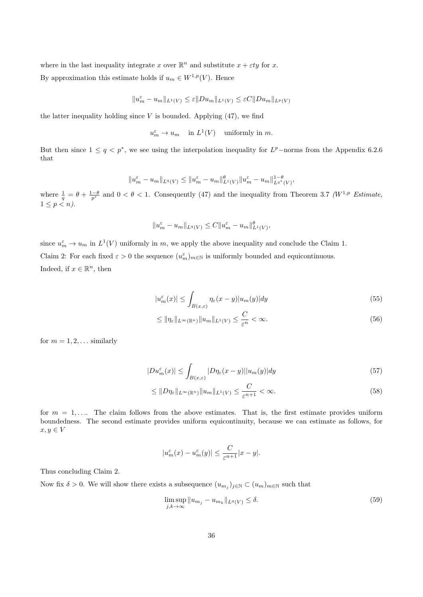where in the last inequality integrate x over  $\mathbb{R}^n$  and substitute  $x + \varepsilon ty$  for x. By approximation this estimate holds if  $u_m \in W^{1,p}(V)$ . Hence

 $||u_m^{\varepsilon} - u_m||_{L^1(V)} \leq \varepsilon ||Du_m||_{L^1(V)} \leq \varepsilon C ||Du_m||_{L^p(V)}$ 

the latter inequality holding since  $V$  is bounded. Applying  $(47)$ , we find

 $u_m^{\varepsilon} \to u_m$  in  $L^1(V)$  uniformly in m.

But then since  $1 \leq q \leq p^*$ , we see using the interpolation inequality for  $L^p$ -norms from the Appendix 6.2.6 that

$$
||u_m^{\varepsilon} - u_m||_{L^q(V)} \le ||u_m^{\varepsilon} - u_m||_{L^1(V)}^{\theta} ||u_m^{\varepsilon} - u_m||_{L^{q^*}(V)}^{1-\theta},
$$

where  $\frac{1}{q} = \theta + \frac{1-\theta}{p^*}$  and  $0 < \theta < 1$ . Consequently (47) and the inequality from Theorem 3.7 (W<sup>1,p</sup> Estimate,  $1 \leq p < n$ ).

$$
||u_m^{\varepsilon} - u_m||_{L^q(V)} \leq C||u_m^{\varepsilon} - u_m||_{L^1(V)}^{\theta},
$$

since  $u_m^{\varepsilon} \to u_m$  in  $L^1(V)$  uniformly in m, we apply the above inequality and conclude the Claim 1. Claim 2: For each fixed  $\varepsilon > 0$  the sequence  $(u_m^{\varepsilon})_{m \in \mathbb{N}}$  is uniformly bounded and equicontinuous. Indeed, if  $x \in \mathbb{R}^n$ , then

$$
|u_m^{\varepsilon}(x)| \le \int_{B(x,\varepsilon)} \eta_{\varepsilon}(x-y) |u_m(y)| dy \tag{55}
$$

$$
\leq \|\eta_{\varepsilon}\|_{L^{\infty}(\mathbb{R}^n)} \|u_m\|_{L^1(V)} \leq \frac{C}{\varepsilon^n} < \infty. \tag{56}
$$

for  $m = 1, 2, \ldots$  similarly

$$
|Du_m^{\varepsilon}(x)| \le \int_{B(x,\varepsilon)} |D\eta_{\varepsilon}(x-y)||u_m(y)|dy \tag{57}
$$

$$
\leq \|D\eta_{\varepsilon}\|_{L^{\infty}(\mathbb{R}^n)} \|u_m\|_{L^1(V)} \leq \frac{C}{\varepsilon^{n+1}} < \infty.
$$
\n(58)

for  $m = 1, \ldots$  The claim follows from the above estimates. That is, the first estimate provides uniform boundedness. The second estimate provides uniform equicontinuity, because we can estimate as follows, for  $x, y \in V$ 

$$
|u_m^{\varepsilon}(x) - u_m^{\varepsilon}(y)| \leq \frac{C}{\varepsilon^{n+1}}|x - y|.
$$

Thus concluding Claim 2.

Now fix  $\delta > 0$ . We will show there exists a subsequence  $(u_{m_j})_{j \in \mathbb{N}} \subset (u_m)_{m \in \mathbb{N}}$  such that

$$
\limsup_{j,k \to \infty} \|u_{m_j} - u_{m_k}\|_{L^q(V)} \le \delta. \tag{59}
$$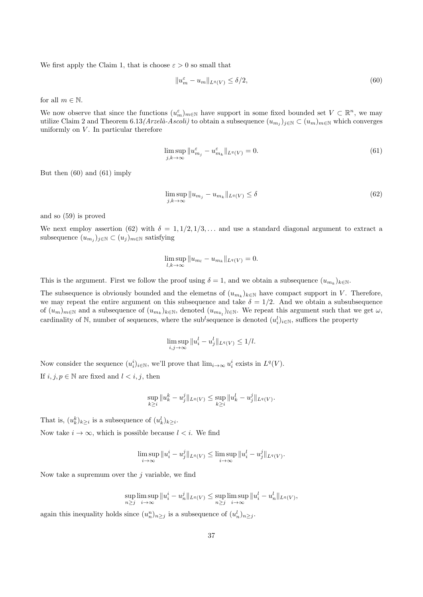We first apply the Claim 1, that is choose  $\varepsilon > 0$  so small that

$$
||u_m^{\varepsilon} - u_m||_{L^q(V)} \le \delta/2, \tag{60}
$$

for all  $m \in \mathbb{N}$ .

We now observe that since the functions  $(u_m^{\varepsilon})_{m\in\mathbb{N}}$  have support in some fixed bounded set  $V \subset \mathbb{R}^n$ , we may utilize Claim 2 and Theorem 6.13(Arzelà-Ascoli) to obtain a subsequence  $(u_{m_j})_{j\in\mathbb{N}}\subset (u_m)_{m\in\mathbb{N}}$  which converges uniformly on  $V$ . In particular therefore

$$
\limsup_{j,k \to \infty} \|u_{m_j}^{\varepsilon} - u_{m_k}^{\varepsilon}\|_{L^q(V)} = 0.
$$
\n(61)

But then (60) and (61) imply

$$
\limsup_{j,k \to \infty} \|u_{m_j} - u_{m_k}\|_{L^q(V)} \le \delta \tag{62}
$$

and so (59) is proved

We next employ assertion (62) with  $\delta = 1, 1/2, 1/3, \ldots$  and use a standard diagonal argument to extract a subsequence  $(u_{m_j})_{j \in \mathbb{N}} \subset (u_j)_{m \in \mathbb{N}}$  satisfying

$$
\limsup_{l,k \to \infty} \|u_{m_l} - u_{m_k}\|_{L^q(V)} = 0.
$$

This is the argument. First we follow the proof using  $\delta = 1$ , and we obtain a subsequence  $(u_{m_k})_{k \in \mathbb{N}}$ .

The subsequence is obviously bounded and the elemetris of  $(u_{m_k})_{k\in\mathbb{N}}$  have compact support in V. Therefore, we may repeat the entire argument on this subsequence and take  $\delta = 1/2$ . And we obtain a subsubsequence of  $(u_m)_{m\in\mathbb{N}}$  and a subsequence of  $(u_{m_k})_{k\in\mathbb{N}}$ , denoted  $(u_{m_{k_l}})_{l\in\mathbb{N}}$ . We repeat this argument such that we get  $\omega$ , cardinality of N, number of sequences, where the sub<sup>l</sup>sequence is denoted  $(u_i^l)_{i\in\mathbb{N}}$ , suffices the property

$$
\limsup_{i,j \to \infty} \|u_i^l - u_j^l\|_{L^q(V)} \le 1/l.
$$

Now consider the sequence  $(u_i^i)_{i \in \mathbb{N}}$ , we'll prove that  $\lim_{i \to \infty} u_i^i$  exists in  $L^q(V)$ .

If  $i, j, p \in \mathbb{N}$  are fixed and  $l < i, j$ , then

$$
\sup_{k\geq i} \|u_k^k - u_j^j\|_{L^q(V)} \leq \sup_{k\geq i} \|u_k^l - u_j^j\|_{L^q(V)}.
$$

That is,  $(u_k^k)_{k\geq i}$  is a subsequence of  $(u_k^l)_{k\geq i}$ .

Now take  $i \to \infty$ , which is possible because  $l < i$ . We find

$$
\limsup_{i\to\infty}||u_i^i-u_j^j||_{L^q(V)}\leq \limsup_{i\to\infty}||u_i^l-u_j^j||_{L^q(V)}.
$$

Now take a supremum over the  $j$  variable, we find

$$
\sup_{n\geq j}\limsup_{i\to\infty}\|u_i^i-u_n^j\|_{L^q(V)}\leq \sup_{n\geq j}\limsup_{i\to\infty}\|u_i^l-u_n^l\|_{L^q(V)},
$$

again this inequality holds since  $(u_n^n)_{n\geq j}$  is a subsequence of  $(u_n^l)_{n\geq j}$ .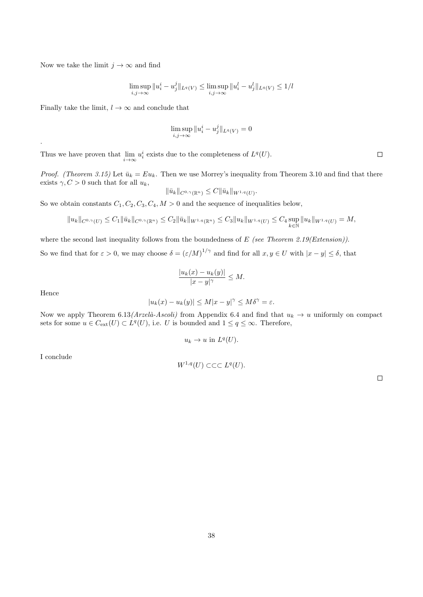Now we take the limit  $j \to \infty$  and find

$$
\limsup_{i,j \to \infty} \|u_i^i - u_j^j\|_{L^q(V)} \le \limsup_{i,j \to \infty} \|u_i^l - u_j^l\|_{L^q(V)} \le 1/l
$$

Finally take the limit,  $l \to \infty$  and conclude that

$$
\limsup_{i,j\to\infty}||u_i^i-u_j^j||_{L^q(V)}=0
$$

Thus we have proven that  $\lim_{i \to \infty} u_i^i$  exists due to the completeness of  $L^q(U)$ .

*Proof.* (Theorem 3.15) Let  $\bar{u}_k = Eu_k$ . Then we use Morrey's inequality from Theorem 3.10 and find that there exists  $\gamma$ ,  $C > 0$  such that for all  $u_k$ ,

$$
\|\bar{u}_k\|_{C^{0,\gamma}(\mathbb{R}^n)} \leq C \|\bar{u}_k\|_{W^{1,q}(U)}.
$$

So we obtain constants  $C_1, C_2, C_3, C_4, M > 0$  and the sequence of inequalities below,

$$
||u_k||_{C^{0,\gamma}(U)} \leq C_1 ||\bar{u}_k||_{C^{0,\gamma}(\mathbb{R}^n)} \leq C_2 ||\bar{u}_k||_{W^{1,q}(\mathbb{R}^n)} \leq C_3 ||u_k||_{W^{1,q}(U)} \leq C_4 \sup_{k \in \mathbb{N}} ||u_k||_{W^{1,q}(U)} = M,
$$

where the second last inequality follows from the boundedness of  $E$  (see Theorem 2.19(Extension)).

So we find that for  $\varepsilon > 0$ , we may choose  $\delta = (\varepsilon/M)^{1/\gamma}$  and find for all  $x, y \in U$  with  $|x - y| \le \delta$ , that

$$
\frac{|u_k(x) - u_k(y)|}{|x - y|^\gamma} \le M.
$$

Hence

.

$$
|u_k(x)-u_k(y)|\leq M|x-y|^{\gamma}\leq M\delta^{\gamma}=\varepsilon.
$$

Now we apply Theorem 6.13(Arzelà-Ascoli) from Appendix 6.4 and find that  $u_k \to u$  uniformly on compact sets for some  $u \in C_{ext}(U) \subset L^{q}(U)$ , i.e. U is bounded and  $1 \leq q \leq \infty$ . Therefore,

$$
u_k \to u \text{ in } L^q(U).
$$

I conclude

$$
W^{1,q}(U) \subset \subset \subset L^q(U).
$$

 $\Box$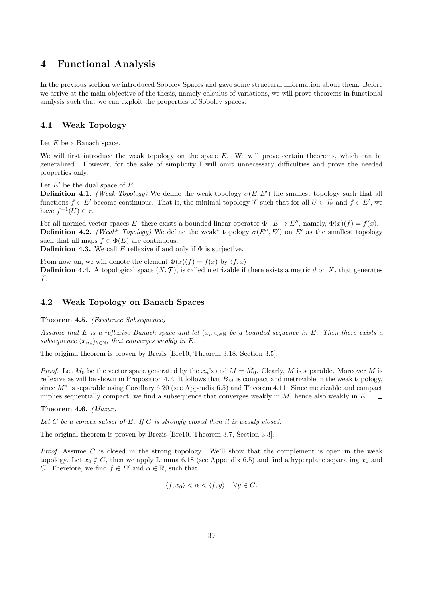## 4 Functional Analysis

In the previous section we introduced Sobolev Spaces and gave some structural information about them. Before we arrive at the main objective of the thesis, namely calculus of variations, we will prove theorems in functional analysis such that we can exploit the properties of Sobolev spaces.

#### 4.1 Weak Topology

Let  $E$  be a Banach space.

We will first introduce the weak topology on the space  $E$ . We will prove certain theorems, which can be generalized. However, for the sake of simplicity I will omit unnecessary difficulties and prove the needed properties only.

Let  $E'$  be the dual space of  $E$ .

**Definition 4.1.** (Weak Topology) We define the weak topology  $\sigma(E, E')$  the smallest topology such that all functions  $f \in E'$  become continuous. That is, the minimal topology  $\mathcal T$  such that for all  $U \in \mathcal T_{\mathbb R}$  and  $f \in E'$ , we have  $f^{-1}(U) \in \tau$ .

For all normed vector spaces E, there exists a bounded linear operator  $\Phi : E \to E''$ , namely,  $\Phi(x)(f) = f(x)$ . **Definition 4.2.** (Weak<sup>\*</sup> Topology) We define the weak<sup>\*</sup> topology  $\sigma(E'', E')$  on E' as the smallest topology such that all maps  $f \in \Phi(E)$  are continuous.

**Definition 4.3.** We call E reflexive if and only if  $\Phi$  is surjective.

From now on, we will denote the element  $\Phi(x)(f) = f(x)$  by  $\langle f, x \rangle$ **Definition 4.4.** A topological space  $(X, \mathcal{T})$ , is called metrizable if there exists a metric d on X, that generates  $\mathcal{T}$ .

#### 4.2 Weak Topology on Banach Spaces

#### Theorem 4.5. (Existence Subsequence)

Assume that E is a reflexive Banach space and let  $(x_n)_{n\in\mathbb{N}}$  be a bounded sequence in E. Then there exists a subsequence  $(x_{n_k})_{k \in \mathbb{N}}$ , that converges weakly in E.

The original theorem is proven by Brezis [Bre10, Theorem 3.18, Section 3.5].

*Proof.* Let  $M_0$  be the vector space generated by the  $x_n$ 's and  $M = \overline{M}_0$ . Clearly, M is separable. Moreover M is reflexive as will be shown in Proposition 4.7. It follows that  $B<sub>M</sub>$  is compact and metrizable in the weak topology, since M<sup>∗</sup> is separable using Corollary 6.20 (see Appendix 6.5) and Theorem 4.11. Since metrizable and compact implies sequentially compact, we find a subsequence that converges weakly in  $M$ , hence also weakly in  $E$ .  $\Box$ 

Theorem 4.6. (Mazur)

Let  $C$  be a convex subset of  $E$ . If  $C$  is strongly closed then it is weakly closed.

The original theorem is proven by Brezis [Bre10, Theorem 3.7, Section 3.3].

*Proof.* Assume C is closed in the strong topology. We'll show that the complement is open in the weak topology. Let  $x_0 \notin C$ , then we apply Lemma 6.18 (see Appendix 6.5) and find a hyperplane separating  $x_0$  and C. Therefore, we find  $f \in E'$  and  $\alpha \in \mathbb{R}$ , such that

$$
\langle f, x_0 \rangle < \alpha < \langle f, y \rangle \quad \forall y \in C.
$$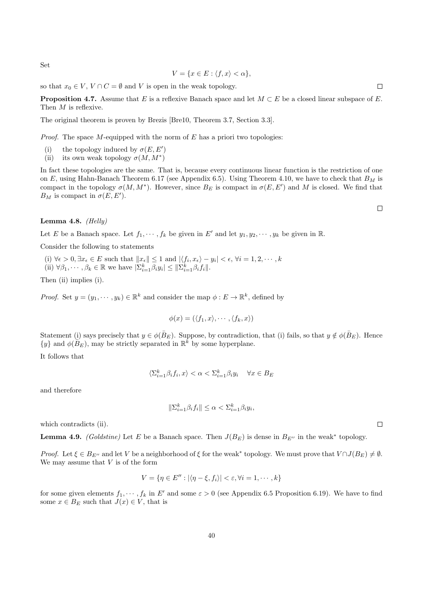Set

$$
V = \{ x \in E : \langle f, x \rangle < \alpha \},
$$

so that  $x_0 \in V$ ,  $V \cap C = \emptyset$  and V is open in the weak topology.

**Proposition 4.7.** Assume that E is a reflexive Banach space and let  $M \subset E$  be a closed linear subspace of E. Then M is reflexive.

The original theorem is proven by Brezis [Bre10, Theorem 3.7, Section 3.3].

*Proof.* The space M-equipped with the norm of  $E$  has a priori two topologies:

- (i) the topology induced by  $\sigma(E, E')$
- (ii) its own weak topology  $\sigma(M, M^*)$

In fact these topologies are the same. That is, because every continuous linear function is the restriction of one on E, using Hahn-Banach Theorem 6.17 (see Appendix 6.5). Using Theorem 4.10, we have to check that  $B_M$  is compact in the topology  $\sigma(M, M^*)$ . However, since  $B_E$  is compact in  $\sigma(E, E')$  and M is closed. We find that  $B_M$  is compact in  $\sigma(E, E').$ 

#### Lemma 4.8.  $(Helly)$

Let E be a Banach space. Let  $f_1, \dots, f_k$  be given in E' and let  $y_1, y_2, \dots, y_k$  be given in R.

Consider the following to statements

(i)  $\forall \epsilon > 0, \exists x_{\epsilon} \in E$  such that  $||x_{\epsilon}|| \leq 1$  and  $|\langle f_i, x_{\epsilon} \rangle - y_i| < \epsilon, \forall i = 1, 2, \cdots, k$ (ii)  $\forall \beta_1, \cdots, \beta_k \in \mathbb{R}$  we have  $|\Sigma_{i=1}^k \beta_i y_i| \leq ||\Sigma_{i=1}^k \beta_i f_i||$ .

Then (ii) implies (i).

*Proof.* Set  $y = (y_1, \dots, y_k) \in \mathbb{R}^k$  and consider the map  $\phi : E \to \mathbb{R}^k$ , defined by

$$
\phi(x) = (\langle f_1, x \rangle, \cdots, \langle f_k, x \rangle)
$$

Statement (i) says precisely that  $y \in \phi(B_E)$ . Suppose, by contradiction, that (i) fails, so that  $y \notin \phi(B_E)$ . Hence  $\{y\}$  and  $\phi(\overrightarrow{B_E})$ , may be strictly separated in  $\mathbb{R}^k$  by some hyperplane.

It follows that

$$
\langle \Sigma_{i=1}^k \beta_i f_i, x \rangle < \alpha < \Sigma_{i=1}^k \beta_i y_i \quad \, \forall x \in B_E
$$

and therefore

$$
\|\Sigma_{i=1}^k\beta_if_i\|\leq\alpha<\Sigma_{i=1}^k\beta_iy_i,
$$

which contradicts (ii).

**Lemma 4.9.** (Goldstine) Let E be a Banach space. Then  $J(B_E)$  is dense in  $B_{E''}$  in the weak\* topology.

Proof. Let  $\xi \in B_{E''}$  and let V be a neighborhood of  $\xi$  for the weak\* topology. We must prove that  $V \cap J(B_E) \neq \emptyset$ . We may assume that  $V$  is of the form

$$
V = \{ \eta \in E'': |\langle \eta - \xi, f_i \rangle| < \varepsilon, \forall i = 1, \cdots, k \}
$$

for some given elements  $f_1, \dots, f_k$  in E' and some  $\varepsilon > 0$  (see Appendix 6.5 Proposition 6.19). We have to find some  $x \in B_E$  such that  $J(x) \in V$ , that is

 $\Box$ 

 $\Box$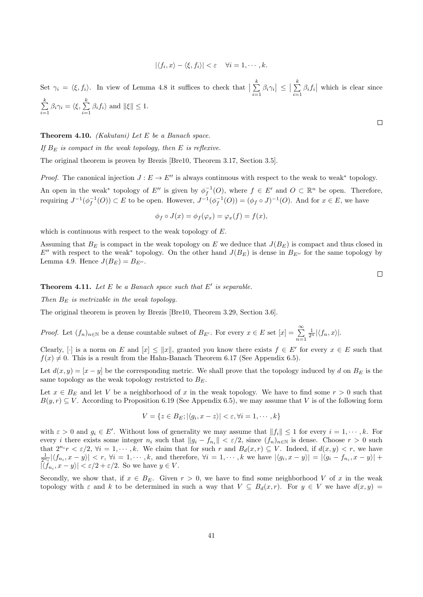$$
|\langle f_i, x \rangle - \langle \xi, f_i \rangle| < \varepsilon \quad \forall i = 1, \cdots, k.
$$

Set  $\gamma_i = \langle \xi, f_i \rangle$ . In view of Lemma 4.8 it suffices to check that  $\Big| \sum_{i=1}^k$  $\sum_{i=1}^k \beta_i \gamma_i \vert \leq \vert \sum_{i=1}^k$  $\sum_{i=1} \beta_i f_i$  which is clear since  $\sum_{i=1}^{k}$  $\sum_{i=1}^k \beta_i \gamma_i = \langle \xi, \sum_{i=1}^k \xi_i \rangle$  $\sum_{i=1} \beta_i f_i$  and  $\|\xi\| \leq 1$ .

**Theorem 4.10.** (Kakutani) Let  $E$  be a Banach space.

If  $B_E$  is compact in the weak topology, then E is reflexive.

The original theorem is proven by Brezis [Bre10, Theorem 3.17, Section 3.5].

*Proof.* The canonical injection  $J : E \to E''$  is always continuous with respect to the weak to weak<sup>\*</sup> topology. An open in the weak<sup>\*</sup> topology of E<sup>''</sup> is given by  $\phi_f^{-1}(O)$ , where  $f \in E'$  and  $O \subset \mathbb{R}^n$  be open. Therefore, requiring  $J^{-1}(\phi_f^{-1}(O)) \subset E$  to be open. However,  $J^{-1}(\phi_f^{-1}(O)) = (\phi_f \circ J)^{-1}(O)$ . And for  $x \in E$ , we have

$$
\phi_f \circ J(x) = \phi_f(\varphi_x) = \varphi_x(f) = f(x),
$$

which is continuous with respect to the weak topology of E.

Assuming that  $B_E$  is compact in the weak topology on E we deduce that  $J(B_E)$  is compact and thus closed in E<sup>n</sup> with respect to the weak<sup>\*</sup> topology. On the other hand  $J(B<sub>E</sub>)$  is dense in  $B<sub>E</sub>$ <sup>n</sup> for the same topology by Lemma 4.9. Hence  $J(B_E) = B_{E}$ .

**Theorem 4.11.** Let  $E$  be a Banach space such that  $E'$  is separable.

Then  $B_E$  is metrizable in the weak topology.

The original theorem is proven by Brezis [Bre10, Theorem 3.29, Section 3.6].

*Proof.* Let  $(f_n)_{n\in\mathbb{N}}$  be a dense countable subset of  $B_{E'}$ . For every  $x \in E$  set  $[x] = \sum_{n=1}^{\infty}$  $\frac{1}{2^n} |\langle f_n, x \rangle|$ .

Clearly, [·] is a norm on E and  $[x] \le ||x||$ , granted you know there exists  $f \in E'$  for every  $x \in E$  such that  $f(x) \neq 0$ . This is a result from the Hahn-Banach Theorem 6.17 (See Appendix 6.5).

Let  $d(x, y) = [x - y]$  be the corresponding metric. We shall prove that the topology induced by d on  $B_E$  is the same topology as the weak topology restricted to  $B<sub>E</sub>$ .

Let  $x \in B_F$  and let V be a neighborhood of x in the weak topology. We have to find some  $r > 0$  such that  $B(y, r) \subseteq V$ . According to Proposition 6.19 (See Appendix 6.5), we may assume that V is of the following form

$$
V = \{ z \in B_E; |\langle g_i, x - z \rangle| < \varepsilon, \forall i = 1, \cdots, k \}
$$

with  $\varepsilon > 0$  and  $g_i \in E'$ . Without loss of generality we may assume that  $||f_i|| \leq 1$  for every  $i = 1, \dots, k$ . For every *i* there exists some integer  $n_i$  such that  $||g_i - f_{n_i}|| < \varepsilon/2$ , since  $(f_n)_{n \in \mathbb{N}}$  is dense. Choose  $r > 0$  such that  $2^{n_i} r < \varepsilon/2$ ,  $\forall i = 1, \dots, k$ . We claim that for such r and  $B_d(x,r) \subseteq V$ . Indeed, if  $d(x,y) < r$ , we have  $\frac{1}{2^{n_i}}|\langle f_{n_i}, x-y\rangle| < r$ ,  $\forall i = 1, \cdots, k$ , and therefore,  $\forall i = 1, \cdots, k$  we have  $|\langle g_i, x-y\rangle| = |\langle g_i - f_{n_i}, x-y\rangle| +$  $|\langle f_{n_i}, x - y \rangle| < \varepsilon/2 + \varepsilon/2$ . So we have  $y \in V$ .

Secondly, we show that, if  $x \in B_F$ . Given  $r > 0$ , we have to find some neighborhood V of x in the weak topology with  $\varepsilon$  and k to be determined in such a way that  $V \subseteq B_d(x,r)$ . For  $y \in V$  we have  $d(x,y) =$ 

 $\Box$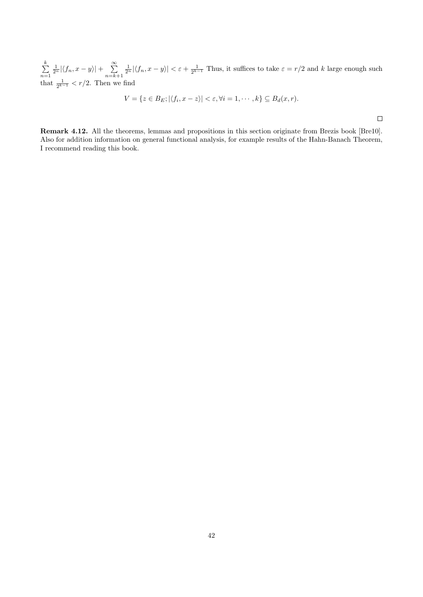$\sum_{i=1}^{k}$  $n=1$  $\frac{1}{2^n} |\langle f_n, x - y \rangle| + \sum_{n=1}^{\infty}$  $n=k+1$  $\frac{1}{2^n} |\langle f_n, x - y \rangle| < \varepsilon + \frac{1}{2^{k-1}}$  Thus, it suffices to take  $\varepsilon = r/2$  and k large enough such that  $\frac{1}{2^{k-1}} < r/2$ . Then we find

$$
V = \{ z \in B_E; |\langle f_i, x - z \rangle| < \varepsilon, \forall i = 1, \cdots, k \} \subseteq B_d(x, r).
$$

 $\Box$ 

Remark 4.12. All the theorems, lemmas and propositions in this section originate from Brezis book [Bre10]. Also for addition information on general functional analysis, for example results of the Hahn-Banach Theorem, I recommend reading this book.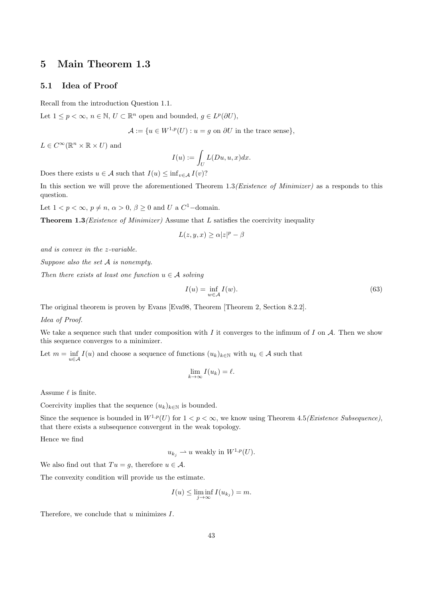### 5 Main Theorem 1.3

### 5.1 Idea of Proof

Recall from the introduction Question 1.1.

Let  $1 \leq p < \infty$ ,  $n \in \mathbb{N}$ ,  $U \subset \mathbb{R}^n$  open and bounded,  $g \in L^p(\partial U)$ ,

$$
\mathcal{A} := \{ u \in W^{1,p}(U) : u = g \text{ on } \partial U \text{ in the trace sense} \},
$$

 $L \in C^{\infty}(\mathbb{R}^n \times \mathbb{R} \times U)$  and

$$
I(u) := \int_U L(Du, u, x) dx.
$$

Does there exists  $u \in \mathcal{A}$  such that  $I(u) \leq \inf_{v \in \mathcal{A}} I(v)$ ?

In this section we will prove the aforementioned Theorem  $1.3(Existence of$  Minimizer) as a responds to this question.

Let  $1 < p < \infty$ ,  $p \neq n$ ,  $\alpha > 0$ ,  $\beta \geq 0$  and U a  $C^1$ -domain.

**Theorem 1.3** (*Existence of Minimizer*) Assume that  $L$  satisfies the coercivity inequality

$$
L(z, y, x) \ge \alpha |z|^p - \beta
$$

and is convex in the z-variable.

Suppose also the set A is nonempty.

Then there exists at least one function  $u \in \mathcal{A}$  solving

$$
I(u) = \inf_{w \in \mathcal{A}} I(w). \tag{63}
$$

The original theorem is proven by Evans [Eva98, Theorem [Theorem 2, Section 8.2.2].

#### Idea of Proof.

We take a sequence such that under composition with I it converges to the infimum of I on  $A$ . Then we show this sequence converges to a minimizer.

Let  $m = \inf_{u \in \mathcal{A}} I(u)$  and choose a sequence of functions  $(u_k)_{k \in \mathbb{N}}$  with  $u_k \in \mathcal{A}$  such that

$$
\lim_{k \to \infty} I(u_k) = \ell.
$$

Assume  $\ell$  is finite.

Coercivity implies that the sequence  $(u_k)_{k\in\mathbb{N}}$  is bounded.

Since the sequence is bounded in  $W^{1,p}(U)$  for  $1 < p < \infty$ , we know using Theorem 4.5*(Existence Subsequence)*, that there exists a subsequence convergent in the weak topology.

Hence we find

 $u_{k_i} \rightharpoonup u$  weakly in  $W^{1,p}(U)$ .

We also find out that  $Tu = g$ , therefore  $u \in \mathcal{A}$ .

The convexity condition will provide us the estimate.

$$
I(u) \le \liminf_{j \to \infty} I(u_{k_j}) = m.
$$

Therefore, we conclude that  $u$  minimizes  $I$ .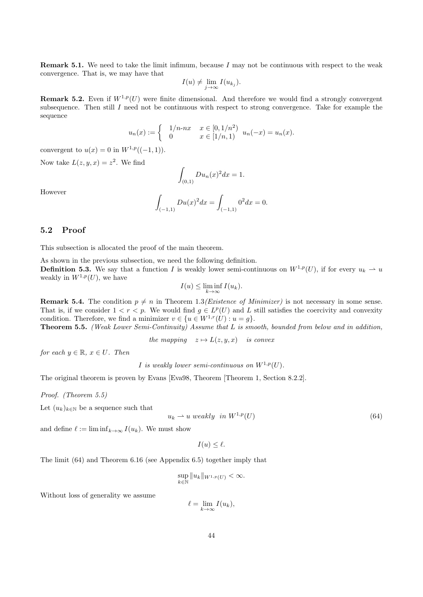**Remark 5.1.** We need to take the limit infimum, because  $I$  may not be continuous with respect to the weak convergence. That is, we may have that

$$
I(u) \neq \lim_{j \to \infty} I(u_{k_j}).
$$

**Remark 5.2.** Even if  $W^{1,p}(U)$  were finite dimensional. And therefore we would find a strongly convergent subsequence. Then still I need not be continuous with respect to strong convergence. Take for example the sequence

$$
u_n(x) := \begin{cases} 1/n \cdot nx & x \in [0, 1/n^2) \\ 0 & x \in [1/n, 1) \end{cases} u_n(-x) = u_n(x).
$$

convergent to  $u(x) = 0$  in  $W^{1,p}((-1, 1)).$ 

Now take  $L(z, y, x) = z^2$ . We find

$$
\int_{(0,1)} Du_n(x)^2 dx = 1.
$$

However

$$
\int_{(-1,1)} Du(x)^2 dx = \int_{(-1,1)} 0^2 dx = 0.
$$

#### 5.2 Proof

This subsection is allocated the proof of the main theorem.

As shown in the previous subsection, we need the following definition. **Definition 5.3.** We say that a function I is weakly lower semi-continuous on  $W^{1,p}(U)$ , if for every  $u_k \rightharpoonup u$ weakly in  $W^{1,p}(U)$ , we have

$$
I(u) \le \liminf_{k \to \infty} I(u_k).
$$

**Remark 5.4.** The condition  $p \neq n$  in Theorem 1.3*(Existence of Minimizer)* is not necessary in some sense. That is, if we consider  $1 < r < p$ . We would find  $g \in L^p(U)$  and L still satisfies the coercivity and convexity condition. Therefore, we find a minimizer  $v \in \{u \in W^{1,r}(U) : u = g\}.$ 

Theorem 5.5. (Weak Lower Semi-Continuity) Assume that L is smooth, bounded from below and in addition,

the mapping  $z \mapsto L(z, y, x)$  is convex

for each  $y \in \mathbb{R}$ ,  $x \in U$ . Then

I is weakly lower semi-continuous on  $W^{1,p}(U)$ .

The original theorem is proven by Evans [Eva98, Theorem [Theorem 1, Section 8.2.2].

Proof. (Theorem 5.5)

Let  $(u_k)_{k\in\mathbb{N}}$  be a sequence such that

$$
u_k \rightharpoonup u \ weakly \ in \ W^{1,p}(U) \tag{64}
$$

and define  $\ell := \liminf_{k \to \infty} I(u_k)$ . We must show

$$
I(u) \leq \ell.
$$

The limit (64) and Theorem 6.16 (see Appendix 6.5) together imply that

$$
\sup_{k\in\mathbb{N}}\|u_k\|_{W^{1,p}(U)}<\infty.
$$

Without loss of generality we assume

 $\ell = \lim_{k \to \infty} I(u_k),$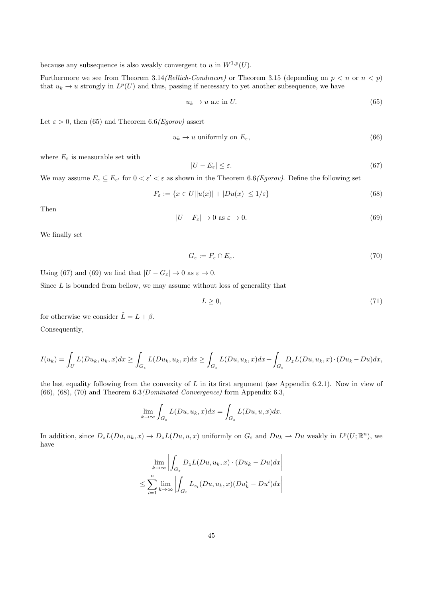because any subsequence is also weakly convergent to u in  $W^{1,p}(U)$ .

Furthermore we see from Theorem 3.14(Rellich-Condracov) or Theorem 3.15 (depending on  $p < n$  or  $n < p$ ) that  $u_k \to u$  strongly in  $L^p(U)$  and thus, passing if necessary to yet another subsequence, we have

$$
u_k \to u \text{ a.e in } U. \tag{65}
$$

Let  $\varepsilon > 0$ , then (65) and Theorem 6.6(*Egorov*) assert

$$
u_k \to u \text{ uniformly on } E_{\varepsilon},\tag{66}
$$

where  $E_{\varepsilon}$  is measurable set with

$$
|U - E_{\varepsilon}| \le \varepsilon. \tag{67}
$$

We may assume  $E_{\varepsilon} \subseteq E_{\varepsilon'}$  for  $0 < \varepsilon' < \varepsilon$  as shown in the Theorem 6.6(*Egorov*). Define the following set

$$
F_{\varepsilon} := \{ x \in U | |u(x)| + |Du(x)| \le 1/\varepsilon \}
$$
\n
$$
(68)
$$

Then

$$
|U - F_{\varepsilon}| \to 0 \text{ as } \varepsilon \to 0. \tag{69}
$$

We finally set

$$
G_{\varepsilon} := F_{\varepsilon} \cap E_{\varepsilon}.\tag{70}
$$

Using (67) and (69) we find that  $|U - G_{\varepsilon}| \to 0$  as  $\varepsilon \to 0$ .

Since  $L$  is bounded from bellow, we may assume without loss of generality that

$$
L \geq 0,\tag{71}
$$

for otherwise we consider  $\tilde{L} = L + \beta$ . Consequently,

$$
I(u_k) = \int_U L(Du_k, u_k, x) dx \ge \int_{G_{\varepsilon}} L(Du_k, u_k, x) dx \ge \int_{G_{\varepsilon}} L(Du, u_k, x) dx + \int_{G_{\varepsilon}} D_z L(Du, u_k, x) \cdot (Du_k - Du) dx,
$$

the last equality following from the convexity of L in its first argument (see Appendix 6.2.1). Now in view of  $(66)$ ,  $(68)$ ,  $(70)$  and Theorem  $6.3/Dominated$  Convergence) form Appendix 6.3,

$$
\lim_{k \to \infty} \int_{G_{\varepsilon}} L(Du, u_k, x) dx = \int_{G_{\varepsilon}} L(Du, u, x) dx.
$$

In addition, since  $D_z L(Du, u_k, x) \to D_z L(Du, u, x)$  uniformly on  $G_\varepsilon$  and  $Du_k \to Du$  weakly in  $L^p(U; \mathbb{R}^n)$ , we have

$$
\lim_{k \to \infty} \left| \int_{G_{\varepsilon}} D_z L(Du, u_k, x) \cdot (Du_k - Du) dx \right|
$$
  

$$
\leq \sum_{i=1}^n \lim_{k \to \infty} \left| \int_{G_{\varepsilon}} L_{z_i}(Du, u_k, x) (Du_k^i - Du^i) dx \right|
$$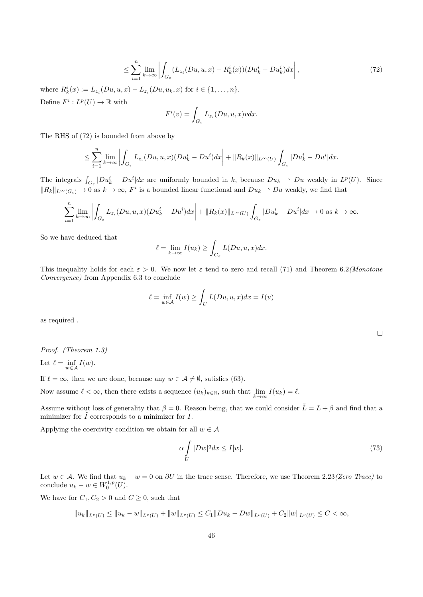$$
\leq \sum_{i=1}^{n} \lim_{k \to \infty} \left| \int_{G_{\varepsilon}} (L_{z_i}(Du, u, x) - R_k^i(x)) (Du_k^i - Du_k^i) dx \right|,
$$
\n(72)

where  $R_k^i(x) := L_{z_i}(Du, u, x) - L_{z_i}(Du, u_k, x)$  for  $i \in \{1, ..., n\}$ . Define  $F^i: L^p(U) \to \mathbb{R}$  with

$$
F^{i}(v) = \int_{G_{\varepsilon}} L_{z_{i}}(Du, u, x)v dx.
$$

The RHS of (72) is bounded from above by

$$
\leq \sum_{i=1}^n \lim_{k\to\infty} \left| \int_{G_{\varepsilon}} L_{z_i}(Du,u,x)(Du_k^i - Du^i)dx \right| + ||R_k(x)||_{L^{\infty}(U)} \int_{G_{\varepsilon}} |Du_k^i - Du^i|dx.
$$

The integrals  $\int_{G_{\varepsilon}} |Du_k^i - Du^i| dx$  are uniformly bounded in k, because  $Du_k \rightharpoonup Du$  weakly in  $L^p(U)$ . Since  $||R_k||_{L^{\infty}(G_{\varepsilon})} \to 0$  as  $k \to \infty$ ,  $F^i$  is a bounded linear functional and  $Du_k \to Du$  weakly, we find that

$$
\sum_{i=1}^n \lim_{k \to \infty} \left| \int_{G_{\varepsilon}} L_{z_i}(Du, u, x)(Du_k^i - Du^i) dx \right| + ||R_k(x)||_{L^{\infty}(U)} \int_{G_{\varepsilon}} |Du_k^i - Du^i| dx \to 0 \text{ as } k \to \infty.
$$

So we have deduced that

$$
\ell = \lim_{k \to \infty} I(u_k) \ge \int_{G_{\varepsilon}} L(Du, u, x) dx.
$$

This inequality holds for each  $\varepsilon > 0$ . We now let  $\varepsilon$  tend to zero and recall (71) and Theorem 6.2(Monotone Convergence) from Appendix 6.3 to conclude

$$
\ell = \inf_{w \in \mathcal{A}} I(w) \ge \int_U L(Du, u, x) dx = I(u)
$$

as required .

Proof. (Theorem 1.3) Let  $\ell = \inf_{w \in \mathcal{A}} I(w)$ .

If  $\ell = \infty$ , then we are done, because any  $w \in \mathcal{A} \neq \emptyset$ , satisfies (63).

Now assume  $\ell < \infty$ , then there exists a sequence  $(u_k)_{k \in \mathbb{N}}$ , such that  $\lim_{k \to \infty} I(u_k) = \ell$ .

Assume without loss of generality that  $\beta = 0$ . Reason being, that we could consider  $\tilde{L} = L + \beta$  and find that a minimizer for  $\tilde{I}$  corresponds to a minimizer for  $I$ .

Applying the coercivity condition we obtain for all  $w \in \mathcal{A}$ 

$$
\alpha \int\limits_U |Dw|^q dx \le I[w].\tag{73}
$$

Let  $w \in A$ . We find that  $u_k - w = 0$  on  $\partial U$  in the trace sense. Therefore, we use Theorem 2.23(Zero Trace) to conclude  $u_k - w \in W_0^{1,p}(U)$ .

We have for  $C_1, C_2 > 0$  and  $C \geq 0$ , such that

$$
||u_k||_{L^p(U)} \le ||u_k - w||_{L^p(U)} + ||w||_{L^p(U)} \le C_1 ||Du_k - Dw||_{L^p(U)} + C_2 ||w||_{L^p(U)} \le C < \infty,
$$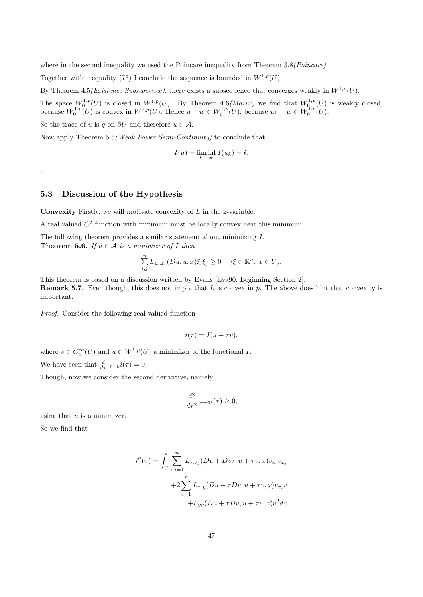where in the second inequality we used the Poincare inequality from Theorem 3.8(Poincare).

Together with inequality (73) I conclude the sequence is bounded in  $W^{1,p}(U)$ .

By Theorem 4.5(Existence Subsequence), there exists a subsequence that converges weakly in  $W^{1,p}(U)$ .

The space  $W_0^{1,p}(U)$  is closed in  $W^{1,p}(U)$ . By Theorem 4.6(*Mazur*) we find that  $W_0^{1,p}(U)$  is weakly closed, because  $W_0^{1,p}(U)$  is convex in  $W^{1,p}(U)$ . Hence  $u - w \in W_0^{1,p}(U)$ , because  $u_k - w \in W_0^{1,p}(U)$ .

So the trace of u is g on  $\partial U$  and therefore  $u \in \mathcal{A}$ .

Now apply Theorem 5.5(Weak Lower Semi-Continuity) to conclude that

$$
I(u) = \liminf_{k \to \infty} I(u_k) = \ell.
$$

 $\Box$ 

#### 5.3 Discussion of the Hypothesis

**Convexity** Firstly, we will motivate convexity of  $L$  in the z-variable.

A real valued  $C<sup>2</sup>$  function with minimum must be locally convex near this minimum.

The following theorem provides a similar statement about minimizing I. **Theorem 5.6.** If  $u \in \mathcal{A}$  is a minimizer of I then

$$
\sum_{i,j}^{n} L_{z_i,z_j}(Du,u,x)\xi_i\xi_j \ge 0 \quad (\xi \in \mathbb{R}^n, x \in U).
$$

This theorem is based on a discussion written by Evans [Eva90, Beginning Section 2]. **Remark 5.7.** Even though, this does not imply that L is convex in  $p$ . The above does hint that convexity is important.

Proof. Consider the following real valued function

$$
i(\tau) = I(u + \tau v),
$$

where  $v \in C_c^{\infty}(U)$  and  $u \in W^{1,p}(U)$  a minimizer of the functional I.

We have seen that  $\frac{d}{d\tau}|_{\tau=0} i(\tau) = 0.$ 

Though, now we consider the second derivative, namely

$$
\frac{d^2}{d\tau^2}|_{\tau=0}i(\tau)\geq 0,
$$

using that  $u$  is a minimizer.

So we find that

.

$$
i''(\tau) = \int_{U} \sum_{i,j=1}^{n} L_{z_i z_j} (Du + Dv\tau, u + \tau v, x) v_{x_i} v_{x_j}
$$

$$
+ 2 \sum_{i=1}^{n} L_{z_i y} (Du + \tau Dv, u + \tau v, x) v_{x_i} v
$$

$$
+ L_{yy} (Du + \tau Dv, u + \tau v, x) v^2 dx
$$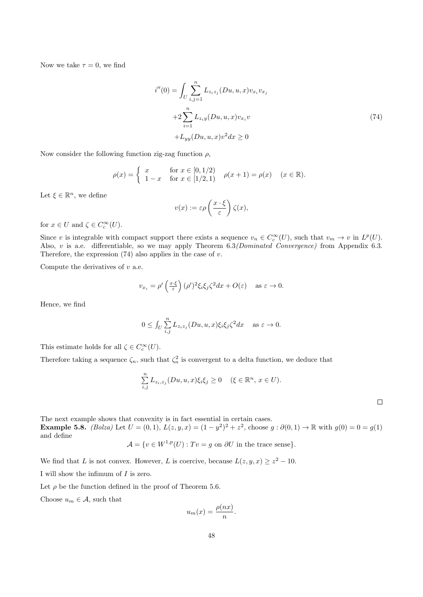Now we take  $\tau = 0$ , we find

$$
i''(0) = \int_{U} \sum_{i,j=1}^{n} L_{z_i z_j} (Du, u, x) v_{x_i} v_{x_j}
$$
  
+2
$$
\sum_{i=1}^{n} L_{z_i y} (Du, u, x) v_{x_i} v
$$
  
+
$$
L_{yy} (Du, u, x) v^2 dx \ge 0
$$
 (74)

Now consider the following function zig-zag function  $\rho$ ,

$$
\rho(x) = \begin{cases} x & \text{for } x \in [0, 1/2) \\ 1 - x & \text{for } x \in [1/2, 1) \end{cases} \quad \rho(x+1) = \rho(x) \quad (x \in \mathbb{R}).
$$

Let  $\xi \in \mathbb{R}^n$ , we define

$$
v(x) := \varepsilon \rho \left( \frac{x \cdot \xi}{\varepsilon} \right) \zeta(x),
$$

for  $x \in U$  and  $\zeta \in C_c^{\infty}(U)$ .

Since v is integrable with compact support there exists a sequence  $v_n \in C_c^{\infty}(U)$ , such that  $v_m \to v$  in  $L^p(U)$ . Also, v is a.e. differentiable, so we may apply Theorem 6.3*(Dominated Convergence)* from Appendix 6.3. Therefore, the expression  $(74)$  also applies in the case of v.

Compute the derivatives of  $v$  a.e.

$$
v_{x_i} = \rho' \left(\frac{x \cdot \xi}{\varepsilon}\right) (\rho')^2 \xi_i \xi_j \zeta^2 dx + O(\varepsilon) \quad \text{as } \varepsilon \to 0.
$$

Hence, we find

$$
0 \le \int_U \sum_{i,j}^n L_{z_iz_j}(Du, u, x)\xi_i\xi_j\zeta^2 dx \quad \text{as } \varepsilon \to 0.
$$

This estimate holds for all  $\zeta \in C_c^{\infty}(U)$ .

Therefore taking a sequence  $\zeta_n$ , such that  $\zeta_n^2$  is convergent to a delta function, we deduce that

$$
\sum_{i,j}^{n} L_{z_i,z_j}(Du,u,x)\xi_i\xi_j \ge 0 \quad (\xi \in \mathbb{R}^n, x \in U).
$$

The next example shows that convexity is in fact essential in certain cases.

**Example 5.8.** (Bolza) Let  $U = (0, 1)$ ,  $L(z, y, x) = (1 - y^2)^2 + z^2$ , choose  $g : \partial(0, 1) \to \mathbb{R}$  with  $g(0) = 0 = g(1)$ and define

$$
\mathcal{A} = \{ v \in W^{1,p}(U) : Tv = g \text{ on } \partial U \text{ in the trace sense} \}.
$$

We find that L is not convex. However, L is coercive, because  $L(z, y, x) \geq z^2 - 10$ .

I will show the infimum of I is zero.

Let  $\rho$  be the function defined in the proof of Theorem 5.6.

Choose  $u_m \in \mathcal{A}$ , such that

$$
u_m(x) = \frac{\rho(nx)}{n}.
$$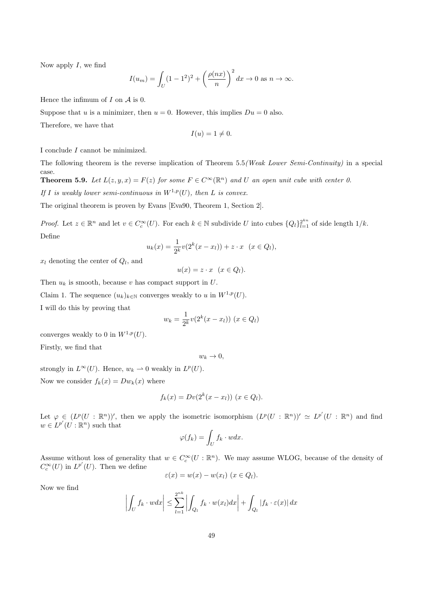Now apply  $I$ , we find

$$
I(u_m) = \int_U (1 - 1^2)^2 + \left(\frac{\rho(nx)}{n}\right)^2 dx \to 0 \text{ as } n \to \infty.
$$

Hence the infimum of  $I$  on  $\mathcal A$  is 0.

Suppose that u is a minimizer, then  $u = 0$ . However, this implies  $Du = 0$  also.

Therefore, we have that

$$
I(u) = 1 \neq 0.
$$

I conclude I cannot be minimized.

The following theorem is the reverse implication of Theorem 5.5(Weak Lower Semi-Continuity) in a special case. **Theorem 5.9.** Let  $L(z, y, x) = F(z)$  for some  $F \in C^{\infty}(\mathbb{R}^n)$  and U an open unit cube with center 0. If I is weakly lower semi-continuous in  $W^{1,p}(U)$ , then L is convex.

The original theorem is proven by Evans [Eva90, Theorem 1, Section 2].

*Proof.* Let  $z \in \mathbb{R}^n$  and let  $v \in C_c^{\infty}(U)$ . For each  $k \in \mathbb{N}$  subdivide U into cubes  $\{Q_l\}_{l=1}^{2^{kn}}$  of side length  $1/k$ . Define

$$
u_k(x) = \frac{1}{2^k} v(2^k(x - x_l)) + z \cdot x \quad (x \in Q_l),
$$

 $x_l$  denoting the center of  $Q_l$ , and

$$
u(x) = z \cdot x \quad (x \in Q_l).
$$

Then  $u_k$  is smooth, because v has compact support in  $U$ .

Claim 1. The sequence  $(u_k)_{k\in\mathbb{N}}$  converges weakly to u in  $W^{1,p}(U)$ .

I will do this by proving that

$$
w_k = \frac{1}{2^k} v(2^k(x - x_l)) \ (x \in Q_l)
$$

converges weakly to 0 in  $W^{1,p}(U)$ .

Firstly, we find that

$$
w_k \to 0,
$$

strongly in  $L^{\infty}(U)$ . Hence,  $w_k \rightharpoonup 0$  weakly in  $L^p(U)$ .

Now we consider  $f_k(x) = Dw_k(x)$  where

$$
f_k(x) = Dv(2^k(x - x_l)) \ (x \in Q_l).
$$

Let  $\varphi \in (L^p(U : \mathbb{R}^n))'$ , then we apply the isometric isomorphism  $(L^p(U : \mathbb{R}^n))' \simeq L^{p'}(U : \mathbb{R}^n)$  and find  $w \in L^{p'}(U : \mathbb{R}^n)$  such that

$$
\varphi(f_k) = \int_U f_k \cdot w dx.
$$

Assume without loss of generality that  $w \in C_c^{\infty}(U : \mathbb{R}^n)$ . We may assume WLOG, because of the density of  $C_c^{\infty}(U)$  in  $L^{p'}(U)$ . Then we define

$$
\varepsilon(x) = w(x) - w(x_l) \ (x \in Q_l).
$$

Now we find

$$
\left| \int_{U} f_{k} \cdot w dx \right| \leq \sum_{l=1}^{2^{nk}} \left| \int_{Q_{l}} f_{k} \cdot w(x_{l}) dx \right| + \int_{Q_{l}} \left| f_{k} \cdot \varepsilon(x) \right| dx
$$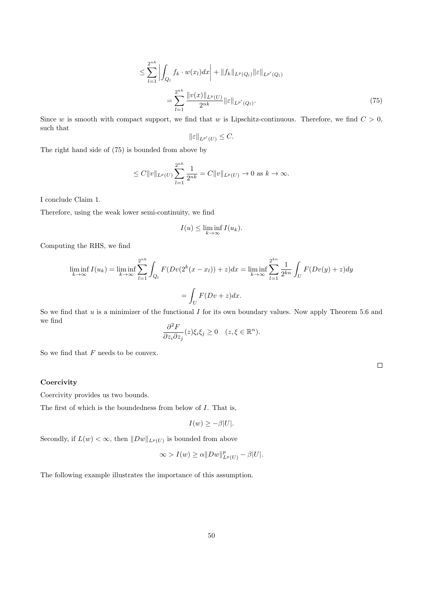$$
\leq \sum_{l=1}^{2^{nk}} \left| \int_{Q_l} f_k \cdot w(x_l) dx \right| + \|f_k\|_{L^p(Q_l)} \|\varepsilon\|_{L^{p'}(Q_l)} \n= \sum_{l=1}^{2^{nk}} \frac{\|v(x)\|_{L^p(U)}}{2^{nk}} \|\varepsilon\|_{L^{p'}(Q_l)}.
$$
\n(75)

Since w is smooth with compact support, we find that w is Lipschitz-continuous. Therefore, we find  $C > 0$ , such that

$$
\|\varepsilon\|_{L^{p'}(U)} \leq C.
$$

The right hand side of (75) is bounded from above by

$$
\leq C \|v\|_{L^p(U)} \sum_{l=1}^{2^{nk}} \frac{1}{2^{nk}} = C \|v\|_{L^p(U)} \to 0 \text{ as } k \to \infty.
$$

I conclude Claim 1.

Therefore, using the weak lower semi-continuity, we find

$$
I(u) \le \liminf_{k \to \infty} I(u_k).
$$

Computing the RHS, we find

$$
\liminf_{k \to \infty} I(u_k) = \liminf_{k \to \infty} \sum_{l=1}^{2^{nk}} \int_{Q_l} F(Dv(2^k(x - x_l)) + z) dx = \liminf_{k \to \infty} \sum_{l=1}^{2^{kn}} \frac{1}{2^{kn}} \int_U F(Dv(y) + z) dy
$$

$$
= \int_U F(Dv + z) dx.
$$

So we find that  $u$  is a minimizer of the functional  $I$  for its own boundary values. Now apply Theorem 5.6 and we find

$$
\frac{\partial^2 F}{\partial z_i \partial z_j}(z)\xi_i \xi_j \ge 0 \quad (z,\xi \in \mathbb{R}^n).
$$

So we find that  $F$  needs to be convex.

#### **Coercivity**

Coercivity provides us two bounds.

The first of which is the boundedness from below of I. That is,

$$
I(w) \geq -\beta |U|.
$$

Secondly, if  $L(w) < \infty$ , then  $||Dw||_{L^p(U)}$  is bounded from above

$$
\infty > I(w) \ge \alpha \|Dw\|_{L^p(U)}^p - \beta |U|.
$$

The following example illustrates the importance of this assumption.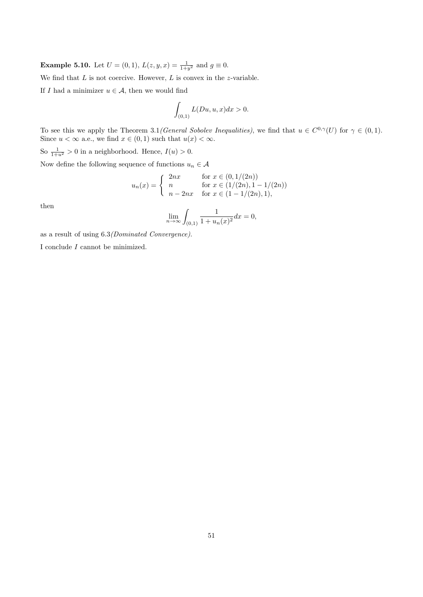**Example 5.10.** Let  $U = (0, 1)$ ,  $L(z, y, x) = \frac{1}{1+y^2}$  and  $g \equiv 0$ .

We find that  $L$  is not coercive. However,  $L$  is convex in the z-variable.

If I had a minimizer  $u \in \mathcal{A}$ , then we would find

$$
\int_{(0,1)} L(Du, u, x) dx > 0.
$$

To see this we apply the Theorem 3.1 (General Sobolev Inequalities), we find that  $u \in C^{0,\gamma}(U)$  for  $\gamma \in (0,1)$ . Since  $u < \infty$  a.e., we find  $x \in (0,1)$  such that  $u(x) < \infty$ .

So  $\frac{1}{1+u^2} > 0$  in a neighborhood. Hence,  $I(u) > 0$ .

Now define the following sequence of functions  $u_n \in \mathcal{A}$ 

$$
u_n(x) = \begin{cases} 2nx & \text{for } x \in (0, 1/(2n)) \\ n & \text{for } x \in (1/(2n), 1 - 1/(2n)) \\ n - 2nx & \text{for } x \in (1 - 1/(2n), 1), \end{cases}
$$

then

$$
\lim_{n \to \infty} \int_{(0,1)} \frac{1}{1 + u_n(x)^2} dx = 0,
$$

as a result of using 6.3(Dominated Convergence).

I conclude I cannot be minimized.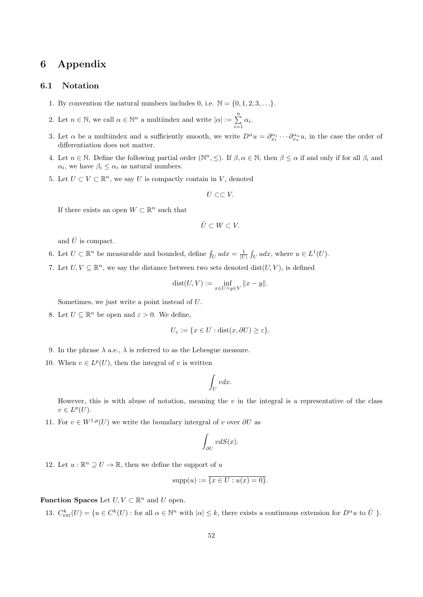# 6 Appendix

#### 6.1 Notation

- 1. By convention the natural numbers includes 0, i.e.  $\mathbb{N} = \{0, 1, 2, 3, \ldots\}$ .
- 2. Let  $n \in \mathbb{N}$ , we call  $\alpha \in \mathbb{N}^n$  a multiindex and write  $|\alpha| := \sum_{n=1}^{\infty}$  $\sum_{i=1}^{\infty} \alpha_i.$
- 3. Let  $\alpha$  be a multiindex and u sufficiently smooth, we write  $D^{\alpha}u = \partial_{x_1}^{\alpha_1} \cdots \partial_{x_n}^{\alpha_n} u$ , in the case the order of differentiation does not matter.
- 4. Let  $n \in \mathbb{N}$ . Define the following partial order  $(\mathbb{N}^n, \leq)$ . If  $\beta, \alpha \in \mathbb{N}$ , then  $\beta \leq \alpha$  if and only if for all  $\beta_i$  and  $\alpha_i$ , we have  $\beta_i \leq \alpha_i$  as natural numbers.
- 5. Let  $U \subset V \subset \mathbb{R}^n$ , we say U is compactly contain in V, denoted

$$
U\subset\subset V.
$$

If there exists an open  $W \subset \mathbb{R}^n$  such that

$$
\bar{U}\subset W\subset V.
$$

and  $\bar{U}$  is compact.

- 6. Let  $U \subset \mathbb{R}^n$  be measurable and bounded, define  $f_U u dx = \frac{1}{|U|} \int_U u dx$ , where  $u \in L^1(U)$ .
- 7. Let  $U, V \subseteq \mathbb{R}^n$ , we say the distance between two sets denoted dist $(U, V)$ , is defined

$$
dist(U, V) := \inf_{x \in U \wedge y \in V} ||x - y||.
$$

Sometimes, we just write a point instead of U.

8. Let  $U \subseteq \mathbb{R}^n$  be open and  $\varepsilon > 0$ . We define,

$$
U_{\varepsilon} := \{ x \in U : \text{dist}(x, \partial U) \ge \varepsilon \}.
$$

- 9. In the phrase  $\lambda$  a.e.,  $\lambda$  is referred to as the Lebesgue measure.
- 10. When  $v \in L^p(U)$ , then the integral of v is written

$$
\int_{U}vdx.
$$

However, this is with abuse of notation, meaning the  $v$  in the integral is a representative of the class  $v \in L^p(U)$ .

11. For  $v \in W^{1,p}(U)$  we write the boundary intergral of v over  $\partial U$  as

$$
\int_{\partial U} v dS(x).
$$

12. Let  $u : \mathbb{R}^n \supseteq U \to \mathbb{R}$ , then we define the support of u

$$
supp(u) := \overline{\{x \in U : u(x) = 0\}}.
$$

#### **Function Spaces** Let  $U, V \subset \mathbb{R}^n$  and U open.

13.  $C_{ext}^{k}(U) = \{u \in C^{k}(U) : \text{for all } \alpha \in \mathbb{N}^{n} \text{ with } |\alpha| \leq k, \text{ there exists a continuous extension for } D^{\alpha}u \text{ to } \overline{U} \}.$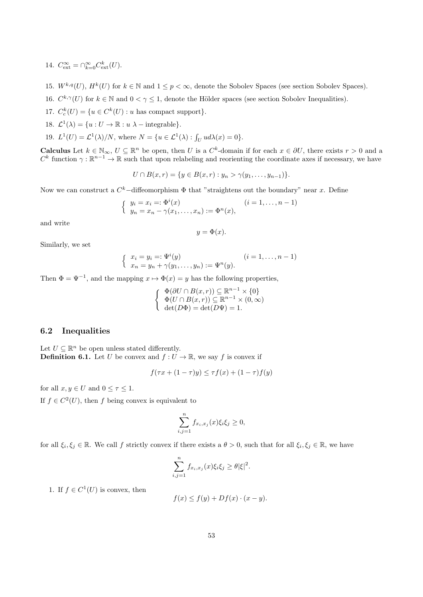- 14.  $C_{\text{ext}}^{\infty} = \bigcap_{k=0}^{\infty} C_{\text{ext}}^k(U).$
- 15.  $W^{k,q}(U)$ ,  $H^k(U)$  for  $k \in \mathbb{N}$  and  $1 \leq p < \infty$ , denote the Sobolev Spaces (see section Sobolev Spaces).
- 16.  $C^{k,\gamma}(U)$  for  $k \in \mathbb{N}$  and  $0 < \gamma \leq 1$ , denote the Hölder spaces (see section Sobolev Inequalities).
- 17.  $C_c^k(U) = \{u \in C^k(U) : u \text{ has compact support}\}.$
- 18.  $\mathcal{L}^1(\lambda) = \{u : U \to \mathbb{R} : u \lambda \text{integrable}\}.$
- 19.  $L^1(U) = \mathcal{L}^1(\lambda)/N$ , where  $N = \{u \in \mathcal{L}^1(\lambda) : \int_U u d\lambda(x) = 0\}.$

**Calculus** Let  $k \in \mathbb{N}_{\infty}$ ,  $U \subseteq \mathbb{R}^{n}$  be open, then U is a  $C^{k}$ -domain if for each  $x \in \partial U$ , there exists  $r > 0$  and a  $C^k$  function  $\gamma : \mathbb{R}^{n-1} \to \mathbb{R}$  such that upon relabeling and reorienting the coordinate axes if necessary, we have

$$
U \cap B(x,r) = \{ y \in B(x,r) : y_n > \gamma(y_1,\ldots,y_{n-1}) \}.
$$

Now we can construct a  $C^k$ -diffeomorphism  $\Phi$  that "straightens out the boundary" near x. Define

$$
\begin{cases} y_i = x_i =: \Phi^i(x) & (i = 1, ..., n-1) \\ y_n = x_n - \gamma(x_1, ..., x_n) := \Phi^n(x), \end{cases}
$$

and write

$$
y = \Phi(x).
$$

Similarly, we set

$$
\begin{cases} x_i = y_i =: \Psi^i(y) \\ x_n = y_n + \gamma(y_1, \dots, y_n) := \Psi^n(y). \end{cases} (i = 1, \dots, n-1)
$$

Then  $\Phi = \Psi^{-1}$ , and the mapping  $x \mapsto \Phi(x) = y$  has the following properties,

$$
\begin{cases} \n\Phi(\partial U \cap B(x,r)) \subseteq \mathbb{R}^{n-1} \times \{0\} \\ \n\Phi(U \cap B(x,r)) \subseteq \mathbb{R}^{n-1} \times (0,\infty) \\ \n\det(D\Phi) = \det(D\Psi) = 1. \n\end{cases}
$$

#### 6.2 Inequalities

Let  $U \subseteq \mathbb{R}^n$  be open unless stated differently. **Definition 6.1.** Let U be convex and  $f: U \to \mathbb{R}$ , we say f is convex if

$$
f(\tau x + (1 - \tau)y) \le \tau f(x) + (1 - \tau)f(y)
$$

for all  $x, y \in U$  and  $0 \leq \tau \leq 1$ .

If  $f \in C^2(U)$ , then f being convex is equivalent to

$$
\sum_{i,j=1}^n f_{x_i,x_j}(x)\xi_i\xi_j \ge 0,
$$

for all  $\xi_i, \xi_j \in \mathbb{R}$ . We call f strictly convex if there exists a  $\theta > 0$ , such that for all  $\xi_i, \xi_j \in \mathbb{R}$ , we have

$$
\sum_{i,j=1}^n f_{x_i,x_j}(x)\xi_i\xi_j \ge \theta |\xi|^2.
$$

1. If  $f \in C^1(U)$  is convex, then

$$
f(x) \le f(y) + Df(x) \cdot (x - y).
$$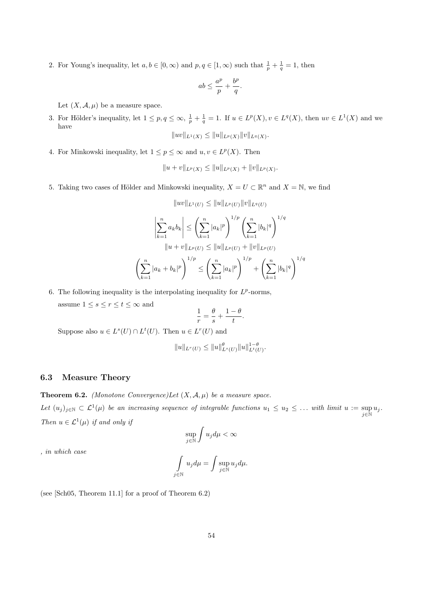2. For Young's inequality, let  $a, b \in [0, \infty)$  and  $p, q \in [1, \infty)$  such that  $\frac{1}{p} + \frac{1}{q} = 1$ , then

$$
ab \le \frac{a^p}{p} + \frac{b^p}{q}.
$$

Let  $(X, \mathcal{A}, \mu)$  be a measure space.

3. For Hölder's inequality, let  $1 \leq p, q \leq \infty$ ,  $\frac{1}{p} + \frac{1}{q} = 1$ . If  $u \in L^p(X)$ ,  $v \in L^q(X)$ , then  $uv \in L^1(X)$  and we have kuvk $\|u\|_{\infty}$  is  $\|x\|_{\infty}$  and  $\|x\|_{\infty}$   $\|y\|_{\infty}$ 

$$
||uv||_{L^1(X)} \leq ||u||_{L^p(X)} ||v||_{L^q(X)}.
$$

4. For Minkowski inequality, let  $1 \leq p \leq \infty$  and  $u, v \in L^p(X)$ . Then

$$
||u + v||_{L^p(X)} \le ||u||_{L^p(X)} + ||v||_{L^p(X)}.
$$

5. Taking two cases of Hölder and Minkowski inequality,  $X = U \subset \mathbb{R}^n$  and  $X = \mathbb{N}$ , we find

$$
||uv||_{L^{1}(U)} \leq ||u||_{L^{p}(U)} ||v||_{L^{q}(U)}
$$

$$
\left|\sum_{k=1}^{n} a_{k}b_{k}\right| \leq \left(\sum_{k=1}^{n} |a_{k}|^{p}\right)^{1/p} \left(\sum_{k=1}^{n} |b_{k}|^{q}\right)^{1/q}
$$

$$
||u + v||_{L^{p}(U)} \leq ||u||_{L^{p}(U)} + ||v||_{L^{p}(U)}
$$

$$
\left(\sum_{k=1}^{n} |a_{k} + b_{k}|^{p}\right)^{1/p} \leq \left(\sum_{k=1}^{n} |a_{k}|^{p}\right)^{1/p} + \left(\sum_{k=1}^{n} |b_{k}|^{q}\right)^{1/q}
$$

- 6. The following inequality is the interpolating inequality for  $L^p$ -norms,
	- assume  $1\leq s\leq r\leq t\leq\infty$  and

$$
\frac{1}{r} = \frac{\theta}{s} + \frac{1-\theta}{t}.
$$

Suppose also  $u \in L^s(U) \cap L^t(U)$ . Then  $u \in L^r(U)$  and

$$
||u||_{L^r(U)} \le ||u||_{L^s(U)}^{\theta} ||u||_{L^t(U)}^{1-\theta}.
$$

#### 6.3 Measure Theory

**Theorem 6.2.** (Monotone Convergence)Let  $(X, \mathcal{A}, \mu)$  be a measure space.

Let  $(u_j)_{j\in\mathbb{N}}\subset\mathcal{L}^1(\mu)$  be an increasing sequence of integrable functions  $u_1\leq u_2\leq\ldots$  with limit  $u:=\sup u_j$ .  $j\in\mathbb{N}$ Then  $u \in \mathcal{L}^1(\mu)$  if and only if

$$
\sup_{j\in\mathbb{N}}\int u_jd\mu<\infty
$$

, in which case

$$
\int\limits_{j\in\mathbb{N}}u_jd\mu=\int\limits_{j\in\mathbb{N}}\sup\limits_{u_jd\mu.
$$

(see [Sch05, Theorem 11.1] for a proof of Theorem 6.2)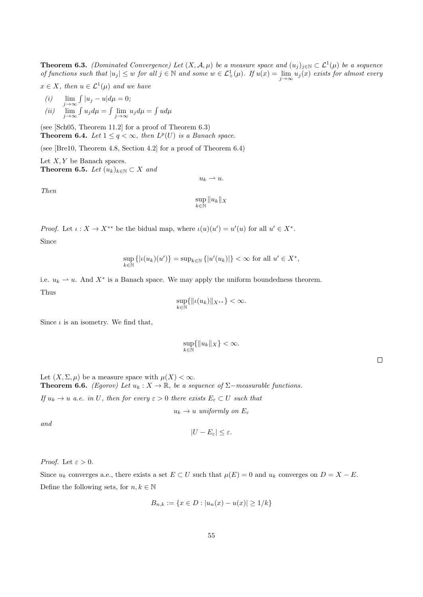**Theorem 6.3.** (Dominated Convergence) Let  $(X, \mathcal{A}, \mu)$  be a measure space and  $(u_j)_{j \in \mathbb{N}} \subset \mathcal{L}^1(\mu)$  be a sequence of functions such that  $|u_j| \leq w$  for all  $j \in \mathbb{N}$  and some  $w \in \mathcal{L}^1_+(\mu)$ . If  $u(x) = \lim_{j \to \infty} u_j(x)$  exists for almost every

 $x \in X$ , then  $u \in \mathcal{L}^1(\mu)$  and we have

(i) 
$$
\lim_{j \to \infty} \int |u_j - u| d\mu = 0;
$$

$$
(ii) \quad \lim_{j \to \infty} \int u_j d\mu = \int \lim_{j \to \infty} u_j d\mu = \int u d\mu
$$

(see [Sch05, Theorem 11.2] for a proof of Theorem 6.3) **Theorem 6.4.** Let  $1 \leq q < \infty$ , then  $L^p(U)$  is a Banach space.

(see [Bre10, Theorem 4.8, Section 4.2] for a proof of Theorem 6.4)

Let  $X, Y$  be Banach spaces. Theorem 6.5. Let  $(u_k)_{k\in\mathbb{N}}\subset X$  and

Then

$$
\sup_{k\in\mathbb{N}}\|u_k\|_X
$$

 $u_k \rightharpoonup u.$ 

*Proof.* Let  $\iota: X \to X^{**}$  be the bidual map, where  $\iota(u)(u') = u'(u)$  for all  $u' \in X^*$ .

Since

$$
\sup_{k \in \mathbb{N}} \left\{ |u(u_k)(u')| \right\} = \sup_{k \in \mathbb{N}} \left\{ |u'(u_k)| \right\} < \infty \text{ for all } u' \in X^*,
$$

i.e.  $u_k \rightharpoonup u$ . And  $X^*$  is a Banach space. We may apply the uniform boundedness theorem. Thus

$$
\sup_{k\in\mathbb{N}}\{\|\iota(u_k)\|_{X^{**}}\}<\infty.
$$

Since  $\iota$  is an isometry. We find that,

$$
\sup_{k \in \mathbb{N}} \{ \|u_k\|_X \} < \infty.
$$

Let  $(X, \Sigma, \mu)$  be a measure space with  $\mu(X) < \infty$ . **Theorem 6.6.** (Egorov) Let  $u_k : X \to \mathbb{R}$ , be a sequence of  $\Sigma$ -measurable functions.

If  $u_k \to u$  a.e. in U, then for every  $\varepsilon > 0$  there exists  $E_{\varepsilon} \subset U$  such that

 $u_k \to u$  uniformly on  $E_\varepsilon$ 

and

$$
|U - E_{\varepsilon}| \leq \varepsilon.
$$

*Proof.* Let  $\varepsilon > 0$ .

Since  $u_k$  converges a.e., there exists a set  $E \subset U$  such that  $\mu(E) = 0$  and  $u_k$  converges on  $D = X - E$ . Define the following sets, for  $n, k \in \mathbb{N}$ 

$$
B_{n,k} := \{ x \in D : |u_n(x) - u(x)| \ge 1/k \}
$$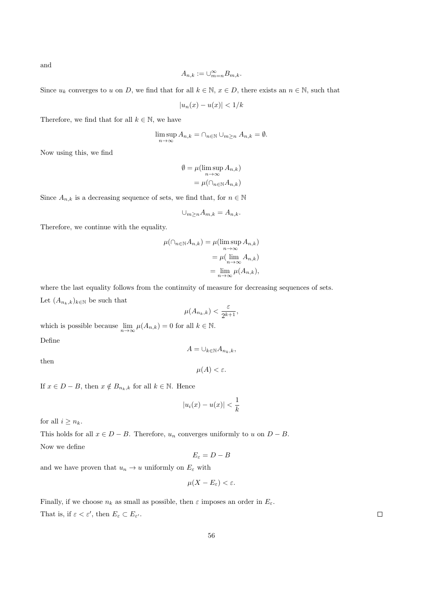and

$$
A_{n,k} := \cup_{m=n}^{\infty} B_{m,k}.
$$

Since  $u_k$  converges to u on D, we find that for all  $k \in \mathbb{N}$ ,  $x \in D$ , there exists an  $n \in \mathbb{N}$ , such that

$$
|u_n(x) - u(x)| < 1/k
$$

Therefore, we find that for all  $k \in \mathbb{N}$ , we have

$$
\limsup_{n \to \infty} A_{n,k} = \bigcap_{n \in \mathbb{N}} \bigcup_{m \ge n} A_{n,k} = \emptyset.
$$

Now using this, we find

$$
\emptyset = \mu(\limsup_{n \to \infty} A_{n,k})
$$

$$
= \mu(\cap_{n \in \mathbb{N}} A_{n,k})
$$

Since  $A_{n,k}$  is a decreasing sequence of sets, we find that, for  $n \in \mathbb{N}$ 

$$
\cup_{m\geq n} A_{m,k} = A_{n,k}.
$$

Therefore, we continue with the equality.

$$
\mu(\cap_{n\in\mathbb{N}} A_{n,k}) = \mu(\limsup_{n\to\infty} A_{n,k})
$$

$$
= \mu(\lim_{n\to\infty} A_{n,k})
$$

$$
= \lim_{n\to\infty} \mu(A_{n,k}),
$$

where the last equality follows from the continuity of measure for decreasing sequences of sets. Let  $(A_{n_k,k})_{k\in\mathbb{N}}$  be such that

$$
\mu(A_{n_k,k}) < \frac{\varepsilon}{2^{k+1}},
$$

which is possible because  $\lim_{n\to\infty}\mu(A_{n,k})=0$  for all  $k\in\mathbb{N}$ . Define

 $A = \bigcup_{k \in \mathbb{N}} A_{n_k,k},$ 

then

$$
\mu(A) < \varepsilon.
$$

If  $x \in D - B$ , then  $x \notin B_{n_k,k}$  for all  $k \in \mathbb{N}$ . Hence

$$
|u_i(x) - u(x)| < \frac{1}{k}
$$

for all  $i \geq n_k$ .

This holds for all  $x \in D - B$ . Therefore,  $u_n$  converges uniformly to u on  $D - B$ . Now we define

$$
E_{\varepsilon}=D-B
$$

and we have proven that  $u_n\to u$  uniformly on  $E_\varepsilon$  with

$$
\mu(X - E_{\varepsilon}) < \varepsilon.
$$

Finally, if we choose  $n_k$  as small as possible, then  $\varepsilon$  imposes an order in  $E_{\varepsilon}$ . That is, if  $\varepsilon < \varepsilon'$ , then  $E_{\varepsilon} \subset E_{\varepsilon'}$ .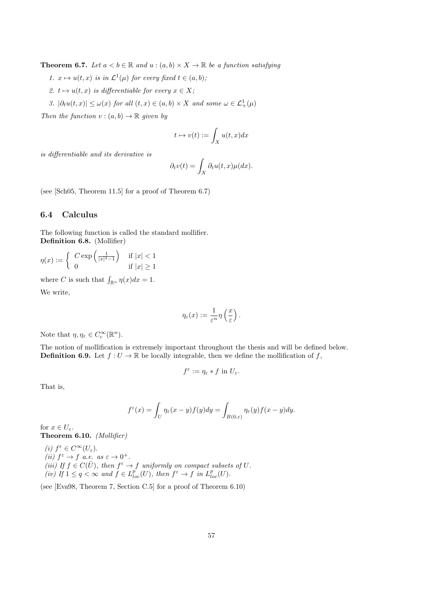**Theorem 6.7.** Let  $a < b \in \mathbb{R}$  and  $u : (a, b) \times X \to \mathbb{R}$  be a function satisfying

- 1.  $x \mapsto u(t, x)$  is in  $\mathcal{L}^1(\mu)$  for every fixed  $t \in (a, b)$ ;
- 2.  $t \mapsto u(t, x)$  is differentiable for every  $x \in X$ ;
- 3.  $|\partial_t u(t,x)| \leq \omega(x)$  for all  $(t,x) \in (a,b) \times X$  and some  $\omega \in \mathcal{L}^1_+(\mu)$

Then the function  $v:(a, b) \to \mathbb{R}$  given by

$$
t\mapsto v(t):=\int_X u(t,x)dx
$$

is differentiable and its derivative is

$$
\partial_t v(t) = \int_X \partial_t u(t, x) \mu(dx).
$$

(see [Sch05, Theorem 11.5] for a proof of Theorem 6.7)

#### 6.4 Calculus

The following function is called the standard mollifier. Definition 6.8. (Mollifier)

$$
\eta(x) := \begin{cases} C \exp\left(\frac{1}{|x|^2 - 1}\right) & \text{if } |x| < 1\\ 0 & \text{if } |x| \ge 1 \end{cases}
$$

where C is such that  $\int_{\mathbb{R}^n} \eta(x) dx = 1$ .

We write,

$$
\eta_{\varepsilon}(x) := \frac{1}{\varepsilon^n} \eta\left(\frac{x}{\varepsilon}\right).
$$

Note that  $\eta, \eta_{\varepsilon} \in C_c^{\infty}(\mathbb{R}^n)$ .

The notion of mollification is extremely important throughout the thesis and will be defined below. **Definition 6.9.** Let  $f: U \to \mathbb{R}$  be locally integrable, then we define the mollification of f,

$$
f^{\varepsilon} := \eta_{\varepsilon} * f \text{ in } U_{\varepsilon}.
$$

That is,

$$
f^{\varepsilon}(x) = \int_{U} \eta_{\varepsilon}(x - y) f(y) dy = \int_{B(0, \varepsilon)} \eta_{\varepsilon}(y) f(x - y) dy.
$$

for  $x \in U_{\varepsilon}$ . Theorem 6.10. (Mollifier)

(i) 
$$
f^{\varepsilon} \in C^{\infty}(U_{\varepsilon})
$$
.  
\n(ii)  $f^{\varepsilon} \to f$  a.e. as  $\varepsilon \to 0^{+}$ .  
\n(iii) If  $f \in C(\overline{U})$ , then  $f^{\varepsilon} \to f$  uniformly on compact subsets of  $U$ .  
\n(iv) If  $1 \leq q < \infty$  and  $f \in L_{loc}^{p}(U)$ , then  $f^{\varepsilon} \to f$  in  $L_{loc}^{p}(U)$ .

(see [Eva98, Theorem 7, Section C.5] for a proof of Theorem 6.10)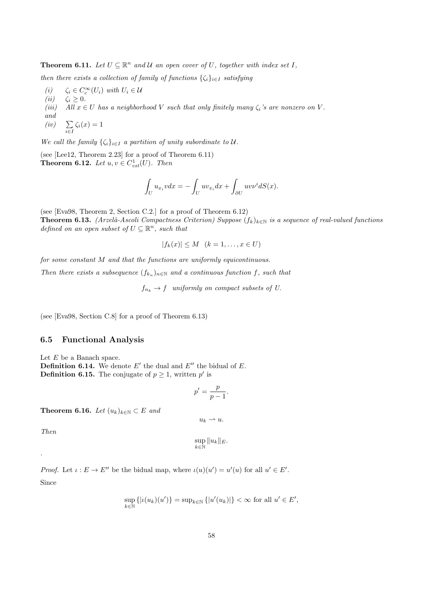**Theorem 6.11.** Let  $U \subseteq \mathbb{R}^n$  and U an open cover of U, together with index set I,

then there exists a collection of family of functions  $\{\zeta_i\}_{i\in I}$  satisfying

- (i)  $\zeta_i \in C_c^{\infty}(U_i)$  with  $U_i \in \mathcal{U}$
- (ii)  $\zeta_i \geq 0$ .<br>(iii) All  $x \in$
- All  $x \in U$  has a neighborhood V such that only finitely many  $\zeta_i$ 's are nonzero on V.
- and
- $(iv)$  $\sum_{i\in I} \zeta_i(x) = 1$

We call the family  $\{\zeta_i\}_{i\in I}$  a partition of unity subordinate to U.

(see [Lee12, Theorem 2.23] for a proof of Theorem 6.11) **Theorem 6.12.** Let  $u, v \in C_{ext}^1(U)$ . Then

$$
\int_U u_{x_i} v dx = -\int_U u v_{x_i} dx + \int_{\partial U} u v v^i dS(x).
$$

(see [Eva98, Theorem 2, Section C.2.] for a proof of Theorem 6.12) **Theorem 6.13.** (Arzelà-Ascoli Compactness Criterion) Suppose  $(f_k)_{k\in\mathbb{N}}$  is a sequence of real-valued functions defined on an open subset of  $U \subseteq \mathbb{R}^n$ , such that

 $|f_k(x)| \le M \quad (k = 1, \ldots, x \in U)$ 

for some constant M and that the functions are uniformly equicontinuous.

Then there exists a subsequence  $(f_{k_n})_{n\in\mathbb{N}}$  and a continuous function f, such that

 $f_{n_k} \to f$  uniformly on compact subsets of U.

(see [Eva98, Section C.8] for a proof of Theorem 6.13)

#### 6.5 Functional Analysis

Let  $E$  be a Banach space. **Definition 6.14.** We denote  $E'$  the dual and  $E''$  the bidual of  $E$ . **Definition 6.15.** The conjugate of  $p \geq 1$ , written p' is

$$
p' = \frac{p}{p-1}.
$$

Theorem 6.16. Let  $(u_k)_{k\in\mathbb{N}}\subset E$  and

Then

.

$$
\sup_{k\in\mathbb{N}}\|u_k\|_E.
$$

 $u_k \rightharpoonup u.$ 

*Proof.* Let  $\iota : E \to E''$  be the bidual map, where  $\iota(u)(u') = u'(u)$  for all  $u' \in E'$ . Since

$$
\sup_{k \in \mathbb{N}} \left\{ |u(u_k)(u')| \right\} = \sup_{k \in \mathbb{N}} \left\{ |u'(u_k)| \right\} < \infty \text{ for all } u' \in E',
$$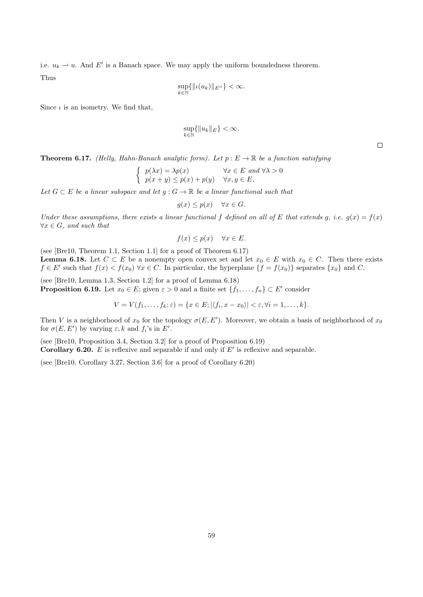i.e.  $u_k \rightharpoonup u$ . And E' is a Banach space. We may apply the uniform boundedness theorem.

Thus

$$
\sup_{k\in\mathbb{N}}\{\|\iota(u_k)\|_{E^{\prime\prime}}\}<\infty.
$$

Since  $\iota$  is an isometry. We find that,

$$
\sup_{k\in\mathbb{N}}\{\|u_k\|_E\}<\infty.
$$

**Theorem 6.17.** (Helly, Hahn-Banach analytic form). Let  $p : E \to \mathbb{R}$  be a function satisfying

$$
\begin{cases} p(\lambda x) = \lambda p(x) & \forall x \in E \text{ and } \forall \lambda > 0 \\ p(x + y) \le p(x) + p(y) & \forall x, y \in E. \end{cases}
$$

Let  $G \subset E$  be a linear subspace and let  $g : G \to \mathbb{R}$  be a linear functional such that

$$
g(x) \le p(x) \quad \forall x \in G.
$$

Under these assumptions, there exists a linear functional f defined on all of E that extends g, i.e.  $g(x) = f(x)$  $\forall x \in G$ , and such that

$$
f(x) \le p(x) \quad \forall x \in E.
$$

(see [Bre10, Theorem 1.1, Section 1.1] for a proof of Theorem 6.17) **Lemma 6.18.** Let  $C \subset E$  be a nonempty open convex set and let  $x_0 \in E$  with  $x_0 \in C$ . Then there exists  $f \in E'$  such that  $f(x) < f(x_0)$   $\forall x \in C$ . In particular, the hyperplane  $\{f = f(x_0)\}$  separates  $\{x_0\}$  and C.

(see [Bre10, Lemma 1.3, Section 1.2] for a proof of Lemma 6.18) **Proposition 6.19.** Let  $x_0 \in E$ ; given  $\varepsilon > 0$  and a finite set  $\{f_1, \ldots, f_n\} \subset E'$  consider

 $V = V(f_1, \ldots, f_k; \varepsilon) = \{x \in E; |\langle f_i, x - x_0 \rangle| < \varepsilon, \forall i = 1, \ldots, k\}.$ 

Then V is a neighborhood of  $x_0$  for the topology  $\sigma(E, E')$ . Moreover, we obtain a basis of neighborhood of  $x_0$ for  $\sigma(E, E')$  by varying  $\varepsilon, k$  and  $f_i$ 's in  $E'$ .

(see [Bre10, Proposition 3.4, Section 3.2] for a proof of Proposition 6.19)

**Corollary 6.20.** E is reflexive and separable if and only if  $E'$  is reflexive and separable.

(see [Bre10, Corollary 3.27, Section 3.6] for a proof of Corollary 6.20)